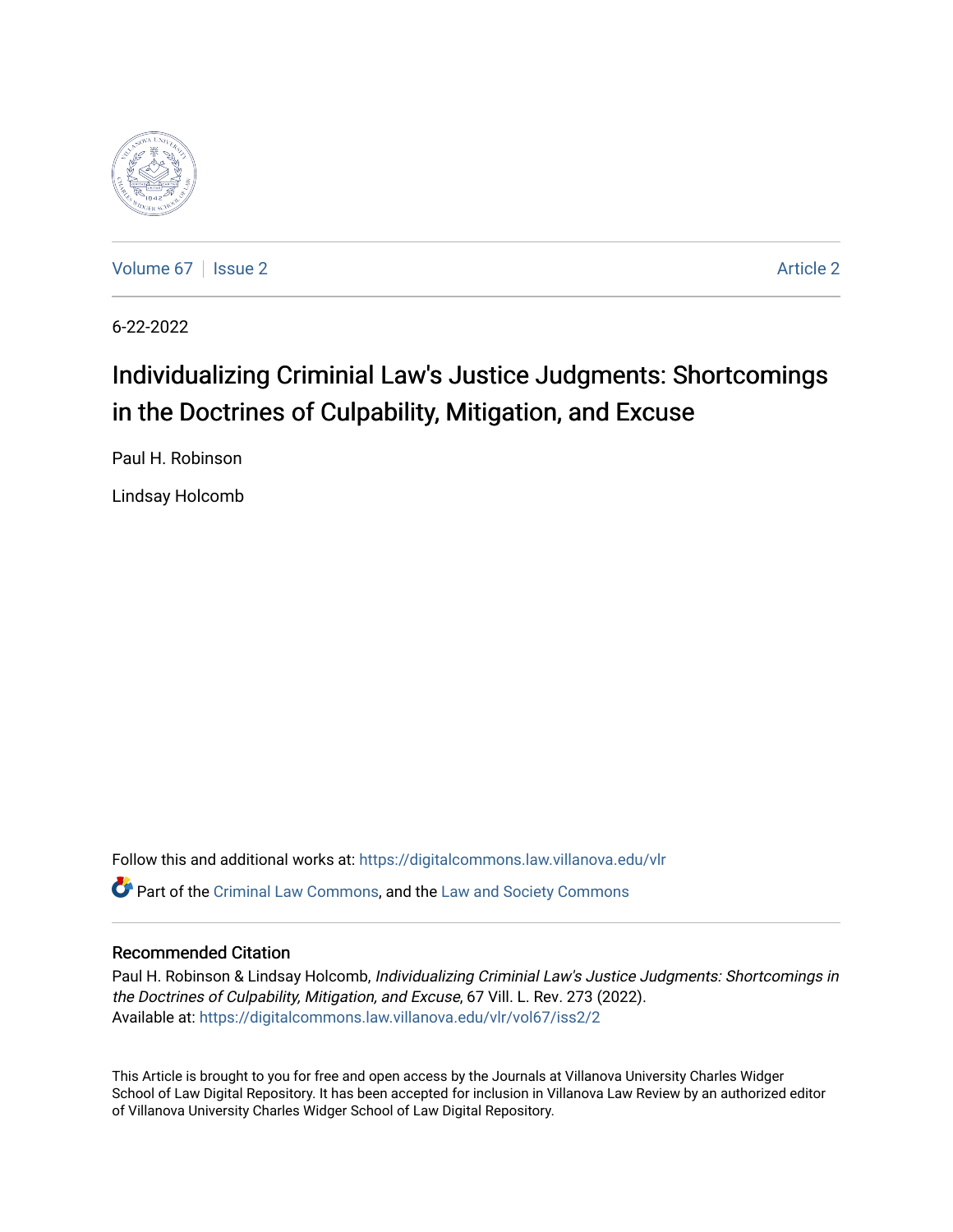

[Volume 67](https://digitalcommons.law.villanova.edu/vlr/vol67) | [Issue 2](https://digitalcommons.law.villanova.edu/vlr/vol67/iss2) [Article 2](https://digitalcommons.law.villanova.edu/vlr/vol67/iss2/2) Article 2 Article 2 Article 2 Article 2 Article 2 Article 2

6-22-2022

# Individualizing Criminial Law's Justice Judgments: Shortcomings in the Doctrines of Culpability, Mitigation, and Excuse

Paul H. Robinson

Lindsay Holcomb

Follow this and additional works at: [https://digitalcommons.law.villanova.edu/vlr](https://digitalcommons.law.villanova.edu/vlr?utm_source=digitalcommons.law.villanova.edu%2Fvlr%2Fvol67%2Fiss2%2F2&utm_medium=PDF&utm_campaign=PDFCoverPages) Part of the [Criminal Law Commons,](https://network.bepress.com/hgg/discipline/912?utm_source=digitalcommons.law.villanova.edu%2Fvlr%2Fvol67%2Fiss2%2F2&utm_medium=PDF&utm_campaign=PDFCoverPages) and the [Law and Society Commons](https://network.bepress.com/hgg/discipline/853?utm_source=digitalcommons.law.villanova.edu%2Fvlr%2Fvol67%2Fiss2%2F2&utm_medium=PDF&utm_campaign=PDFCoverPages) 

# Recommended Citation

Paul H. Robinson & Lindsay Holcomb, Individualizing Criminial Law's Justice Judgments: Shortcomings in the Doctrines of Culpability, Mitigation, and Excuse, 67 Vill. L. Rev. 273 (2022). Available at: [https://digitalcommons.law.villanova.edu/vlr/vol67/iss2/2](https://digitalcommons.law.villanova.edu/vlr/vol67/iss2/2?utm_source=digitalcommons.law.villanova.edu%2Fvlr%2Fvol67%2Fiss2%2F2&utm_medium=PDF&utm_campaign=PDFCoverPages) 

This Article is brought to you for free and open access by the Journals at Villanova University Charles Widger School of Law Digital Repository. It has been accepted for inclusion in Villanova Law Review by an authorized editor of Villanova University Charles Widger School of Law Digital Repository.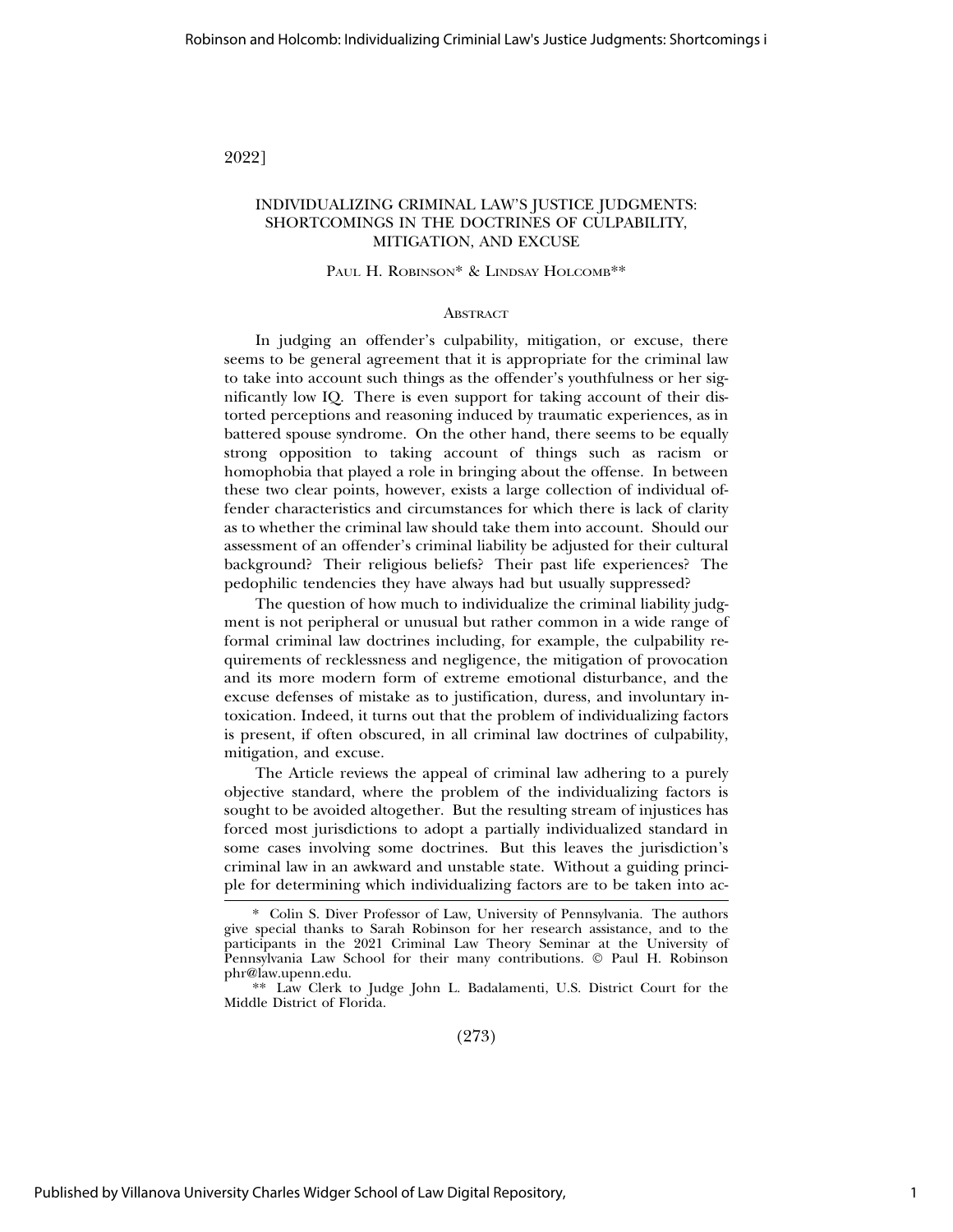2022]

## INDIVIDUALIZING CRIMINAL LAW'S JUSTICE JUDGMENTS: SHORTCOMINGS IN THE DOCTRINES OF CULPABILITY, MITIGATION, AND EXCUSE

#### PAUL H. ROBINSON\* & LINDSAY HOLCOMB\*\*

#### **ABSTRACT**

In judging an offender's culpability, mitigation, or excuse, there seems to be general agreement that it is appropriate for the criminal law to take into account such things as the offender's youthfulness or her significantly low IQ. There is even support for taking account of their distorted perceptions and reasoning induced by traumatic experiences, as in battered spouse syndrome. On the other hand, there seems to be equally strong opposition to taking account of things such as racism or homophobia that played a role in bringing about the offense. In between these two clear points, however, exists a large collection of individual offender characteristics and circumstances for which there is lack of clarity as to whether the criminal law should take them into account. Should our assessment of an offender's criminal liability be adjusted for their cultural background? Their religious beliefs? Their past life experiences? The pedophilic tendencies they have always had but usually suppressed?

The question of how much to individualize the criminal liability judgment is not peripheral or unusual but rather common in a wide range of formal criminal law doctrines including, for example, the culpability requirements of recklessness and negligence, the mitigation of provocation and its more modern form of extreme emotional disturbance, and the excuse defenses of mistake as to justification, duress, and involuntary intoxication. Indeed, it turns out that the problem of individualizing factors is present, if often obscured, in all criminal law doctrines of culpability, mitigation, and excuse.

The Article reviews the appeal of criminal law adhering to a purely objective standard, where the problem of the individualizing factors is sought to be avoided altogether. But the resulting stream of injustices has forced most jurisdictions to adopt a partially individualized standard in some cases involving some doctrines. But this leaves the jurisdiction's criminal law in an awkward and unstable state. Without a guiding principle for determining which individualizing factors are to be taken into ac-

(273)

<sup>\*</sup> Colin S. Diver Professor of Law, University of Pennsylvania. The authors give special thanks to Sarah Robinson for her research assistance, and to the participants in the 2021 Criminal Law Theory Seminar at the University of Pennsylvania Law School for their many contributions. © Paul H. Robinson phr@law.upenn.edu.

<sup>\*\*</sup> Law Clerk to Judge John L. Badalamenti, U.S. District Court for the Middle District of Florida.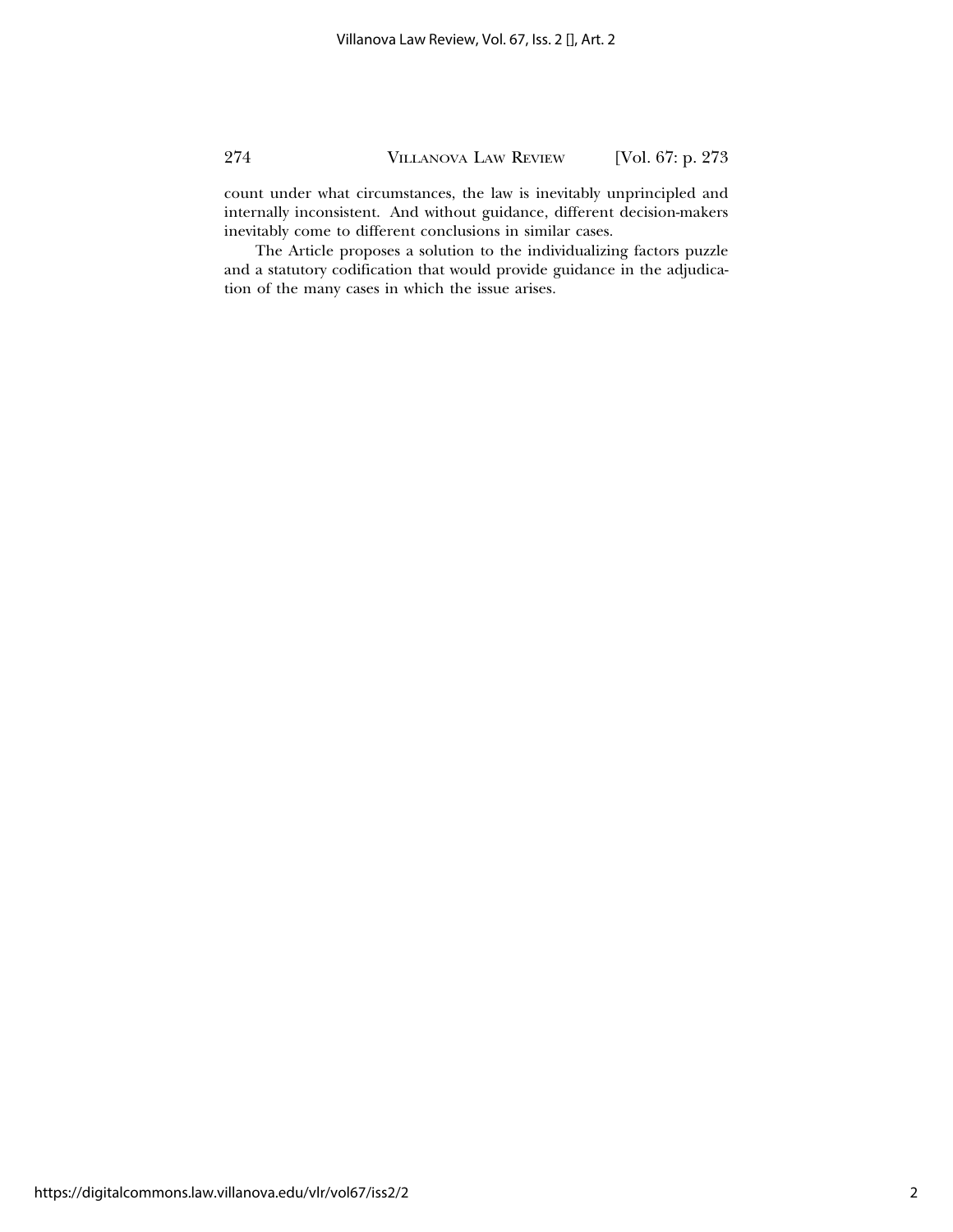count under what circumstances, the law is inevitably unprincipled and internally inconsistent. And without guidance, different decision-makers inevitably come to different conclusions in similar cases.

The Article proposes a solution to the individualizing factors puzzle and a statutory codification that would provide guidance in the adjudication of the many cases in which the issue arises.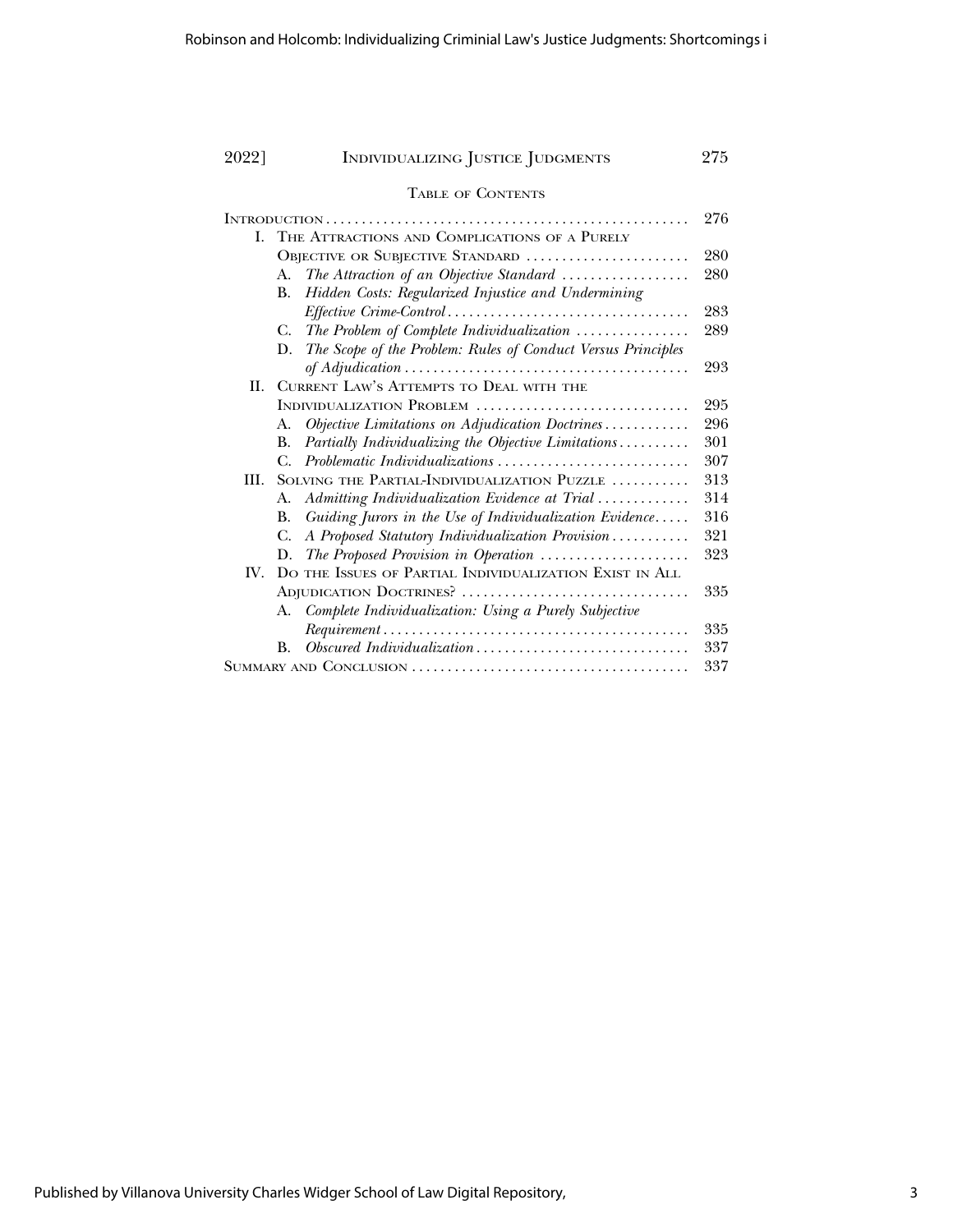| 2022] | INDIVIDUALIZING JUSTICE JUDGMENTS                                                                             | 275 |
|-------|---------------------------------------------------------------------------------------------------------------|-----|
|       | <b>TABLE OF CONTENTS</b>                                                                                      |     |
|       |                                                                                                               | 276 |
| L.    | THE ATTRACTIONS AND COMPLICATIONS OF A PURELY                                                                 |     |
|       | OBJECTIVE OR SUBJECTIVE STANDARD                                                                              | 280 |
|       | The Attraction of an Objective Standard<br>A.                                                                 | 280 |
|       | Hidden Costs: Regularized Injustice and Undermining<br>В.                                                     |     |
|       |                                                                                                               | 283 |
|       | The Problem of Complete Individualization<br>C.                                                               | 289 |
|       | The Scope of the Problem: Rules of Conduct Versus Principles<br>D.                                            |     |
|       |                                                                                                               | 293 |
| H.    | CURRENT LAW'S ATTEMPTS TO DEAL WITH THE                                                                       |     |
|       | INDIVIDUALIZATION PROBLEM                                                                                     | 295 |
|       | Objective Limitations on Adjudication Doctrines<br>А.                                                         | 296 |
|       | Partially Individualizing the Objective Limitations<br>В.                                                     | 301 |
|       | Problematic Individualizations<br>С.                                                                          | 307 |
| III.  | SOLVING THE PARTIAL-INDIVIDUALIZATION PUZZLE                                                                  | 313 |
|       | Admitting Individualization Evidence at Trial<br>A.                                                           | 314 |
|       | Guiding Jurors in the Use of Individualization Evidence<br>В.                                                 | 316 |
|       | A Proposed Statutory Individualization Provision<br>С.                                                        | 321 |
|       | The Proposed Provision in Operation<br>D.                                                                     | 323 |
| IV.   | DO THE ISSUES OF PARTIAL INDIVIDUALIZATION EXIST IN ALL                                                       |     |
|       | ADJUDICATION DOCTRINES?                                                                                       | 335 |
|       | Complete Individualization: Using a Purely Subjective<br>A.                                                   |     |
|       | $Requirement \dots \dots \dots \dots \dots \dots \dots \dots \dots \dots \dots \dots \dots \dots \dots \dots$ | 335 |
|       | $Obsoured\ Individualization \dots \dots \dots \dots \dots \dots \dots \dots \dots \dots \dots$<br>$\bf{B}$ . | 337 |
|       |                                                                                                               |     |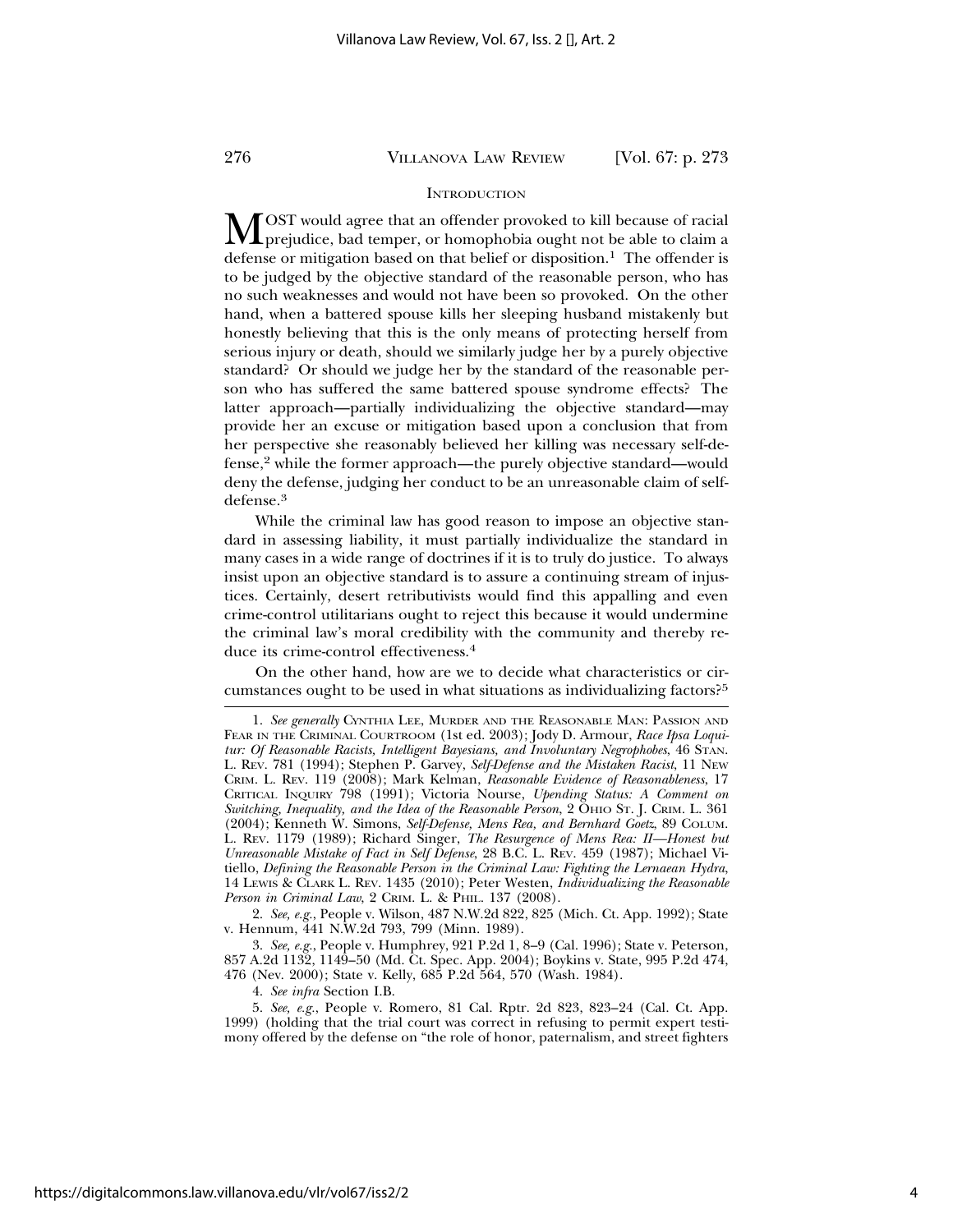#### **INTRODUCTION**

MOST would agree that an offender provoked to kill because of racial<br>prejudice, bad temper, or homophobia ought not be able to claim a defense or mitigation based on that belief or disposition.<sup>1</sup> The offender is to be judged by the objective standard of the reasonable person, who has no such weaknesses and would not have been so provoked. On the other hand, when a battered spouse kills her sleeping husband mistakenly but honestly believing that this is the only means of protecting herself from serious injury or death, should we similarly judge her by a purely objective standard? Or should we judge her by the standard of the reasonable person who has suffered the same battered spouse syndrome effects? The latter approach—partially individualizing the objective standard—may provide her an excuse or mitigation based upon a conclusion that from her perspective she reasonably believed her killing was necessary self-defense,2 while the former approach—the purely objective standard—would deny the defense, judging her conduct to be an unreasonable claim of selfdefense.3

While the criminal law has good reason to impose an objective standard in assessing liability, it must partially individualize the standard in many cases in a wide range of doctrines if it is to truly do justice. To always insist upon an objective standard is to assure a continuing stream of injustices. Certainly, desert retributivists would find this appalling and even crime-control utilitarians ought to reject this because it would undermine the criminal law's moral credibility with the community and thereby reduce its crime-control effectiveness.<sup>4</sup>

On the other hand, how are we to decide what characteristics or circumstances ought to be used in what situations as individualizing factors?<sup>5</sup>

2. *See, e.g.*, People v. Wilson, 487 N.W.2d 822, 825 (Mich. Ct. App. 1992); State v. Hennum, 441 N.W.2d 793, 799 (Minn. 1989).

3. *See, e.g.*, People v. Humphrey, 921 P.2d 1, 8–9 (Cal. 1996); State v. Peterson, 857 A.2d 1132, 1149–50 (Md. Ct. Spec. App. 2004); Boykins v. State, 995 P.2d 474, 476 (Nev. 2000); State v. Kelly, 685 P.2d 564, 570 (Wash. 1984).

4. *See infra* Section I.B.

5. *See, e.g.*, People v. Romero, 81 Cal. Rptr. 2d 823, 823–24 (Cal. Ct. App. 1999) (holding that the trial court was correct in refusing to permit expert testimony offered by the defense on "the role of honor, paternalism, and street fighters

<sup>1.</sup> *See generally* CYNTHIA LEE, MURDER AND THE REASONABLE MAN: PASSION AND FEAR IN THE CRIMINAL COURTROOM (1st ed. 2003); Jody D. Armour, *Race Ipsa Loquitur: Of Reasonable Racists, Intelligent Bayesians, and Involuntary Negrophobes*, 46 STAN. L. REV. 781 (1994); Stephen P. Garvey, *Self-Defense and the Mistaken Racist*, 11 NEW CRIM. L. REV. 119 (2008); Mark Kelman, *Reasonable Evidence of Reasonableness*, 17 CRITICAL INQUIRY 798 (1991); Victoria Nourse, *Upending Status: A Comment on Switching, Inequality, and the Idea of the Reasonable Person*, 2 OHIO ST. J. CRIM. L. 361 (2004); Kenneth W. Simons, *Self-Defense, Mens Rea, and Bernhard Goetz*, 89 COLUM. L. REV. 1179 (1989); Richard Singer, *The Resurgence of Mens Rea: II—Honest but Unreasonable Mistake of Fact in Self Defense*, 28 B.C. L. REV. 459 (1987); Michael Vitiello, *Defining the Reasonable Person in the Criminal Law: Fighting the Lernaean Hydra*, 14 LEWIS & CLARK L. REV. 1435 (2010); Peter Westen, *Individualizing the Reasonable Person in Criminal Law*, 2 CRIM. L. & PHIL. 137 (2008).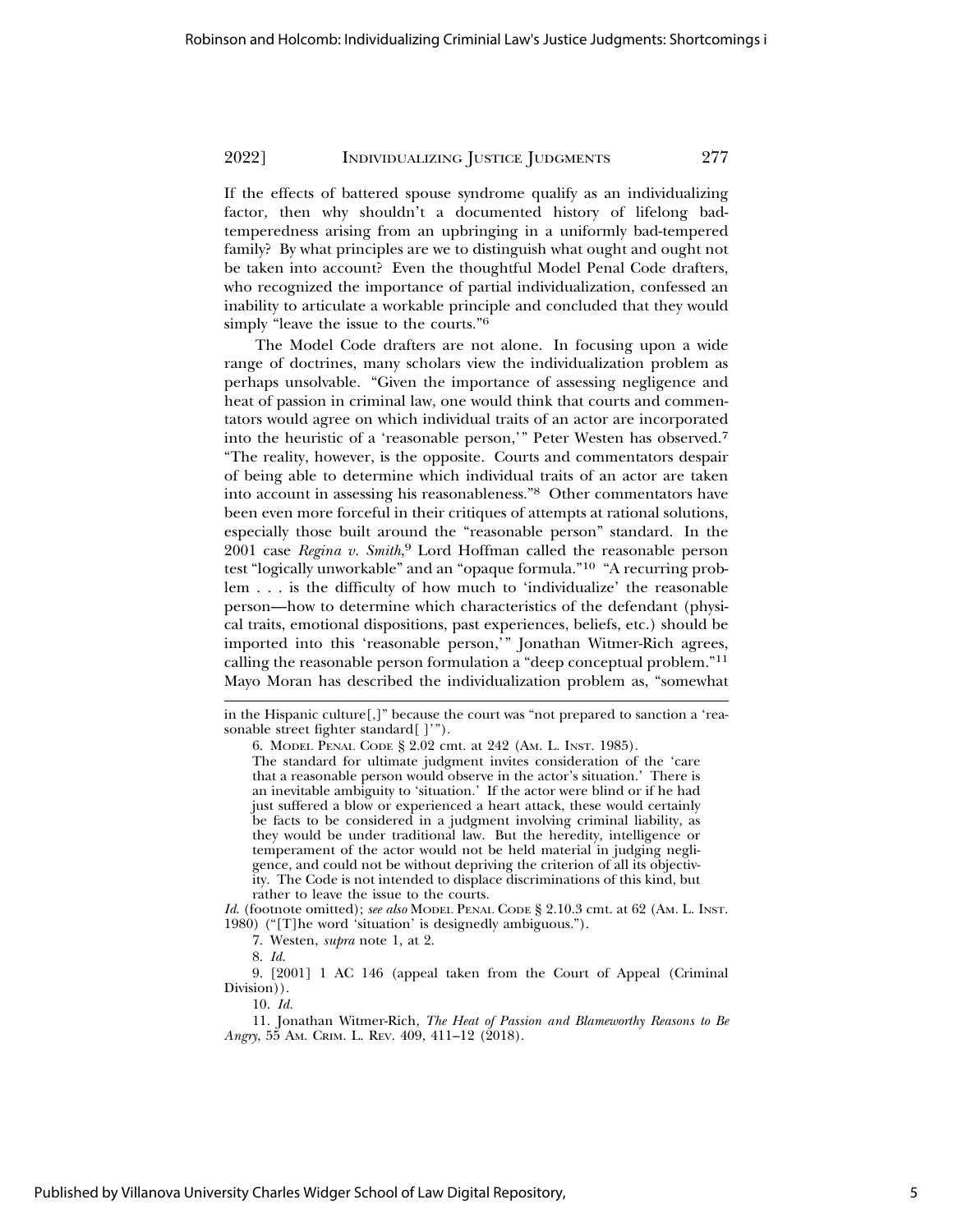If the effects of battered spouse syndrome qualify as an individualizing factor, then why shouldn't a documented history of lifelong badtemperedness arising from an upbringing in a uniformly bad-tempered family? By what principles are we to distinguish what ought and ought not be taken into account? Even the thoughtful Model Penal Code drafters, who recognized the importance of partial individualization, confessed an inability to articulate a workable principle and concluded that they would simply "leave the issue to the courts."<sup>6</sup>

The Model Code drafters are not alone. In focusing upon a wide range of doctrines, many scholars view the individualization problem as perhaps unsolvable. "Given the importance of assessing negligence and heat of passion in criminal law, one would think that courts and commentators would agree on which individual traits of an actor are incorporated into the heuristic of a 'reasonable person,'" Peter Westen has observed.<sup>7</sup> "The reality, however, is the opposite. Courts and commentators despair of being able to determine which individual traits of an actor are taken into account in assessing his reasonableness."8 Other commentators have been even more forceful in their critiques of attempts at rational solutions, especially those built around the "reasonable person" standard. In the 2001 case *Regina v. Smith*, 9 Lord Hoffman called the reasonable person test "logically unworkable" and an "opaque formula."10 "A recurring problem . . . is the difficulty of how much to 'individualize' the reasonable person—how to determine which characteristics of the defendant (physical traits, emotional dispositions, past experiences, beliefs, etc.) should be imported into this 'reasonable person,'" Jonathan Witmer-Rich agrees, calling the reasonable person formulation a "deep conceptual problem."<sup>11</sup> Mayo Moran has described the individualization problem as, "somewhat

*Id*. (footnote omitted); *see also* MODEL PENAL CODE § 2.10.3 cmt. at 62 (AM. L. INST. 1980) ("[T]he word 'situation' is designedly ambiguous.").

7. Westen, *supra* note 1, at 2.

9. [2001] 1 AC 146 (appeal taken from the Court of Appeal (Criminal Division)).

10. *Id.*

11. Jonathan Witmer-Rich, *The Heat of Passion and Blameworthy Reasons to Be Angry*, 55 AM. CRIM. L. REV. 409, 411–12 (2018).

in the Hispanic culture[,]" because the court was "not prepared to sanction a 'reasonable street fighter standard[ ]'").

<sup>6.</sup> MODEL PENAL CODE § 2.02 cmt. at 242 (AM. L. INST. 1985).

The standard for ultimate judgment invites consideration of the 'care that a reasonable person would observe in the actor's situation.' There is an inevitable ambiguity to 'situation.' If the actor were blind or if he had just suffered a blow or experienced a heart attack, these would certainly be facts to be considered in a judgment involving criminal liability, as they would be under traditional law. But the heredity, intelligence or temperament of the actor would not be held material in judging negligence, and could not be without depriving the criterion of all its objectivity. The Code is not intended to displace discriminations of this kind, but rather to leave the issue to the courts.

<sup>8.</sup> *Id.*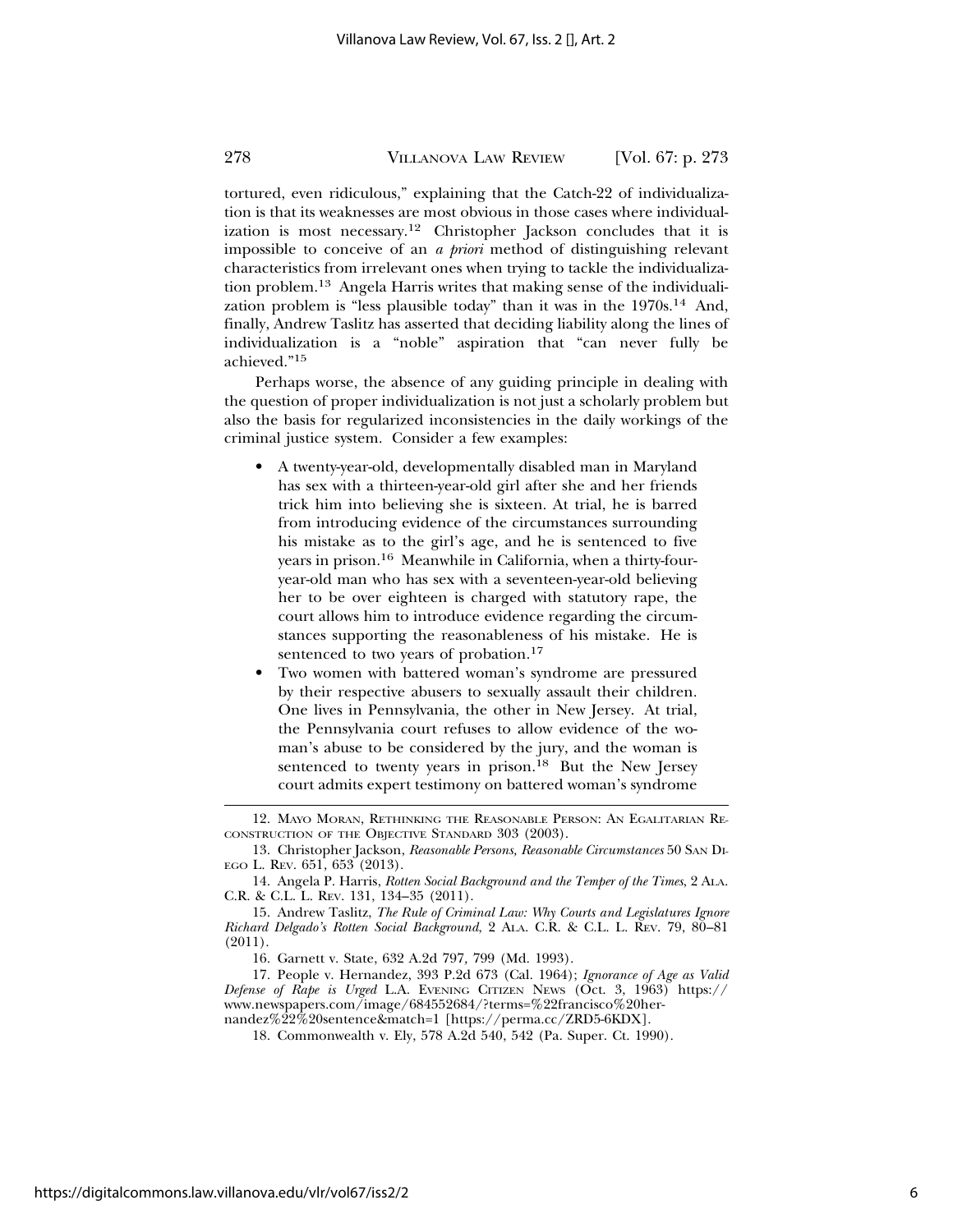tortured, even ridiculous," explaining that the Catch-22 of individualization is that its weaknesses are most obvious in those cases where individualization is most necessary.<sup>12</sup> Christopher Jackson concludes that it is impossible to conceive of an *a priori* method of distinguishing relevant characteristics from irrelevant ones when trying to tackle the individualization problem.13 Angela Harris writes that making sense of the individualization problem is "less plausible today" than it was in the  $1970s<sup>14</sup>$  And, finally, Andrew Taslitz has asserted that deciding liability along the lines of individualization is a "noble" aspiration that "can never fully be achieved."15

Perhaps worse, the absence of any guiding principle in dealing with the question of proper individualization is not just a scholarly problem but also the basis for regularized inconsistencies in the daily workings of the criminal justice system. Consider a few examples:

- A twenty-year-old, developmentally disabled man in Maryland has sex with a thirteen-year-old girl after she and her friends trick him into believing she is sixteen. At trial, he is barred from introducing evidence of the circumstances surrounding his mistake as to the girl's age, and he is sentenced to five years in prison.16 Meanwhile in California, when a thirty-fouryear-old man who has sex with a seventeen-year-old believing her to be over eighteen is charged with statutory rape, the court allows him to introduce evidence regarding the circumstances supporting the reasonableness of his mistake. He is sentenced to two years of probation.<sup>17</sup>
- Two women with battered woman's syndrome are pressured by their respective abusers to sexually assault their children. One lives in Pennsylvania, the other in New Jersey. At trial, the Pennsylvania court refuses to allow evidence of the woman's abuse to be considered by the jury, and the woman is sentenced to twenty years in prison.<sup>18</sup> But the New Jersey court admits expert testimony on battered woman's syndrome

<sup>12.</sup> MAYO MORAN, RETHINKING THE REASONABLE PERSON: AN EGALITARIAN RE-CONSTRUCTION OF THE OBJECTIVE STANDARD 303 (2003).

<sup>13.</sup> Christopher Jackson, *Reasonable Persons, Reasonable Circumstances* 50 SAN DI-EGO L. REV. 651, 653 (2013).

<sup>14.</sup> Angela P. Harris, *Rotten Social Background and the Temper of the Times*, 2 ALA. C.R. & C.L. L. REV. 131, 134–35 (2011).

<sup>15.</sup> Andrew Taslitz, *The Rule of Criminal Law: Why Courts and Legislatures Ignore Richard Delgado's Rotten Social Background*, 2 ALA. C.R. & C.L. L. REV. 79, 80–81 (2011).

<sup>16.</sup> Garnett v. State, 632 A.2d 797*,* 799 (Md. 1993).

<sup>17.</sup> People v. Hernandez, 393 P.2d 673 (Cal. 1964); *Ignorance of Age as Valid Defense of Rape is Urged* L.A. EVENING CITIZEN NEWS (Oct. 3, 1963) https:// www.newspapers.com/image/684552684/?terms=%22francisco%20hernandez%22%20sentence&match=1 [https://perma.cc/ZRD5-6KDX].

<sup>18.</sup> Commonwealth v. Ely, 578 A.2d 540, 542 (Pa. Super. Ct. 1990).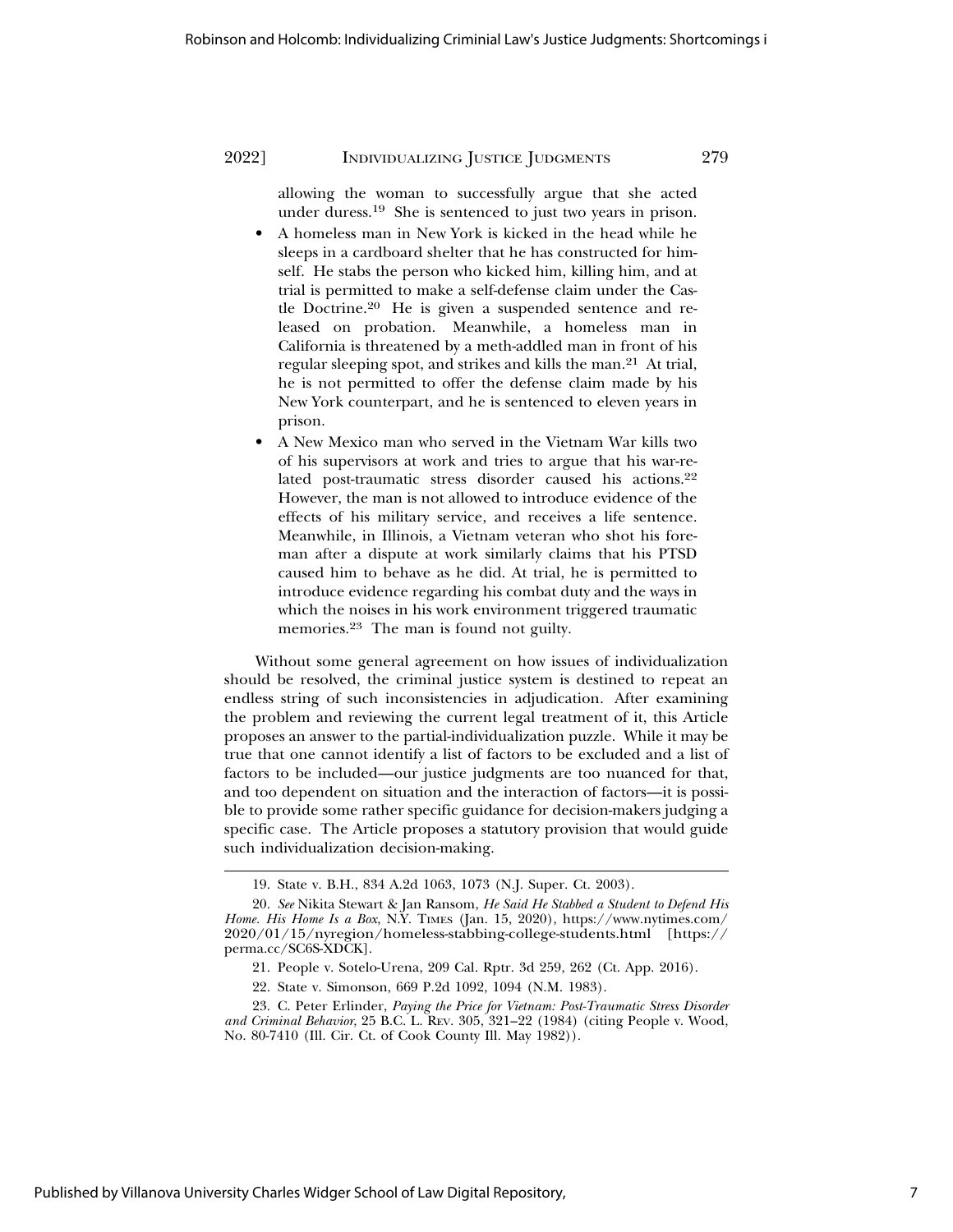allowing the woman to successfully argue that she acted under duress.19 She is sentenced to just two years in prison.

- A homeless man in New York is kicked in the head while he sleeps in a cardboard shelter that he has constructed for himself. He stabs the person who kicked him, killing him, and at trial is permitted to make a self-defense claim under the Castle Doctrine.20 He is given a suspended sentence and released on probation. Meanwhile, a homeless man in California is threatened by a meth-addled man in front of his regular sleeping spot, and strikes and kills the man.21 At trial, he is not permitted to offer the defense claim made by his New York counterpart, and he is sentenced to eleven years in prison.
- A New Mexico man who served in the Vietnam War kills two of his supervisors at work and tries to argue that his war-related post-traumatic stress disorder caused his actions.<sup>22</sup> However, the man is not allowed to introduce evidence of the effects of his military service, and receives a life sentence. Meanwhile, in Illinois, a Vietnam veteran who shot his foreman after a dispute at work similarly claims that his PTSD caused him to behave as he did. At trial, he is permitted to introduce evidence regarding his combat duty and the ways in which the noises in his work environment triggered traumatic memories.23 The man is found not guilty.

Without some general agreement on how issues of individualization should be resolved, the criminal justice system is destined to repeat an endless string of such inconsistencies in adjudication. After examining the problem and reviewing the current legal treatment of it, this Article proposes an answer to the partial-individualization puzzle. While it may be true that one cannot identify a list of factors to be excluded and a list of factors to be included—our justice judgments are too nuanced for that, and too dependent on situation and the interaction of factors—it is possible to provide some rather specific guidance for decision-makers judging a specific case. The Article proposes a statutory provision that would guide such individualization decision-making.

<sup>19.</sup> State v. B.H., 834 A.2d 1063, 1073 (N.J. Super. Ct. 2003).

<sup>20.</sup> *See* Nikita Stewart & Jan Ransom, *He Said He Stabbed a Student to Defend His Home. His Home Is a Box*, N.Y. TIMES (Jan. 15, 2020), https://www.nytimes.com/ 2020/01/15/nyregion/homeless-stabbing-college-students.html [https:// perma.cc/SC6S-XDCK].

<sup>21.</sup> People v. Sotelo-Urena, 209 Cal. Rptr. 3d 259, 262 (Ct. App. 2016).

<sup>22.</sup> State v. Simonson, 669 P.2d 1092, 1094 (N.M. 1983).

<sup>23.</sup> C. Peter Erlinder, *Paying the Price for Vietnam: Post-Traumatic Stress Disorder and Criminal Behavior*, 25 B.C. L. REV. 305, 321–22 (1984) (citing People v. Wood, No. 80-7410 (Ill. Cir. Ct. of Cook County Ill. May 1982)).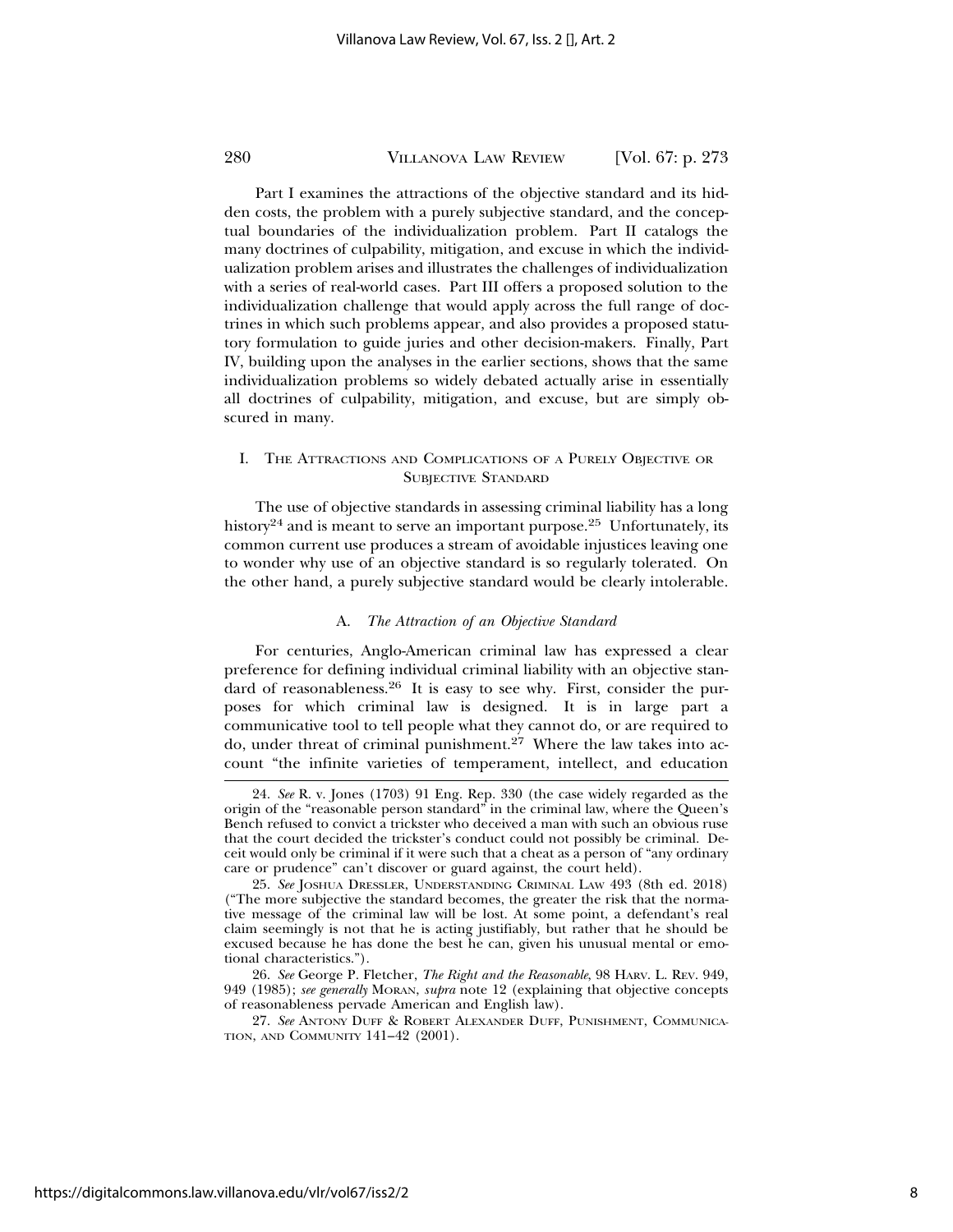Part I examines the attractions of the objective standard and its hidden costs, the problem with a purely subjective standard, and the conceptual boundaries of the individualization problem. Part II catalogs the many doctrines of culpability, mitigation, and excuse in which the individualization problem arises and illustrates the challenges of individualization with a series of real-world cases. Part III offers a proposed solution to the individualization challenge that would apply across the full range of doctrines in which such problems appear, and also provides a proposed statutory formulation to guide juries and other decision-makers. Finally, Part IV, building upon the analyses in the earlier sections, shows that the same individualization problems so widely debated actually arise in essentially all doctrines of culpability, mitigation, and excuse, but are simply obscured in many.

#### I. THE ATTRACTIONS AND COMPLICATIONS OF A PURELY OBJECTIVE OR SUBJECTIVE STANDARD

The use of objective standards in assessing criminal liability has a long history<sup>24</sup> and is meant to serve an important purpose.<sup>25</sup> Unfortunately, its common current use produces a stream of avoidable injustices leaving one to wonder why use of an objective standard is so regularly tolerated. On the other hand, a purely subjective standard would be clearly intolerable.

#### A. *The Attraction of an Objective Standard*

For centuries, Anglo-American criminal law has expressed a clear preference for defining individual criminal liability with an objective standard of reasonableness.<sup>26</sup> It is easy to see why. First, consider the purposes for which criminal law is designed. It is in large part a communicative tool to tell people what they cannot do, or are required to do, under threat of criminal punishment.27 Where the law takes into account "the infinite varieties of temperament, intellect, and education

<sup>24.</sup> *See* R. v. Jones (1703) 91 Eng. Rep. 330 (the case widely regarded as the origin of the "reasonable person standard" in the criminal law, where the Queen's Bench refused to convict a trickster who deceived a man with such an obvious ruse that the court decided the trickster's conduct could not possibly be criminal. Deceit would only be criminal if it were such that a cheat as a person of "any ordinary care or prudence" can't discover or guard against, the court held).

<sup>25.</sup> *See* JOSHUA DRESSLER, UNDERSTANDING CRIMINAL LAW 493 (8th ed. 2018) ("The more subjective the standard becomes, the greater the risk that the normative message of the criminal law will be lost. At some point, a defendant's real claim seemingly is not that he is acting justifiably, but rather that he should be excused because he has done the best he can, given his unusual mental or emotional characteristics.").

<sup>26.</sup> *See* George P. Fletcher, *The Right and the Reasonable*, 98 HARV. L. REV. 949, 949 (1985); *see generally* MORAN, *supra* note 12 (explaining that objective concepts of reasonableness pervade American and English law).

<sup>27.</sup> *See* ANTONY DUFF & ROBERT ALEXANDER DUFF, PUNISHMENT, COMMUNICA-TION, AND COMMUNITY 141–42 (2001).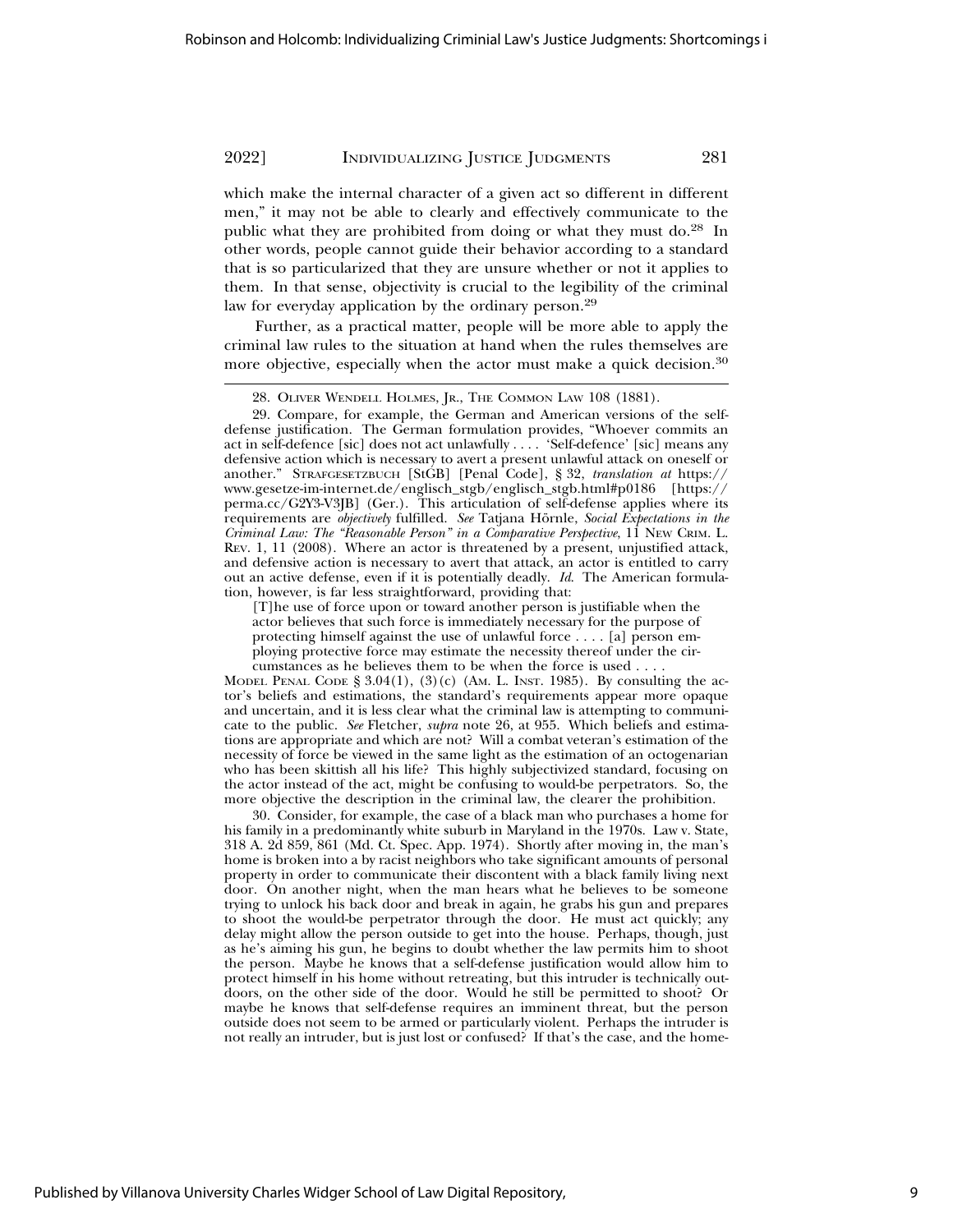which make the internal character of a given act so different in different men," it may not be able to clearly and effectively communicate to the public what they are prohibited from doing or what they must do.28 In other words, people cannot guide their behavior according to a standard that is so particularized that they are unsure whether or not it applies to them. In that sense, objectivity is crucial to the legibility of the criminal law for everyday application by the ordinary person.<sup>29</sup>

Further, as a practical matter, people will be more able to apply the criminal law rules to the situation at hand when the rules themselves are more objective, especially when the actor must make a quick decision.<sup>30</sup>

29. Compare, for example, the German and American versions of the selfdefense justification. The German formulation provides, "Whoever commits an act in self-defence [sic] does not act unlawfully . . . . 'Self-defence' [sic] means any defensive action which is necessary to avert a present unlawful attack on oneself or another." STRAFGESETZBUCH [StGB] [Penal Code], § 32, *translation at* https:// www.gesetze-im-internet.de/englisch\_stgb/englisch\_stgb.html#p0186 [https:// perma.cc/G2Y3-V3JB] (Ger.). This articulation of self-defense applies where its requirements are *objectively* fulfilled. See Tatjana Hörnle, Social Expectations in the *Criminal Law: The "Reasonable Person" in a Comparative Perspective*, 11 NEW CRIM. L. REV. 1, 11 (2008). Where an actor is threatened by a present, unjustified attack, and defensive action is necessary to avert that attack, an actor is entitled to carry out an active defense, even if it is potentially deadly. *Id*. The American formulation, however, is far less straightforward, providing that:

[T]he use of force upon or toward another person is justifiable when the actor believes that such force is immediately necessary for the purpose of protecting himself against the use of unlawful force . . . . [a] person employing protective force may estimate the necessity thereof under the circumstances as he believes them to be when the force is used . . . .

MODEL PENAL CODE  $\S 3.04(1)$ ,  $(3)(c)$  (AM. L. INST. 1985). By consulting the actor's beliefs and estimations, the standard's requirements appear more opaque and uncertain, and it is less clear what the criminal law is attempting to communicate to the public. *See* Fletcher, *supra* note 26, at 955. Which beliefs and estimations are appropriate and which are not? Will a combat veteran's estimation of the necessity of force be viewed in the same light as the estimation of an octogenarian who has been skittish all his life? This highly subjectivized standard, focusing on the actor instead of the act, might be confusing to would-be perpetrators. So, the more objective the description in the criminal law, the clearer the prohibition.

30. Consider, for example, the case of a black man who purchases a home for his family in a predominantly white suburb in Maryland in the 1970s. Law v. State, 318 A. 2d 859, 861 (Md. Ct. Spec. App. 1974). Shortly after moving in, the man's home is broken into a by racist neighbors who take significant amounts of personal property in order to communicate their discontent with a black family living next door. On another night, when the man hears what he believes to be someone trying to unlock his back door and break in again, he grabs his gun and prepares to shoot the would-be perpetrator through the door. He must act quickly; any delay might allow the person outside to get into the house. Perhaps, though, just as he's aiming his gun, he begins to doubt whether the law permits him to shoot the person. Maybe he knows that a self-defense justification would allow him to protect himself in his home without retreating, but this intruder is technically outdoors, on the other side of the door. Would he still be permitted to shoot? Or maybe he knows that self-defense requires an imminent threat, but the person outside does not seem to be armed or particularly violent. Perhaps the intruder is not really an intruder, but is just lost or confused? If that's the case, and the home-

<sup>28.</sup> OLIVER WENDELL HOLMES, JR., THE COMMON LAW 108 (1881).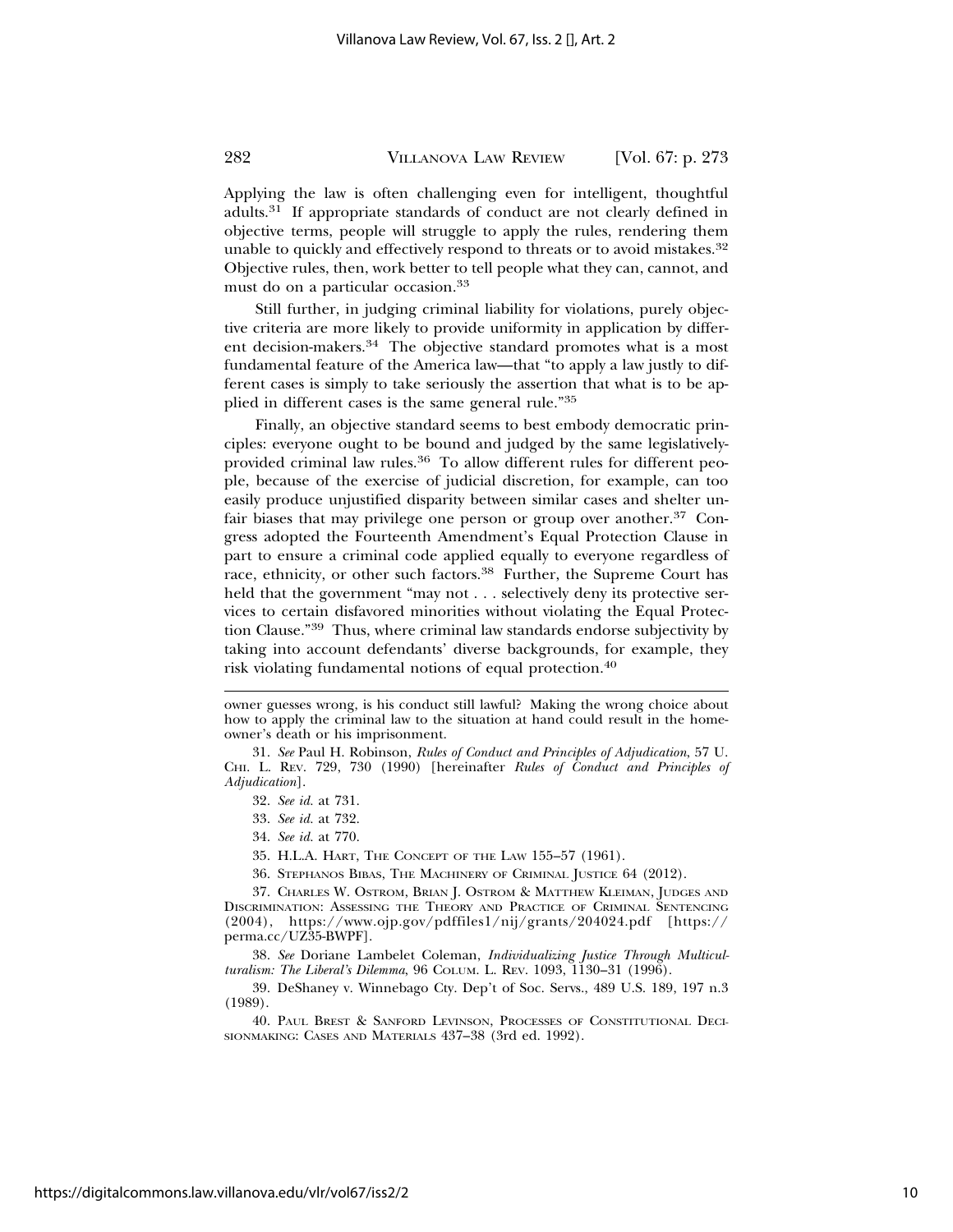Applying the law is often challenging even for intelligent, thoughtful adults.31 If appropriate standards of conduct are not clearly defined in objective terms, people will struggle to apply the rules, rendering them unable to quickly and effectively respond to threats or to avoid mistakes.<sup>32</sup> Objective rules, then, work better to tell people what they can, cannot, and must do on a particular occasion.<sup>33</sup>

Still further, in judging criminal liability for violations, purely objective criteria are more likely to provide uniformity in application by different decision-makers.34 The objective standard promotes what is a most fundamental feature of the America law—that "to apply a law justly to different cases is simply to take seriously the assertion that what is to be applied in different cases is the same general rule."<sup>35</sup>

Finally, an objective standard seems to best embody democratic principles: everyone ought to be bound and judged by the same legislativelyprovided criminal law rules.<sup>36</sup> To allow different rules for different people, because of the exercise of judicial discretion, for example, can too easily produce unjustified disparity between similar cases and shelter unfair biases that may privilege one person or group over another.<sup>37</sup> Congress adopted the Fourteenth Amendment's Equal Protection Clause in part to ensure a criminal code applied equally to everyone regardless of race, ethnicity, or other such factors.<sup>38</sup> Further, the Supreme Court has held that the government "may not . . . selectively deny its protective services to certain disfavored minorities without violating the Equal Protection Clause."39 Thus, where criminal law standards endorse subjectivity by taking into account defendants' diverse backgrounds, for example, they risk violating fundamental notions of equal protection.<sup>40</sup>

owner guesses wrong, is his conduct still lawful? Making the wrong choice about how to apply the criminal law to the situation at hand could result in the homeowner's death or his imprisonment.

<sup>31.</sup> *See* Paul H. Robinson, *Rules of Conduct and Principles of Adjudication*, 57 U. CHI. L. REV. 729, 730 (1990) [hereinafter *Rules of Conduct and Principles of Adjudication*].

<sup>32.</sup> *See id.* at 731.

<sup>33.</sup> *See id.* at 732.

<sup>34.</sup> *See id.* at 770.

<sup>35.</sup> H.L.A. HART, THE CONCEPT OF THE LAW 155–57 (1961).

<sup>36.</sup> STEPHANOS BIBAS, THE MACHINERY OF CRIMINAL JUSTICE 64 (2012).

<sup>37.</sup> CHARLES W. OSTROM, BRIAN J. OSTROM & MATTHEW KLEIMAN, JUDGES AND DISCRIMINATION: ASSESSING THE THEORY AND PRACTICE OF CRIMINAL SENTENCING (2004), https://www.ojp.gov/pdffiles1/nij/grants/204024.pdf [https:// perma.cc/UZ35-BWPF].

<sup>38.</sup> *See* Doriane Lambelet Coleman, *Individualizing Justice Through Multiculturalism: The Liberal's Dilemma*, 96 COLUM. L. REV. 1093, 1130–31 (1996).

<sup>39.</sup> DeShaney v. Winnebago Cty. Dep't of Soc. Servs., 489 U.S. 189, 197 n.3 (1989).

<sup>40.</sup> PAUL BREST & SANFORD LEVINSON, PROCESSES OF CONSTITUTIONAL DECI-SIONMAKING: CASES AND MATERIALS 437-38 (3rd ed. 1992).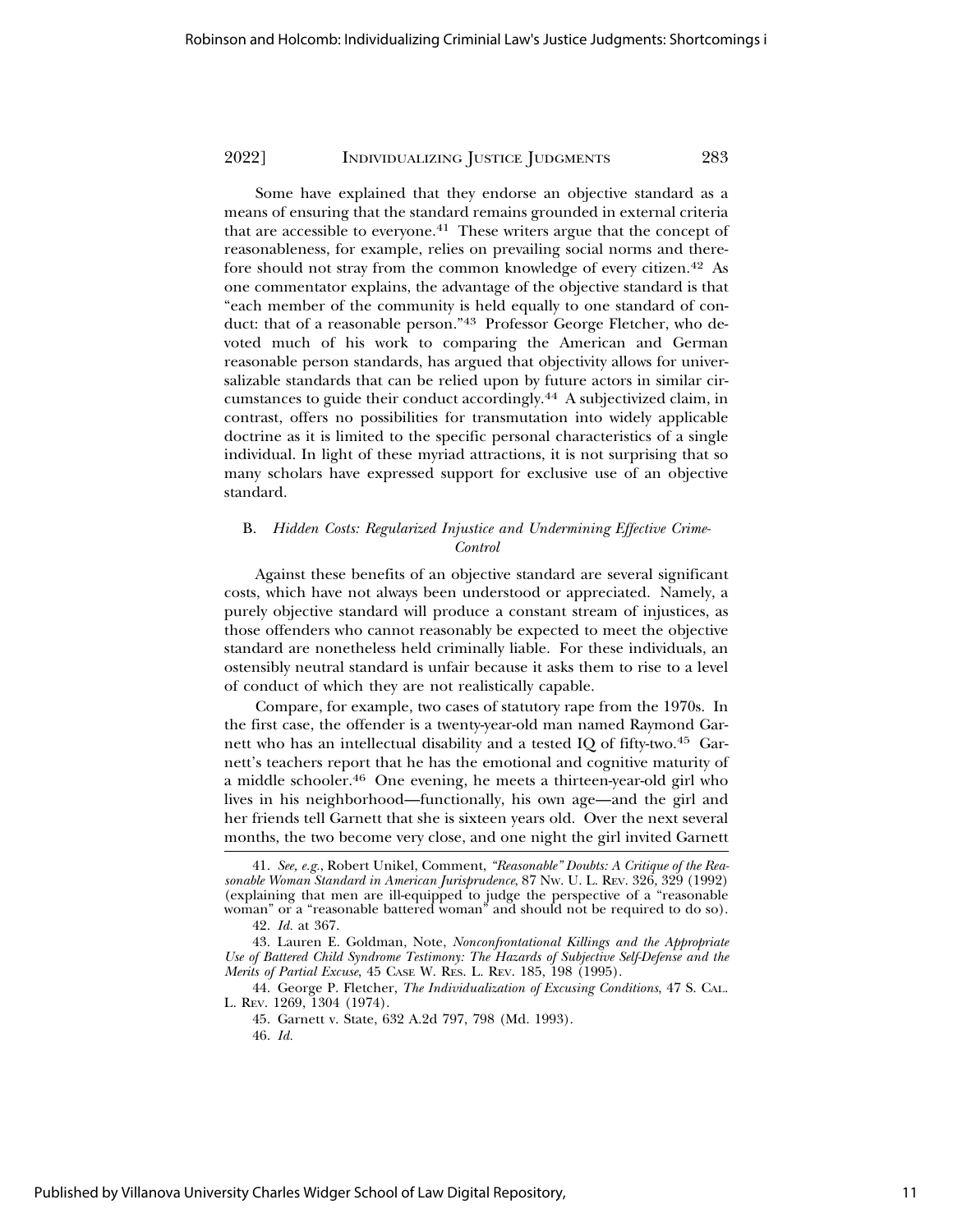Some have explained that they endorse an objective standard as a means of ensuring that the standard remains grounded in external criteria that are accessible to everyone.<sup>41</sup> These writers argue that the concept of reasonableness, for example, relies on prevailing social norms and therefore should not stray from the common knowledge of every citizen.42 As one commentator explains, the advantage of the objective standard is that "each member of the community is held equally to one standard of conduct: that of a reasonable person."43 Professor George Fletcher, who devoted much of his work to comparing the American and German reasonable person standards, has argued that objectivity allows for universalizable standards that can be relied upon by future actors in similar circumstances to guide their conduct accordingly.44 A subjectivized claim, in contrast, offers no possibilities for transmutation into widely applicable doctrine as it is limited to the specific personal characteristics of a single individual. In light of these myriad attractions, it is not surprising that so many scholars have expressed support for exclusive use of an objective standard.

#### B. *Hidden Costs: Regularized Injustice and Undermining Effective Crime-Control*

Against these benefits of an objective standard are several significant costs, which have not always been understood or appreciated. Namely, a purely objective standard will produce a constant stream of injustices, as those offenders who cannot reasonably be expected to meet the objective standard are nonetheless held criminally liable. For these individuals, an ostensibly neutral standard is unfair because it asks them to rise to a level of conduct of which they are not realistically capable.

Compare, for example, two cases of statutory rape from the 1970s. In the first case, the offender is a twenty-year-old man named Raymond Garnett who has an intellectual disability and a tested IQ of fifty-two.<sup>45</sup> Garnett's teachers report that he has the emotional and cognitive maturity of a middle schooler.46 One evening, he meets a thirteen-year-old girl who lives in his neighborhood—functionally, his own age—and the girl and her friends tell Garnett that she is sixteen years old. Over the next several months, the two become very close, and one night the girl invited Garnett

44. George P. Fletcher, *The Individualization of Excusing Conditions*, 47 S. CAL. L. REV. 1269, 1304 (1974).

<sup>41.</sup> *See, e.g.*, Robert Unikel, Comment, *"Reasonable" Doubts: A Critique of the Reasonable Woman Standard in American Jurisprudence*, 87 NW. U. L. REV. 326, 329 (1992) (explaining that men are ill-equipped to judge the perspective of a "reasonable woman" or a "reasonable battered woman" and should not be required to do so).

<sup>42.</sup> *Id.* at 367.

<sup>43.</sup> Lauren E. Goldman, Note, *Nonconfrontational Killings and the Appropriate Use of Battered Child Syndrome Testimony: The Hazards of Subjective Self-Defense and the Merits of Partial Excuse*, 45 CASE W. RES. L. REV. 185, 198 (1995).

<sup>45.</sup> Garnett v. State, 632 A.2d 797, 798 (Md. 1993).

<sup>46.</sup> *Id.*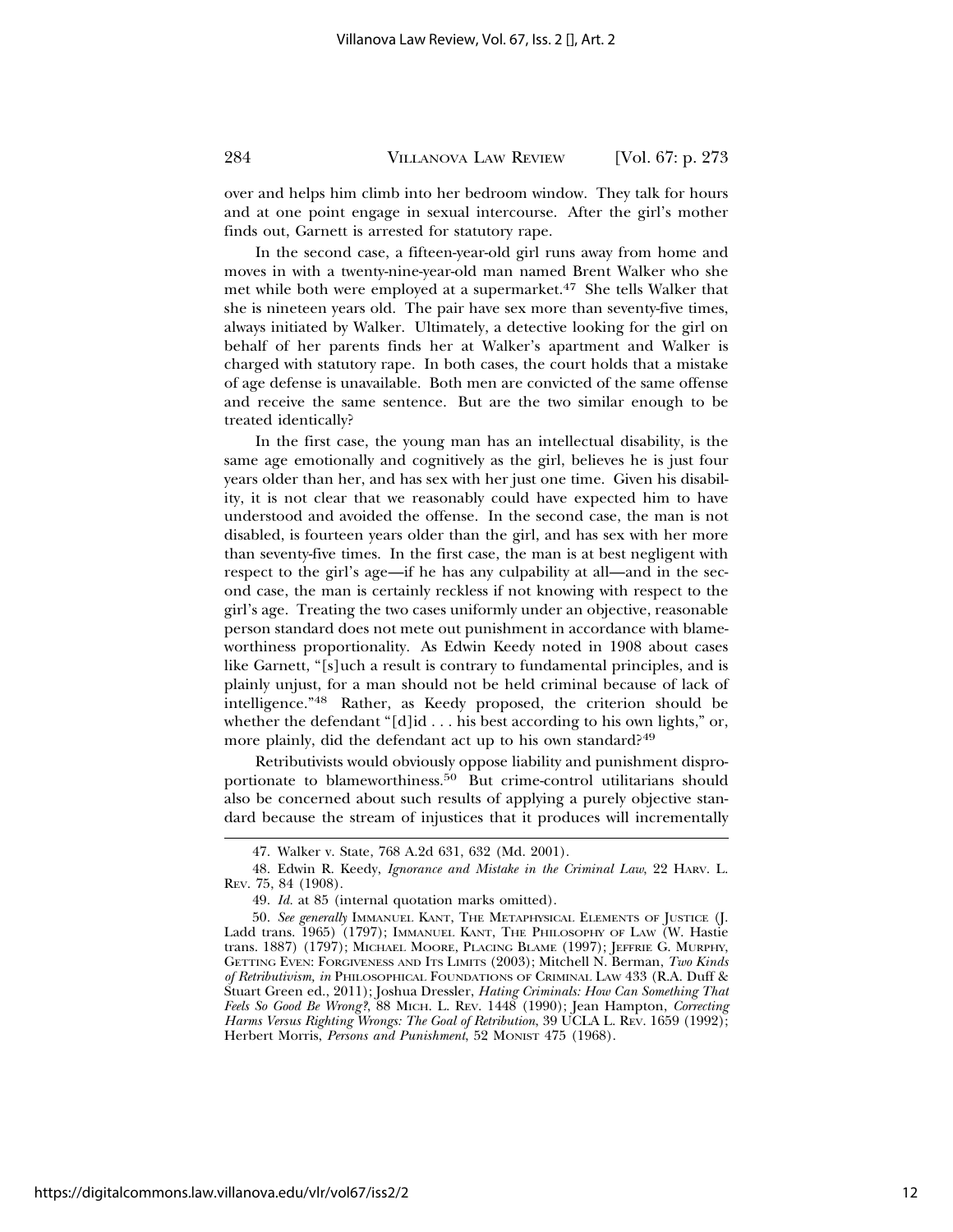over and helps him climb into her bedroom window. They talk for hours and at one point engage in sexual intercourse. After the girl's mother finds out, Garnett is arrested for statutory rape.

In the second case, a fifteen-year-old girl runs away from home and moves in with a twenty-nine-year-old man named Brent Walker who she met while both were employed at a supermarket.<sup>47</sup> She tells Walker that she is nineteen years old. The pair have sex more than seventy-five times, always initiated by Walker. Ultimately, a detective looking for the girl on behalf of her parents finds her at Walker's apartment and Walker is charged with statutory rape. In both cases, the court holds that a mistake of age defense is unavailable. Both men are convicted of the same offense and receive the same sentence. But are the two similar enough to be treated identically?

In the first case, the young man has an intellectual disability, is the same age emotionally and cognitively as the girl, believes he is just four years older than her, and has sex with her just one time. Given his disability, it is not clear that we reasonably could have expected him to have understood and avoided the offense. In the second case, the man is not disabled, is fourteen years older than the girl, and has sex with her more than seventy-five times. In the first case, the man is at best negligent with respect to the girl's age—if he has any culpability at all—and in the second case, the man is certainly reckless if not knowing with respect to the girl's age. Treating the two cases uniformly under an objective, reasonable person standard does not mete out punishment in accordance with blameworthiness proportionality. As Edwin Keedy noted in 1908 about cases like Garnett, "[s]uch a result is contrary to fundamental principles, and is plainly unjust, for a man should not be held criminal because of lack of intelligence."48 Rather, as Keedy proposed, the criterion should be whether the defendant "[d]id . . . his best according to his own lights," or, more plainly, did the defendant act up to his own standard?<sup>49</sup>

Retributivists would obviously oppose liability and punishment disproportionate to blameworthiness.50 But crime-control utilitarians should also be concerned about such results of applying a purely objective standard because the stream of injustices that it produces will incrementally

<sup>47.</sup> Walker v. State, 768 A.2d 631, 632 (Md. 2001).

<sup>48.</sup> Edwin R. Keedy, *Ignorance and Mistake in the Criminal Law*, 22 HARV. L. REV. 75, 84 (1908).

<sup>49.</sup> *Id.* at 85 (internal quotation marks omitted).

<sup>50.</sup> *See generally* IMMANUEL KANT, THE METAPHYSICAL ELEMENTS OF JUSTICE (J. Ladd trans. 1965) (1797); IMMANUEL KANT, THE PHILOSOPHY OF LAW (W. Hastie trans. 1887) (1797); MICHAEL MOORE, PLACING BLAME (1997); JEFFRIE G. MURPHY, GETTING EVEN: FORGIVENESS AND ITS LIMITS (2003); Mitchell N. Berman, *Two Kinds of Retributivism, in* PHILOSOPHICAL FOUNDATIONS OF CRIMINAL LAW 433 (R.A. Duff & Stuart Green ed., 2011); Joshua Dressler, *Hating Criminals: How Can Something That Feels So Good Be Wrong?*, 88 MICH. L. REV. 1448 (1990); Jean Hampton, *Correcting Harms Versus Righting Wrongs: The Goal of Retribution*, 39 UCLA L. REV. 1659 (1992); Herbert Morris, *Persons and Punishment*, 52 MONIST 475 (1968).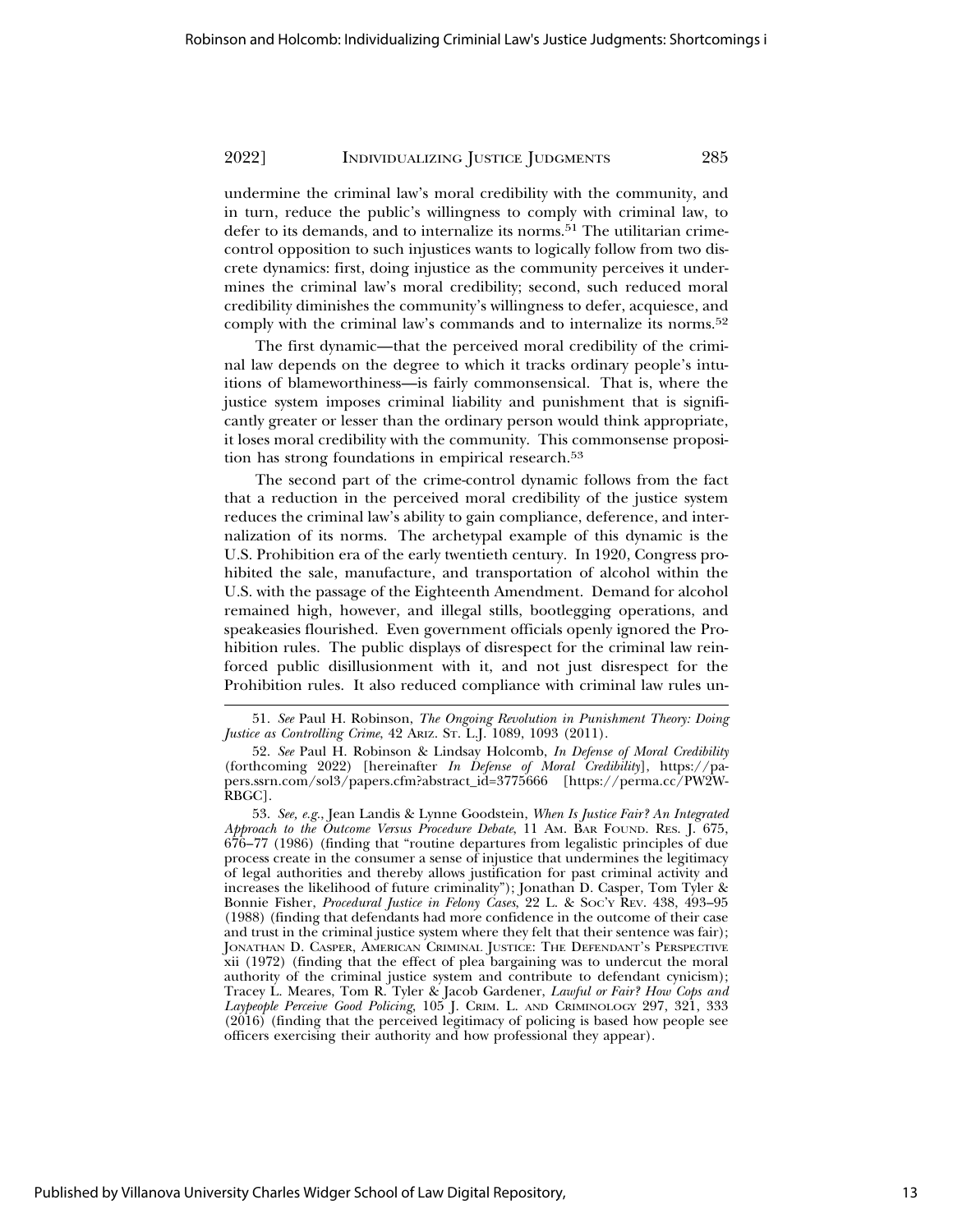undermine the criminal law's moral credibility with the community, and in turn, reduce the public's willingness to comply with criminal law, to defer to its demands, and to internalize its norms.<sup>51</sup> The utilitarian crimecontrol opposition to such injustices wants to logically follow from two discrete dynamics: first, doing injustice as the community perceives it undermines the criminal law's moral credibility; second, such reduced moral credibility diminishes the community's willingness to defer, acquiesce, and comply with the criminal law's commands and to internalize its norms.<sup>52</sup>

The first dynamic—that the perceived moral credibility of the criminal law depends on the degree to which it tracks ordinary people's intuitions of blameworthiness—is fairly commonsensical. That is, where the justice system imposes criminal liability and punishment that is significantly greater or lesser than the ordinary person would think appropriate, it loses moral credibility with the community. This commonsense proposition has strong foundations in empirical research.<sup>53</sup>

The second part of the crime-control dynamic follows from the fact that a reduction in the perceived moral credibility of the justice system reduces the criminal law's ability to gain compliance, deference, and internalization of its norms. The archetypal example of this dynamic is the U.S. Prohibition era of the early twentieth century. In 1920, Congress prohibited the sale, manufacture, and transportation of alcohol within the U.S. with the passage of the Eighteenth Amendment. Demand for alcohol remained high, however, and illegal stills, bootlegging operations, and speakeasies flourished. Even government officials openly ignored the Prohibition rules. The public displays of disrespect for the criminal law reinforced public disillusionment with it, and not just disrespect for the Prohibition rules. It also reduced compliance with criminal law rules un-

53. *See, e.g.*, Jean Landis & Lynne Goodstein, *When Is Justice Fair? An Integrated Approach to the Outcome Versus Procedure Debate*, 11 AM. BAR FOUND. RES. J. 675, 676–77 (1986) (finding that "routine departures from legalistic principles of due process create in the consumer a sense of injustice that undermines the legitimacy of legal authorities and thereby allows justification for past criminal activity and increases the likelihood of future criminality"); Jonathan D. Casper, Tom Tyler & Bonnie Fisher, *Procedural Justice in Felony Cases*, 22 L. & SOC'Y REV. 438, 493–95 (1988) (finding that defendants had more confidence in the outcome of their case and trust in the criminal justice system where they felt that their sentence was fair); JONATHAN D. CASPER, AMERICAN CRIMINAL JUSTICE: THE DEFENDANT'S PERSPECTIVE xii (1972) (finding that the effect of plea bargaining was to undercut the moral authority of the criminal justice system and contribute to defendant cynicism); Tracey L. Meares, Tom R. Tyler & Jacob Gardener, *Lawful or Fair? How Cops and Laypeople Perceive Good Policing*, 105 J. CRIM. L. AND CRIMINOLOGY 297, 321, 333 (2016) (finding that the perceived legitimacy of policing is based how people see officers exercising their authority and how professional they appear).

<sup>51.</sup> *See* Paul H. Robinson, *The Ongoing Revolution in Punishment Theory: Doing Justice as Controlling Crime*, 42 ARIZ. ST. L.J. 1089, 1093 (2011).

<sup>52.</sup> *See* Paul H. Robinson & Lindsay Holcomb, *In Defense of Moral Credibility* (forthcoming 2022) [hereinafter *In Defense of Moral Credibility*], https://papers.ssrn.com/sol3/papers.cfm?abstract\_id=3775666 [https://perma.cc/PW2W-RBGC].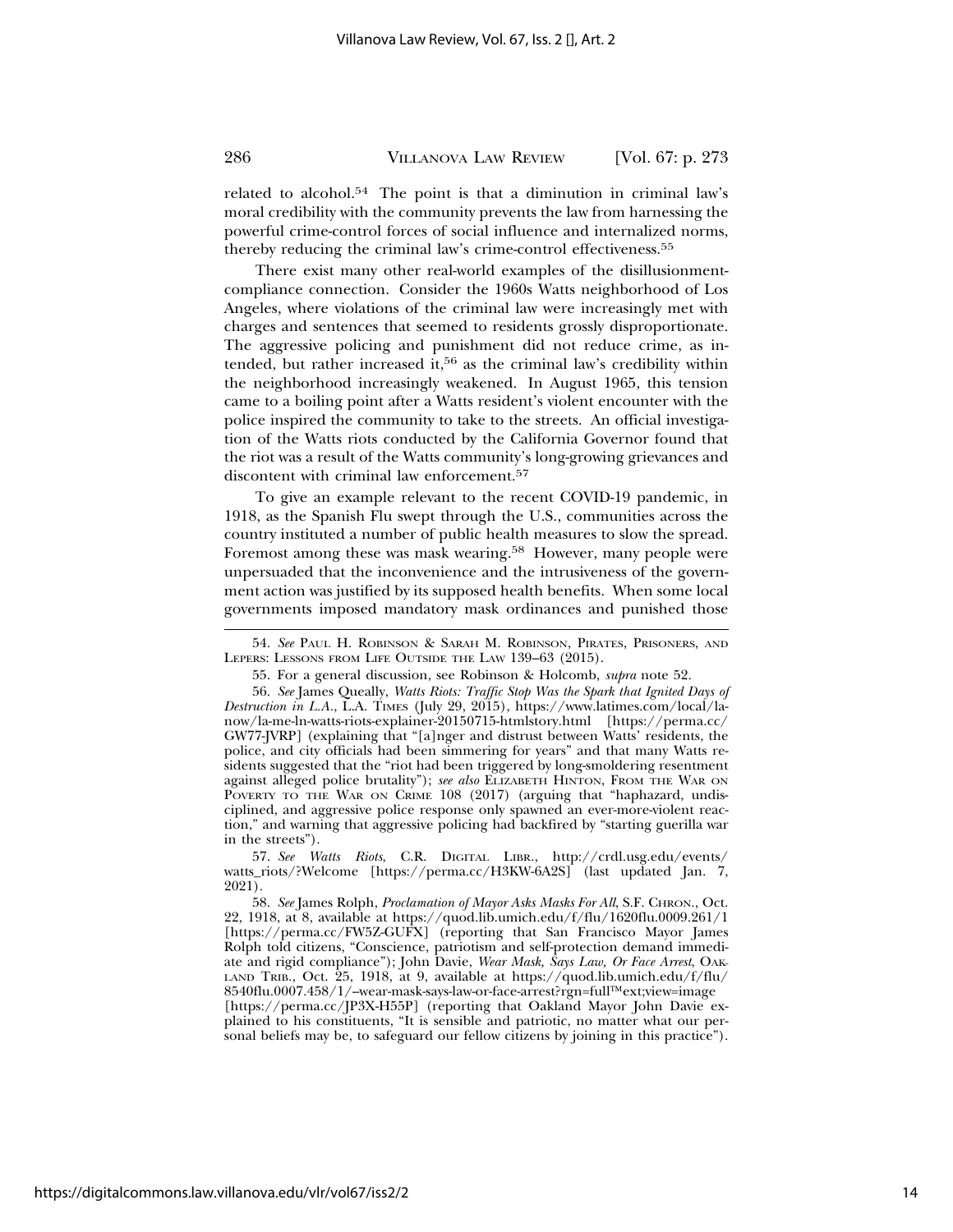related to alcohol.<sup>54</sup> The point is that a diminution in criminal law's moral credibility with the community prevents the law from harnessing the powerful crime-control forces of social influence and internalized norms, thereby reducing the criminal law's crime-control effectiveness.<sup>55</sup>

There exist many other real-world examples of the disillusionmentcompliance connection. Consider the 1960s Watts neighborhood of Los Angeles, where violations of the criminal law were increasingly met with charges and sentences that seemed to residents grossly disproportionate. The aggressive policing and punishment did not reduce crime, as intended, but rather increased it,<sup>56</sup> as the criminal law's credibility within the neighborhood increasingly weakened. In August 1965, this tension came to a boiling point after a Watts resident's violent encounter with the police inspired the community to take to the streets. An official investigation of the Watts riots conducted by the California Governor found that the riot was a result of the Watts community's long-growing grievances and discontent with criminal law enforcement.<sup>57</sup>

To give an example relevant to the recent COVID-19 pandemic, in 1918, as the Spanish Flu swept through the U.S., communities across the country instituted a number of public health measures to slow the spread. Foremost among these was mask wearing.58 However, many people were unpersuaded that the inconvenience and the intrusiveness of the government action was justified by its supposed health benefits. When some local governments imposed mandatory mask ordinances and punished those

57. *See Watts Riots*, C.R. DIGITAL LIBR., http://crdl.usg.edu/events/ watts\_riots/?Welcome [https://perma.cc/H3KW-6A2S] (last updated Jan. 7, 2021).

58. *See* James Rolph, *Proclamation of Mayor Asks Masks For All*, S.F. CHRON., Oct. 22, 1918, at 8, available at https://quod.lib.umich.edu/f/flu/1620flu.0009.261/1 [https://perma.cc/FW5Z-GUFX] (reporting that San Francisco Mayor James Rolph told citizens, "Conscience, patriotism and self-protection demand immediate and rigid compliance"); John Davie, *Wear Mask, Says Law, Or Face Arrest*, OAK-LAND TRIB., Oct. 25, 1918, at 9, available at https://quod.lib.umich.edu/f/flu/ 8540flu.0007.458/1/-wear-mask-says-law-or-face-arrest?rgn=full™ext;view=image [https://perma.cc/JP3X-H55P] (reporting that Oakland Mayor John Davie explained to his constituents, "It is sensible and patriotic, no matter what our personal beliefs may be, to safeguard our fellow citizens by joining in this practice").

<sup>54.</sup> *See* PAUL H. ROBINSON & SARAH M. ROBINSON, PIRATES, PRISONERS, AND LEPERS: LESSONS FROM LIFE OUTSIDE THE LAW 139–63 (2015).

<sup>55.</sup> For a general discussion, see Robinson & Holcomb, *supra* note 52.

<sup>56.</sup> *See* James Queally, *Watts Riots: Traffic Stop Was the Spark that Ignited Days of Destruction in L.A.*, L.A. TIMES (July 29, 2015), https://www.latimes.com/local/lanow/la-me-ln-watts-riots-explainer-20150715-htmlstory.html [https://perma.cc/ GW77-JVRP] (explaining that "[a]nger and distrust between Watts' residents, the police, and city officials had been simmering for years" and that many Watts residents suggested that the "riot had been triggered by long-smoldering resentment against alleged police brutality"); *see also* ELIZABETH HINTON, FROM THE WAR ON POVERTY TO THE WAR ON CRIME 108 (2017) (arguing that "haphazard, undisciplined, and aggressive police response only spawned an ever-more-violent reaction," and warning that aggressive policing had backfired by "starting guerilla war in the streets").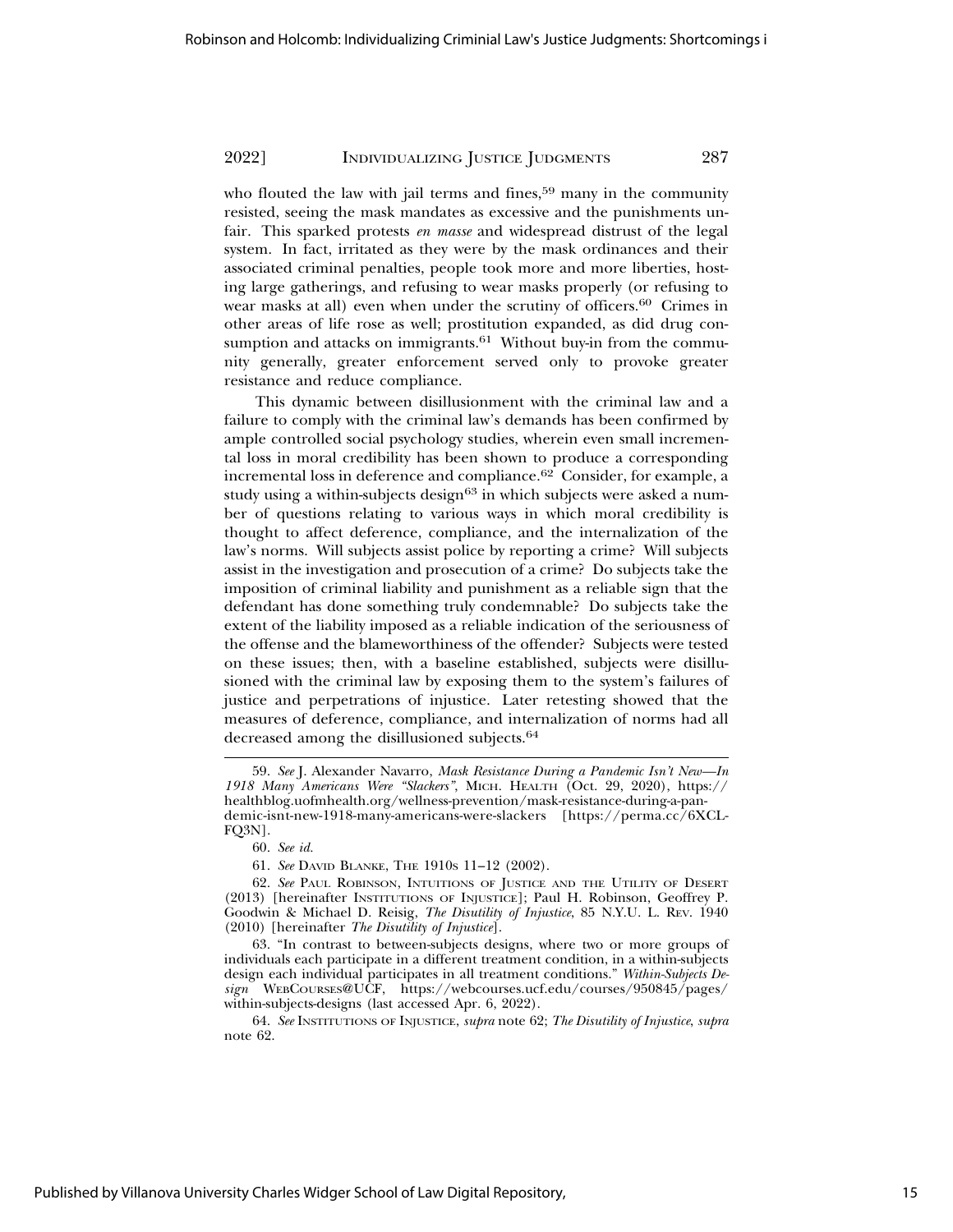who flouted the law with jail terms and fines,<sup>59</sup> many in the community resisted, seeing the mask mandates as excessive and the punishments unfair. This sparked protests *en masse* and widespread distrust of the legal system. In fact, irritated as they were by the mask ordinances and their associated criminal penalties, people took more and more liberties, hosting large gatherings, and refusing to wear masks properly (or refusing to wear masks at all) even when under the scrutiny of officers.<sup>60</sup> Crimes in other areas of life rose as well; prostitution expanded, as did drug consumption and attacks on immigrants. $61$  Without buy-in from the community generally, greater enforcement served only to provoke greater resistance and reduce compliance.

This dynamic between disillusionment with the criminal law and a failure to comply with the criminal law's demands has been confirmed by ample controlled social psychology studies, wherein even small incremental loss in moral credibility has been shown to produce a corresponding incremental loss in deference and compliance.62 Consider, for example, a study using a within-subjects design<sup>63</sup> in which subjects were asked a number of questions relating to various ways in which moral credibility is thought to affect deference, compliance, and the internalization of the law's norms. Will subjects assist police by reporting a crime? Will subjects assist in the investigation and prosecution of a crime? Do subjects take the imposition of criminal liability and punishment as a reliable sign that the defendant has done something truly condemnable? Do subjects take the extent of the liability imposed as a reliable indication of the seriousness of the offense and the blameworthiness of the offender? Subjects were tested on these issues; then, with a baseline established, subjects were disillusioned with the criminal law by exposing them to the system's failures of justice and perpetrations of injustice. Later retesting showed that the measures of deference, compliance, and internalization of norms had all decreased among the disillusioned subjects.<sup>64</sup>

<sup>59.</sup> *See* J. Alexander Navarro, *Mask Resistance During a Pandemic Isn't New—In 1918 Many Americans Were "Slackers"*, MICH. HEALTH (Oct. 29, 2020), https:// healthblog.uofmhealth.org/wellness-prevention/mask-resistance-during-a-pandemic-isnt-new-1918-many-americans-were-slackers [https://perma.cc/6XCL-FQ3N].

<sup>60.</sup> *See id.*

<sup>61.</sup> *See* DAVID BLANKE, THE 1910S 11–12 (2002).

<sup>62.</sup> *See* PAUL ROBINSON, INTUITIONS OF JUSTICE AND THE UTILITY OF DESERT (2013) [hereinafter INSTITUTIONS OF INJUSTICE]; Paul H. Robinson, Geoffrey P. Goodwin & Michael D. Reisig, *The Disutility of Injustice*, 85 N.Y.U. L. REV. 1940 (2010) [hereinafter *The Disutility of Injustice*].

<sup>63. &</sup>quot;In contrast to between-subjects designs, where two or more groups of individuals each participate in a different treatment condition, in a within-subjects design each individual participates in all treatment conditions." *Within-Subjects Design* WEBCOURSES@UCF, https://webcourses.ucf.edu/courses/950845/pages/ within-subjects-designs (last accessed Apr. 6, 2022).

<sup>64.</sup> *See* INSTITUTIONS OF INJUSTICE, *supra* note 62; *The Disutility of Injustice*, *supra* note 62.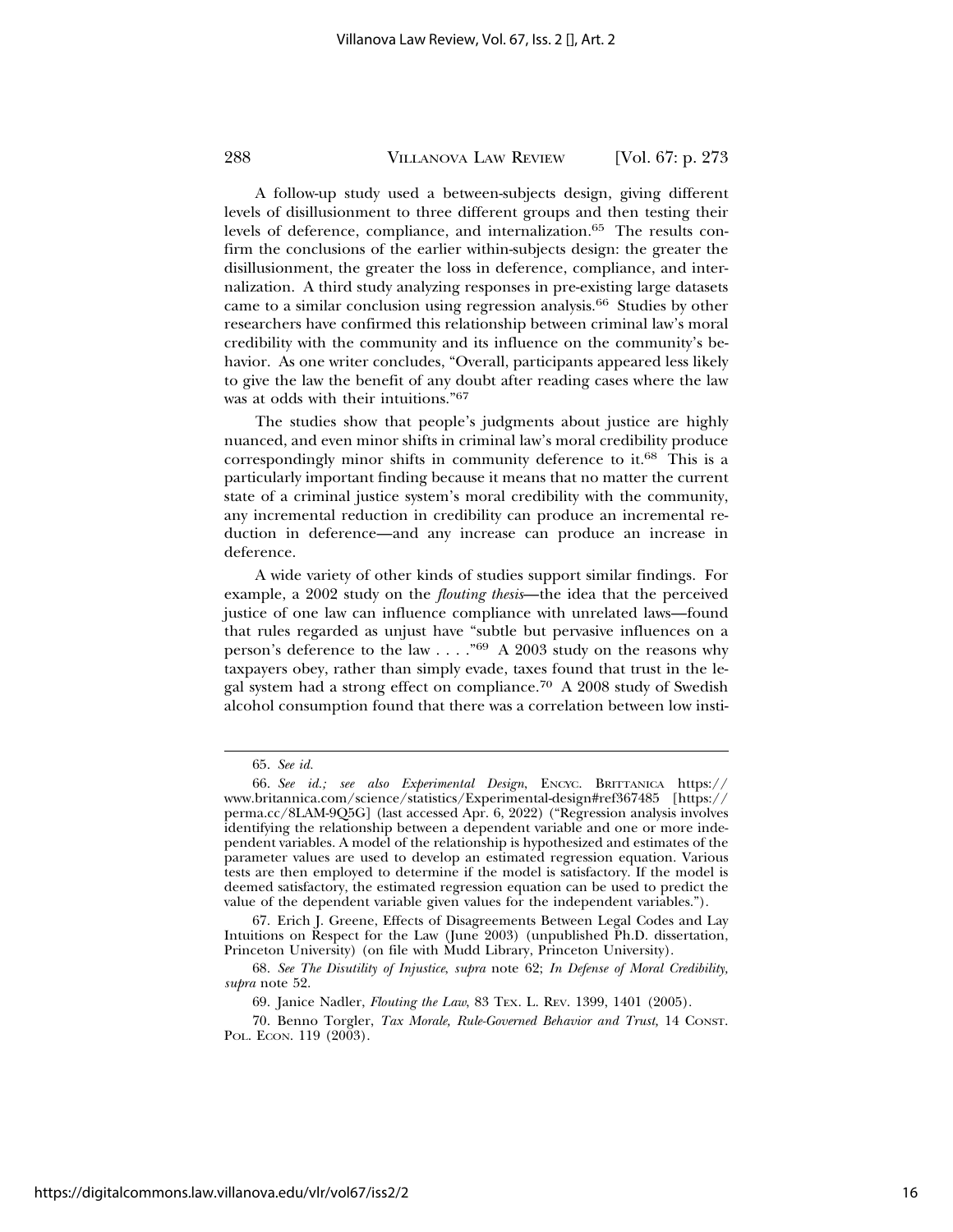A follow-up study used a between-subjects design, giving different levels of disillusionment to three different groups and then testing their levels of deference, compliance, and internalization.65 The results confirm the conclusions of the earlier within-subjects design: the greater the disillusionment, the greater the loss in deference, compliance, and internalization. A third study analyzing responses in pre-existing large datasets came to a similar conclusion using regression analysis.66 Studies by other researchers have confirmed this relationship between criminal law's moral credibility with the community and its influence on the community's behavior. As one writer concludes, "Overall, participants appeared less likely to give the law the benefit of any doubt after reading cases where the law was at odds with their intuitions."<sup>67</sup>

The studies show that people's judgments about justice are highly nuanced, and even minor shifts in criminal law's moral credibility produce correspondingly minor shifts in community deference to it.68 This is a particularly important finding because it means that no matter the current state of a criminal justice system's moral credibility with the community, any incremental reduction in credibility can produce an incremental reduction in deference—and any increase can produce an increase in deference.

A wide variety of other kinds of studies support similar findings. For example, a 2002 study on the *flouting thesis*—the idea that the perceived justice of one law can influence compliance with unrelated laws—found that rules regarded as unjust have "subtle but pervasive influences on a person's deference to the law . . . ."69 A 2003 study on the reasons why taxpayers obey, rather than simply evade, taxes found that trust in the legal system had a strong effect on compliance.70 A 2008 study of Swedish alcohol consumption found that there was a correlation between low insti-

<sup>65.</sup> *See id.*

<sup>66.</sup> *See id.; see also Experimental Design*, ENCYC. BRITTANICA https:// www.britannica.com/science/statistics/Experimental-design#ref367485 [https:// perma.cc/8LAM-9Q5G] (last accessed Apr. 6, 2022) ("Regression analysis involves identifying the relationship between a dependent variable and one or more independent variables. A model of the relationship is hypothesized and estimates of the parameter values are used to develop an estimated regression equation. Various tests are then employed to determine if the model is satisfactory. If the model is deemed satisfactory, the estimated regression equation can be used to predict the value of the dependent variable given values for the independent variables.").

<sup>67.</sup> Erich J. Greene, Effects of Disagreements Between Legal Codes and Lay Intuitions on Respect for the Law (June 2003) (unpublished Ph.D. dissertation, Princeton University) (on file with Mudd Library, Princeton University).

<sup>68.</sup> *See The Disutility of Injustice*, *supra* note 62; *In Defense of Moral Credibility, supra* note 52.

<sup>69.</sup> Janice Nadler, *Flouting the Law*, 83 TEX. L. REV. 1399, 1401 (2005).

<sup>70.</sup> Benno Torgler, *Tax Morale, Rule-Governed Behavior and Trust,* 14 CONST. POL. ECON. 119 (2003).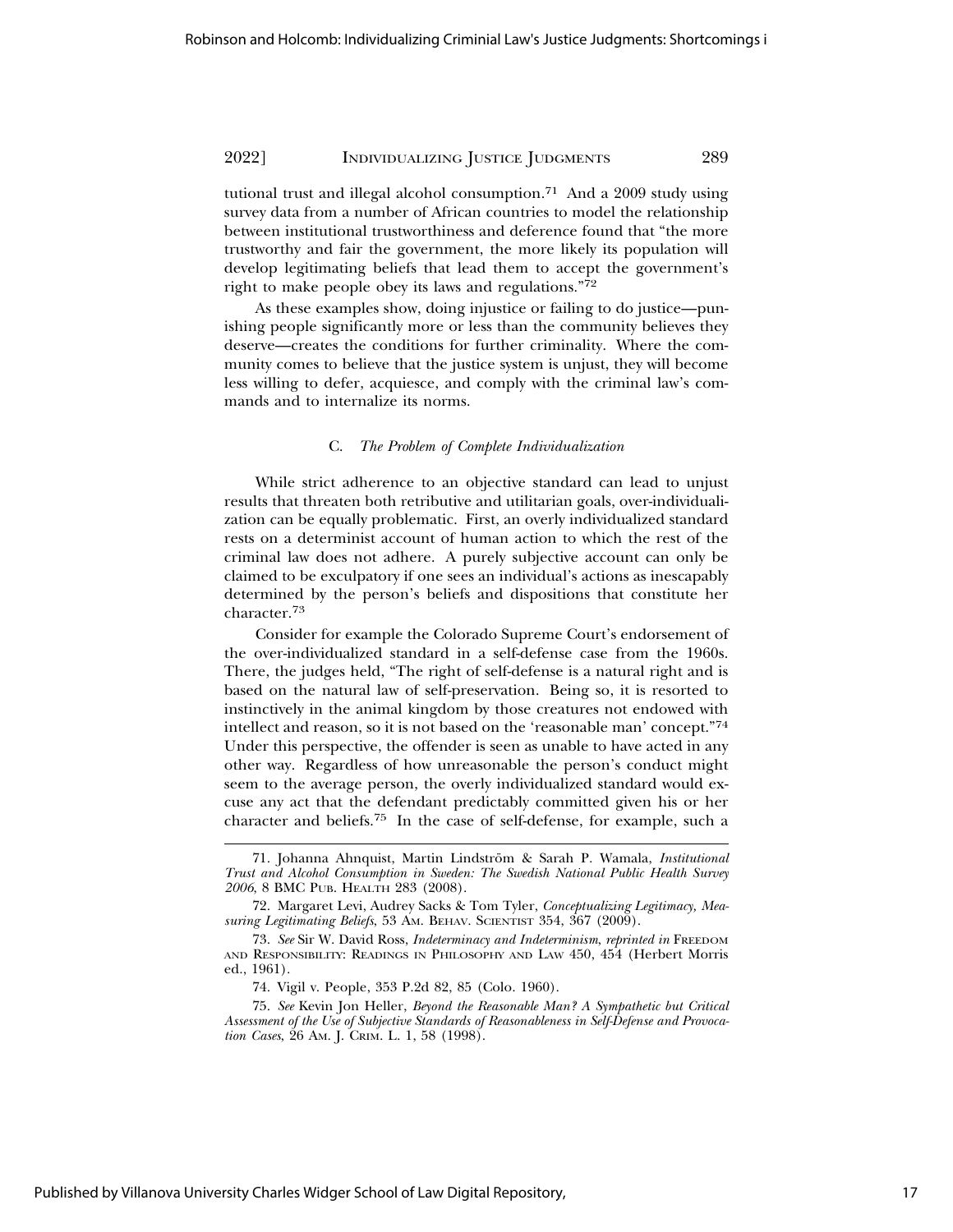tutional trust and illegal alcohol consumption.<sup>71</sup> And a 2009 study using survey data from a number of African countries to model the relationship between institutional trustworthiness and deference found that "the more trustworthy and fair the government, the more likely its population will develop legitimating beliefs that lead them to accept the government's right to make people obey its laws and regulations."<sup>72</sup>

As these examples show, doing injustice or failing to do justice—punishing people significantly more or less than the community believes they deserve—creates the conditions for further criminality. Where the community comes to believe that the justice system is unjust, they will become less willing to defer, acquiesce, and comply with the criminal law's commands and to internalize its norms.

#### C. *The Problem of Complete Individualization*

While strict adherence to an objective standard can lead to unjust results that threaten both retributive and utilitarian goals, over-individualization can be equally problematic. First, an overly individualized standard rests on a determinist account of human action to which the rest of the criminal law does not adhere. A purely subjective account can only be claimed to be exculpatory if one sees an individual's actions as inescapably determined by the person's beliefs and dispositions that constitute her character.73

Consider for example the Colorado Supreme Court's endorsement of the over-individualized standard in a self-defense case from the 1960s. There, the judges held, "The right of self-defense is a natural right and is based on the natural law of self-preservation. Being so, it is resorted to instinctively in the animal kingdom by those creatures not endowed with intellect and reason, so it is not based on the 'reasonable man' concept."<sup>74</sup> Under this perspective, the offender is seen as unable to have acted in any other way. Regardless of how unreasonable the person's conduct might seem to the average person, the overly individualized standard would excuse any act that the defendant predictably committed given his or her character and beliefs.75 In the case of self-defense, for example, such a

<sup>71.</sup> Johanna Ahnquist, Martin Lindström & Sarah P. Wamala, *Institutional Trust and Alcohol Consumption in Sweden: The Swedish National Public Health Survey 2006*, 8 BMC PUB. HEALTH 283 (2008).

<sup>72.</sup> Margaret Levi, Audrey Sacks & Tom Tyler, *Conceptualizing Legitimacy, Measuring Legitimating Beliefs*, 53 AM. BEHAV. SCIENTIST 354, 367 (2009).

<sup>73.</sup> *See* Sir W. David Ross, *Indeterminacy and Indeterminism*, *reprinted in* FREEDOM AND RESPONSIBILITY: READINGS IN PHILOSOPHY AND LAW 450, 454 (Herbert Morris ed., 1961).

<sup>74.</sup> Vigil v. People, 353 P.2d 82, 85 (Colo. 1960).

<sup>75.</sup> *See* Kevin Jon Heller, *Beyond the Reasonable Man? A Sympathetic but Critical Assessment of the Use of Subjective Standards of Reasonableness in Self-Defense and Provocation Cases*, 26 AM. J. CRIM. L. 1, 58 (1998).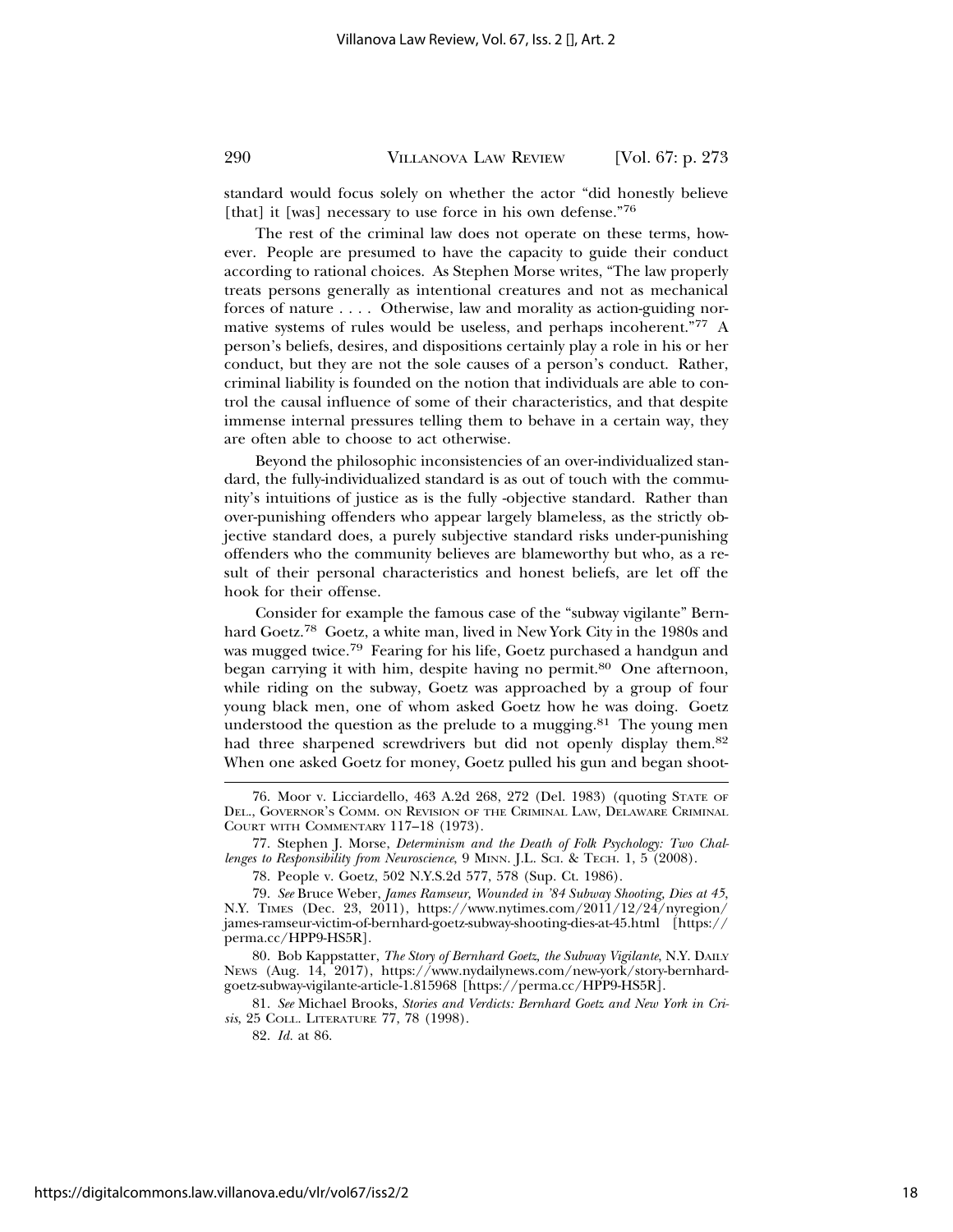standard would focus solely on whether the actor "did honestly believe [that] it [was] necessary to use force in his own defense."76

The rest of the criminal law does not operate on these terms, however. People are presumed to have the capacity to guide their conduct according to rational choices. As Stephen Morse writes, "The law properly treats persons generally as intentional creatures and not as mechanical forces of nature . . . . Otherwise, law and morality as action-guiding normative systems of rules would be useless, and perhaps incoherent."77 A person's beliefs, desires, and dispositions certainly play a role in his or her conduct, but they are not the sole causes of a person's conduct. Rather, criminal liability is founded on the notion that individuals are able to control the causal influence of some of their characteristics, and that despite immense internal pressures telling them to behave in a certain way, they are often able to choose to act otherwise.

Beyond the philosophic inconsistencies of an over-individualized standard, the fully-individualized standard is as out of touch with the community's intuitions of justice as is the fully -objective standard. Rather than over-punishing offenders who appear largely blameless, as the strictly objective standard does, a purely subjective standard risks under-punishing offenders who the community believes are blameworthy but who, as a result of their personal characteristics and honest beliefs, are let off the hook for their offense.

Consider for example the famous case of the "subway vigilante" Bernhard Goetz.78 Goetz, a white man, lived in New York City in the 1980s and was mugged twice.79 Fearing for his life, Goetz purchased a handgun and began carrying it with him, despite having no permit.<sup>80</sup> One afternoon, while riding on the subway, Goetz was approached by a group of four young black men, one of whom asked Goetz how he was doing. Goetz understood the question as the prelude to a mugging. $81$  The young men had three sharpened screwdrivers but did not openly display them.<sup>82</sup> When one asked Goetz for money, Goetz pulled his gun and began shoot-

80. Bob Kappstatter, *The Story of Bernhard Goetz, the Subway Vigilante*, N.Y. DAILY NEWS (Aug. 14, 2017), https://www.nydailynews.com/new-york/story-bernhardgoetz-subway-vigilante-article-1.815968 [https://perma.cc/HPP9-HS5R].

81. *See* Michael Brooks, *Stories and Verdicts: Bernhard Goetz and New York in Crisis*, 25 COLL. LITERATURE 77, 78 (1998).

82. *Id.* at 86.

<sup>76.</sup> Moor v. Licciardello, 463 A.2d 268, 272 (Del. 1983) (quoting STATE OF DEL., GOVERNOR'S COMM. ON REVISION OF THE CRIMINAL LAW, DELAWARE CRIMINAL COURT WITH COMMENTARY 117–18 (1973).

<sup>77.</sup> Stephen J. Morse, *Determinism and the Death of Folk Psychology: Two Challenges to Responsibility from Neuroscience*, 9 MINN. J.L. SCI. & TECH. 1, 5 (2008).

<sup>78.</sup> People v. Goetz, 502 N.Y.S.2d 577, 578 (Sup. Ct. 1986).

<sup>79.</sup> *See* Bruce Weber, *James Ramseur, Wounded in '84 Subway Shooting, Dies at 45*, N.Y. TIMES (Dec. 23, 2011), https://www.nytimes.com/2011/12/24/nyregion/ james-ramseur-victim-of-bernhard-goetz-subway-shooting-dies-at-45.html [https:// perma.cc/HPP9-HS5R].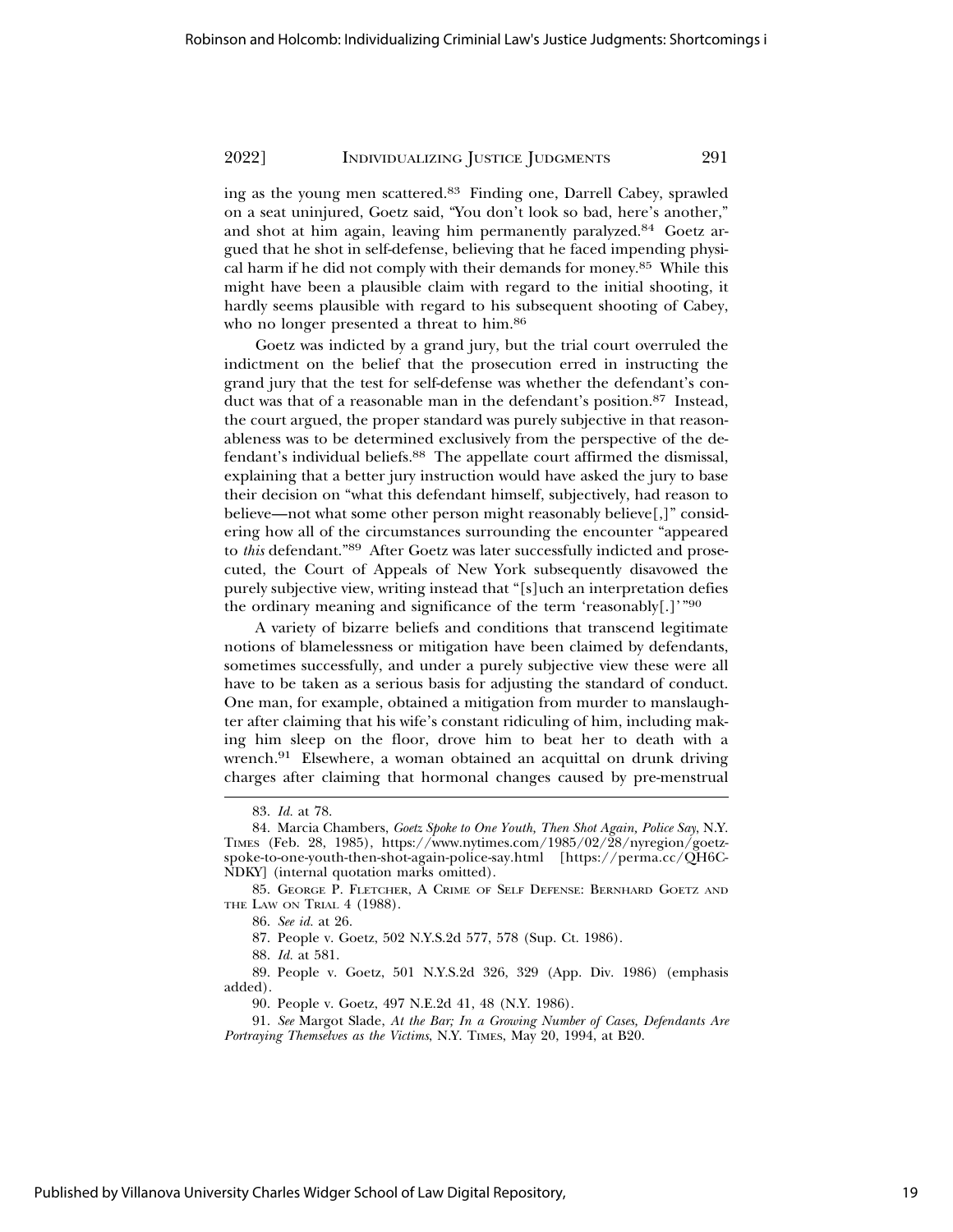ing as the young men scattered.83 Finding one, Darrell Cabey, sprawled on a seat uninjured, Goetz said, "You don't look so bad, here's another," and shot at him again, leaving him permanently paralyzed.<sup>84</sup> Goetz argued that he shot in self-defense, believing that he faced impending physical harm if he did not comply with their demands for money.85 While this might have been a plausible claim with regard to the initial shooting, it hardly seems plausible with regard to his subsequent shooting of Cabey, who no longer presented a threat to him.<sup>86</sup>

Goetz was indicted by a grand jury, but the trial court overruled the indictment on the belief that the prosecution erred in instructing the grand jury that the test for self-defense was whether the defendant's conduct was that of a reasonable man in the defendant's position.<sup>87</sup> Instead, the court argued, the proper standard was purely subjective in that reasonableness was to be determined exclusively from the perspective of the defendant's individual beliefs.<sup>88</sup> The appellate court affirmed the dismissal, explaining that a better jury instruction would have asked the jury to base their decision on "what this defendant himself, subjectively, had reason to believe—not what some other person might reasonably believe[,]" considering how all of the circumstances surrounding the encounter "appeared to *this* defendant."89 After Goetz was later successfully indicted and prosecuted, the Court of Appeals of New York subsequently disavowed the purely subjective view, writing instead that "[s]uch an interpretation defies the ordinary meaning and significance of the term 'reasonably[.]'"<sup>90</sup>

A variety of bizarre beliefs and conditions that transcend legitimate notions of blamelessness or mitigation have been claimed by defendants, sometimes successfully, and under a purely subjective view these were all have to be taken as a serious basis for adjusting the standard of conduct. One man, for example, obtained a mitigation from murder to manslaughter after claiming that his wife's constant ridiculing of him, including making him sleep on the floor, drove him to beat her to death with a wrench.<sup>91</sup> Elsewhere, a woman obtained an acquittal on drunk driving charges after claiming that hormonal changes caused by pre-menstrual

89. People v. Goetz, 501 N.Y.S.2d 326, 329 (App. Div. 1986) (emphasis added).

90. People v. Goetz, 497 N.E.2d 41, 48 (N.Y. 1986).

<sup>83.</sup> *Id.* at 78.

<sup>84.</sup> Marcia Chambers, *Goetz Spoke to One Youth, Then Shot Again, Police Say*, N.Y. TIMES (Feb. 28, 1985), https://www.nytimes.com/1985/02/28/nyregion/goetzspoke-to-one-youth-then-shot-again-police-say.html [https://perma.cc/QH6C-NDKY] (internal quotation marks omitted).

<sup>85.</sup> GEORGE P. FLETCHER, A CRIME OF SELF DEFENSE: BERNHARD GOETZ AND THE LAW ON TRIAL 4 (1988).

<sup>86.</sup> *See id.* at 26.

<sup>87.</sup> People v. Goetz, 502 N.Y.S.2d 577, 578 (Sup. Ct. 1986).

<sup>88.</sup> *Id.* at 581.

<sup>91.</sup> *See* Margot Slade, *At the Bar; In a Growing Number of Cases, Defendants Are Portraying Themselves as the Victims*, N.Y. TIMES, May 20, 1994, at B20.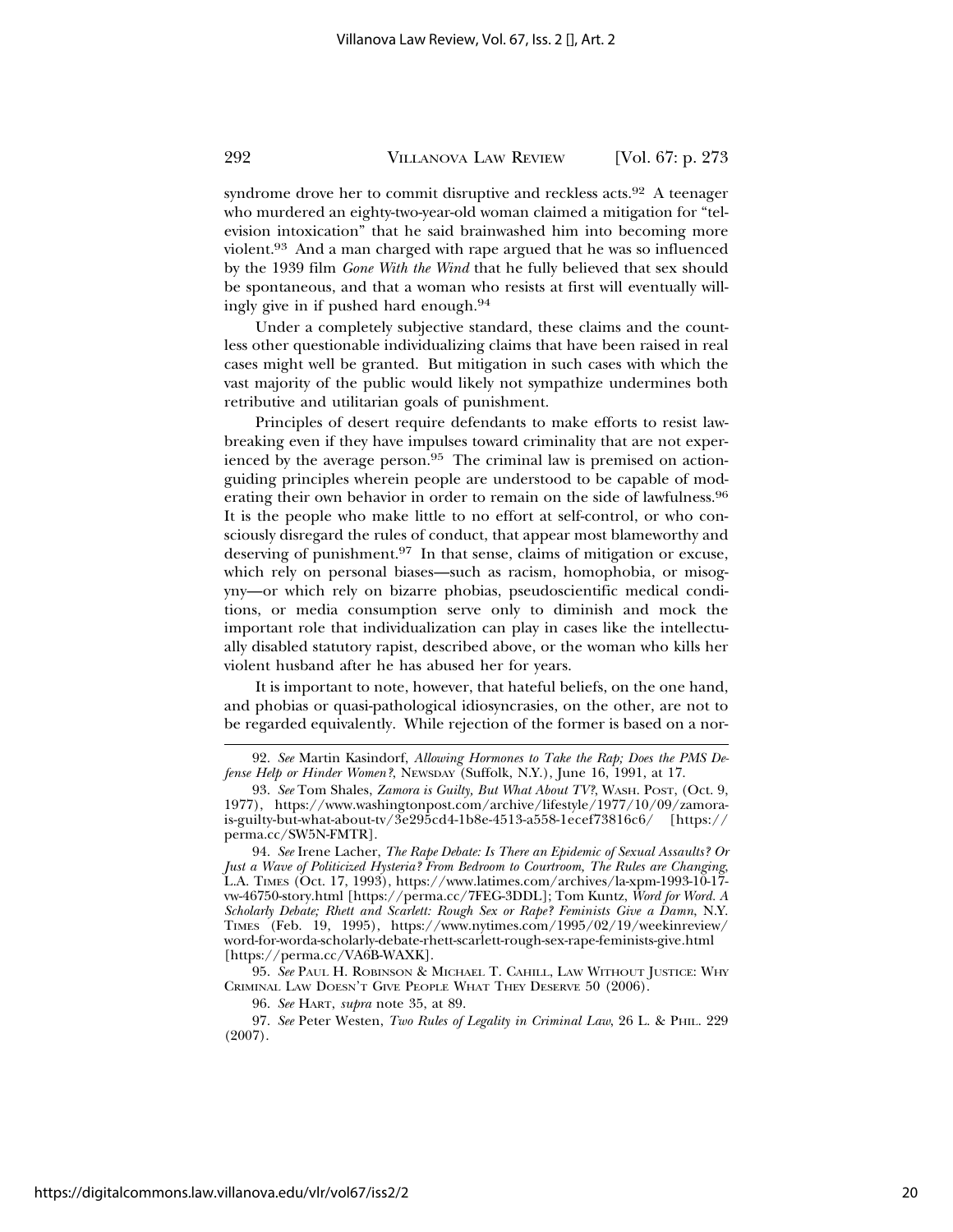syndrome drove her to commit disruptive and reckless acts.<sup>92</sup> A teenager who murdered an eighty-two-year-old woman claimed a mitigation for "television intoxication" that he said brainwashed him into becoming more violent.93 And a man charged with rape argued that he was so influenced by the 1939 film *Gone With the Wind* that he fully believed that sex should be spontaneous, and that a woman who resists at first will eventually willingly give in if pushed hard enough.<sup>94</sup>

Under a completely subjective standard, these claims and the countless other questionable individualizing claims that have been raised in real cases might well be granted. But mitigation in such cases with which the vast majority of the public would likely not sympathize undermines both retributive and utilitarian goals of punishment.

Principles of desert require defendants to make efforts to resist lawbreaking even if they have impulses toward criminality that are not experienced by the average person.95 The criminal law is premised on actionguiding principles wherein people are understood to be capable of moderating their own behavior in order to remain on the side of lawfulness.<sup>96</sup> It is the people who make little to no effort at self-control, or who consciously disregard the rules of conduct, that appear most blameworthy and deserving of punishment.97 In that sense, claims of mitigation or excuse, which rely on personal biases—such as racism, homophobia, or misogyny—or which rely on bizarre phobias, pseudoscientific medical conditions, or media consumption serve only to diminish and mock the important role that individualization can play in cases like the intellectually disabled statutory rapist, described above, or the woman who kills her violent husband after he has abused her for years.

It is important to note, however, that hateful beliefs, on the one hand, and phobias or quasi-pathological idiosyncrasies, on the other, are not to be regarded equivalently. While rejection of the former is based on a nor-

95. *See* PAUL H. ROBINSON & MICHAEL T. CAHILL, LAW WITHOUT JUSTICE: WHY CRIMINAL LAW DOESN'T GIVE PEOPLE WHAT THEY DESERVE 50 (2006).

96. *See* HART, *supra* note 35, at 89.

<sup>92.</sup> *See* Martin Kasindorf, *Allowing Hormones to Take the Rap; Does the PMS Defense Help or Hinder Women?*, NEWSDAY (Suffolk, N.Y.), June 16, 1991, at 17.

<sup>93.</sup> *See* Tom Shales, *Zamora is Guilty, But What About TV?*, WASH. POST, (Oct. 9, 1977), https://www.washingtonpost.com/archive/lifestyle/1977/10/09/zamorais-guilty-but-what-about-tv/3e295cd4-1b8e-4513-a558-1ecef73816c6/ [https:// perma.cc/SW5N-FMTR].

<sup>94.</sup> *See* Irene Lacher, *The Rape Debate: Is There an Epidemic of Sexual Assaults? Or Just a Wave of Politicized Hysteria? From Bedroom to Courtroom, The Rules are Changing*, L.A. TIMES (Oct. 17, 1993), https://www.latimes.com/archives/la-xpm-1993-10-17 vw-46750-story.html [https://perma.cc/7FEG-3DDL]; Tom Kuntz, *Word for Word. A Scholarly Debate; Rhett and Scarlett: Rough Sex or Rape? Feminists Give a Damn*, N.Y. TIMES (Feb. 19, 1995), https://www.nytimes.com/1995/02/19/weekinreview/ word-for-worda-scholarly-debate-rhett-scarlett-rough-sex-rape-feminists-give.html [https://perma.cc/VA6B-WAXK].

<sup>97.</sup> *See* Peter Westen, *Two Rules of Legality in Criminal Law*, 26 L. & PHIL. 229 (2007).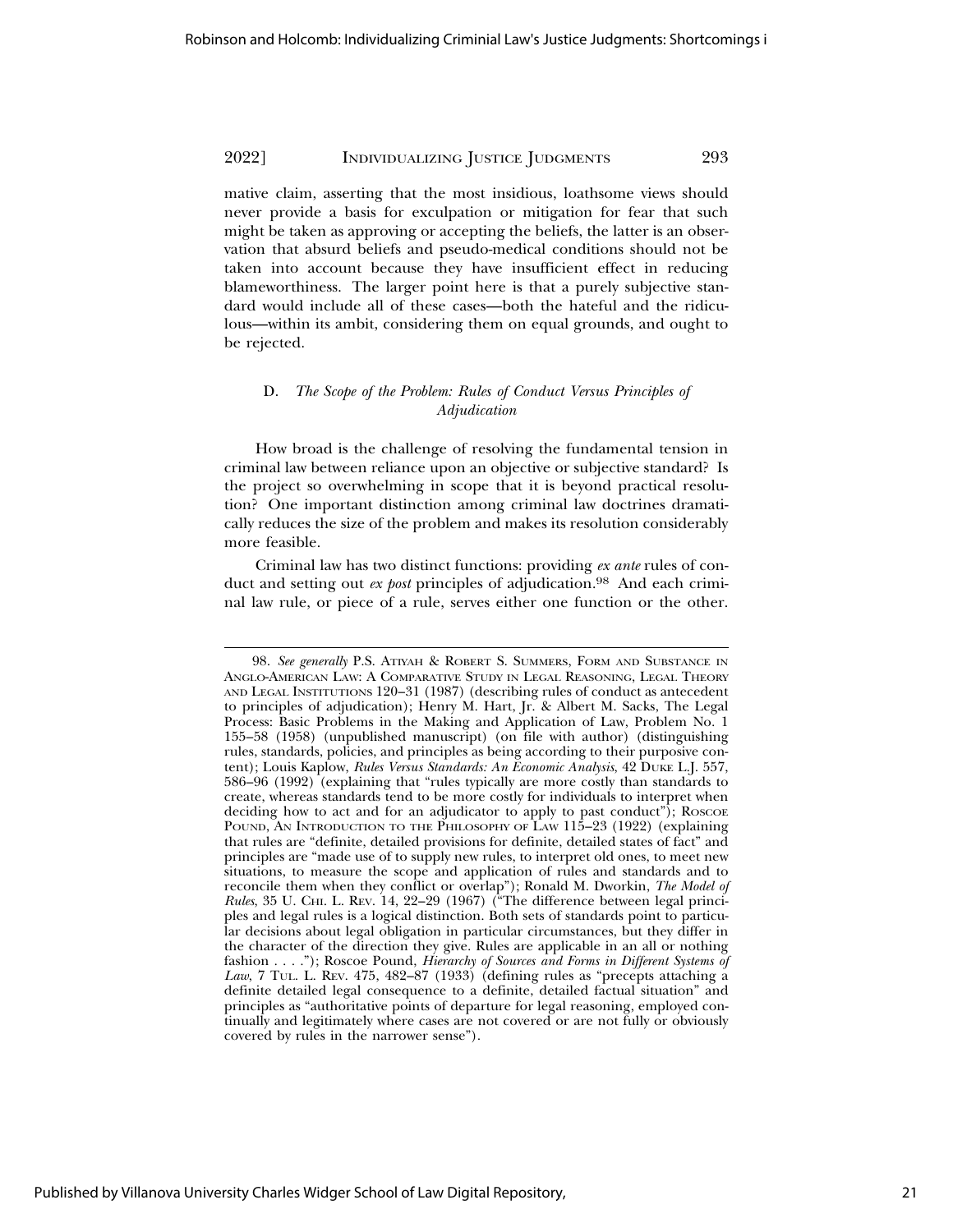mative claim, asserting that the most insidious, loathsome views should never provide a basis for exculpation or mitigation for fear that such might be taken as approving or accepting the beliefs, the latter is an observation that absurd beliefs and pseudo-medical conditions should not be taken into account because they have insufficient effect in reducing blameworthiness. The larger point here is that a purely subjective standard would include all of these cases—both the hateful and the ridiculous—within its ambit, considering them on equal grounds, and ought to be rejected.

#### D. *The Scope of the Problem: Rules of Conduct Versus Principles of Adjudication*

How broad is the challenge of resolving the fundamental tension in criminal law between reliance upon an objective or subjective standard? Is the project so overwhelming in scope that it is beyond practical resolution? One important distinction among criminal law doctrines dramatically reduces the size of the problem and makes its resolution considerably more feasible.

Criminal law has two distinct functions: providing *ex ante* rules of conduct and setting out *ex post* principles of adjudication.<sup>98</sup> And each criminal law rule, or piece of a rule, serves either one function or the other.

<sup>98.</sup> *See generally* P.S. ATIYAH & ROBERT S. SUMMERS, FORM AND SUBSTANCE IN ANGLO-AMERICAN LAW: A COMPARATIVE STUDY IN LEGAL REASONING, LEGAL THEORY AND LEGAL INSTITUTIONS 120–31 (1987) (describing rules of conduct as antecedent to principles of adjudication); Henry M. Hart, Jr. & Albert M. Sacks, The Legal Process: Basic Problems in the Making and Application of Law, Problem No. 1 155–58 (1958) (unpublished manuscript) (on file with author) (distinguishing rules, standards, policies, and principles as being according to their purposive content); Louis Kaplow, *Rules Versus Standards: An Economic Analysis*, 42 DUKE L.J. 557, 586–96 (1992) (explaining that "rules typically are more costly than standards to create, whereas standards tend to be more costly for individuals to interpret when deciding how to act and for an adjudicator to apply to past conduct"); ROSCOE POUND, AN INTRODUCTION TO THE PHILOSOPHY OF LAW 115-23 (1922) (explaining that rules are "definite, detailed provisions for definite, detailed states of fact" and principles are "made use of to supply new rules, to interpret old ones, to meet new situations, to measure the scope and application of rules and standards and to reconcile them when they conflict or overlap"); Ronald M. Dworkin, *The Model of Rules*, 35 U. CHI. L. REV. 14, 22–29 (1967) ("The difference between legal principles and legal rules is a logical distinction. Both sets of standards point to particular decisions about legal obligation in particular circumstances, but they differ in the character of the direction they give. Rules are applicable in an all or nothing fashion . . . ."); Roscoe Pound, *Hierarchy of Sources and Forms in Different Systems of Law*, 7 TUL. L. REV. 475, 482–87 (1933) (defining rules as "precepts attaching a definite detailed legal consequence to a definite, detailed factual situation" and principles as "authoritative points of departure for legal reasoning, employed continually and legitimately where cases are not covered or are not fully or obviously covered by rules in the narrower sense").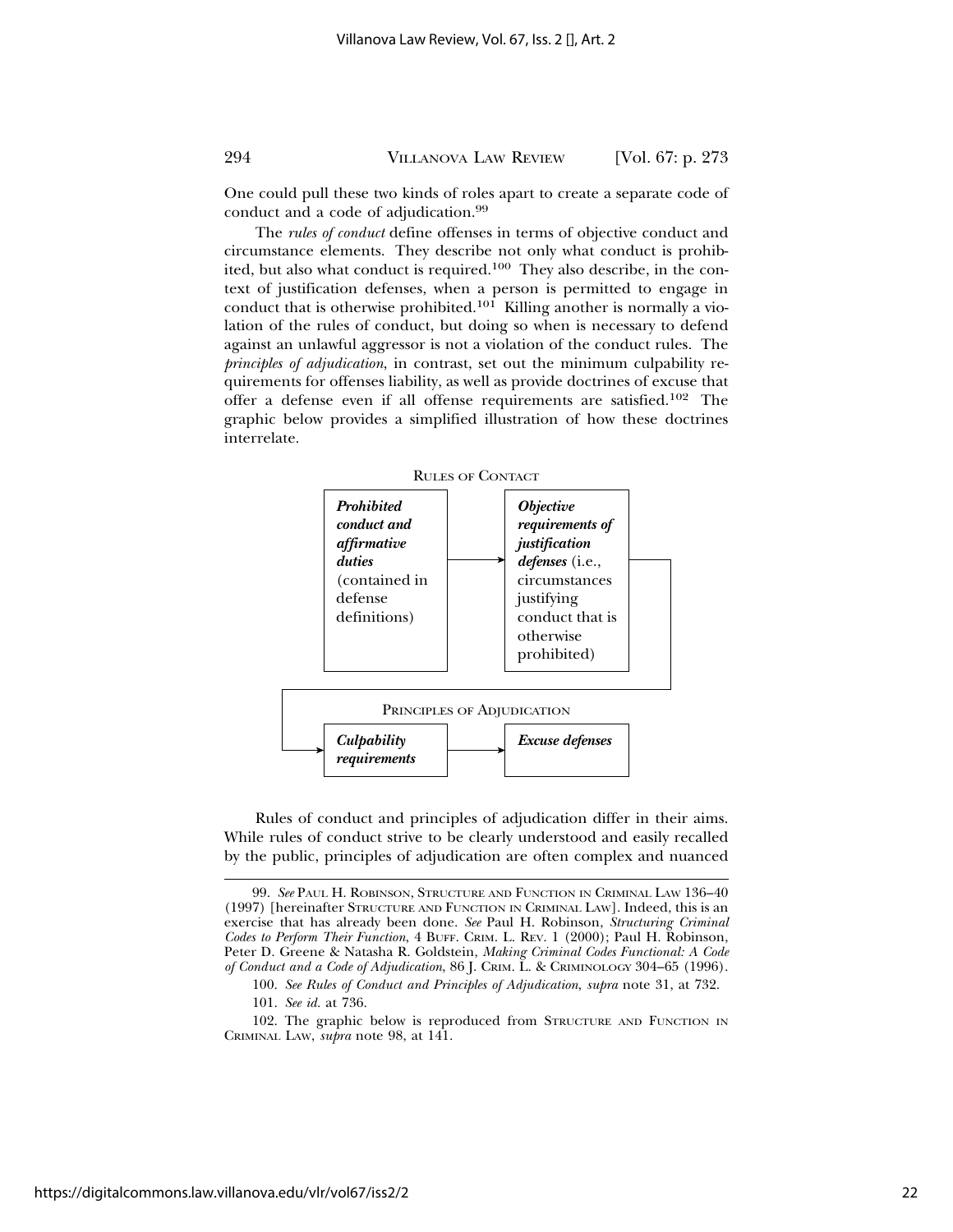One could pull these two kinds of roles apart to create a separate code of conduct and a code of adjudication.<sup>99</sup>

The *rules of conduct* define offenses in terms of objective conduct and circumstance elements. They describe not only what conduct is prohibited, but also what conduct is required.<sup>100</sup> They also describe, in the context of justification defenses, when a person is permitted to engage in conduct that is otherwise prohibited.101 Killing another is normally a violation of the rules of conduct, but doing so when is necessary to defend against an unlawful aggressor is not a violation of the conduct rules. The *principles of adjudication*, in contrast, set out the minimum culpability requirements for offenses liability, as well as provide doctrines of excuse that offer a defense even if all offense requirements are satisfied.102 The graphic below provides a simplified illustration of how these doctrines interrelate.



Rules of conduct and principles of adjudication differ in their aims. While rules of conduct strive to be clearly understood and easily recalled by the public, principles of adjudication are often complex and nuanced

101. *See id.* at 736.

<sup>99.</sup> *See* PAUL H. ROBINSON, STRUCTURE AND FUNCTION IN CRIMINAL LAW 136–40 (1997) [hereinafter STRUCTURE AND FUNCTION IN CRIMINAL LAW]. Indeed, this is an exercise that has already been done. *See* Paul H. Robinson, *Structuring Criminal Codes to Perform Their Function*, 4 BUFF. CRIM. L. REV. 1 (2000); Paul H. Robinson, Peter D. Greene & Natasha R. Goldstein, *Making Criminal Codes Functional: A Code of Conduct and a Code of Adjudication*, 86 J. CRIM. L. & CRIMINOLOGY 304–65 (1996).

<sup>100.</sup> *See Rules of Conduct and Principles of Adjudication*, *supra* note 31, at 732.

<sup>102.</sup> The graphic below is reproduced from STRUCTURE AND FUNCTION IN CRIMINAL LAW, *supra* note 98, at 141.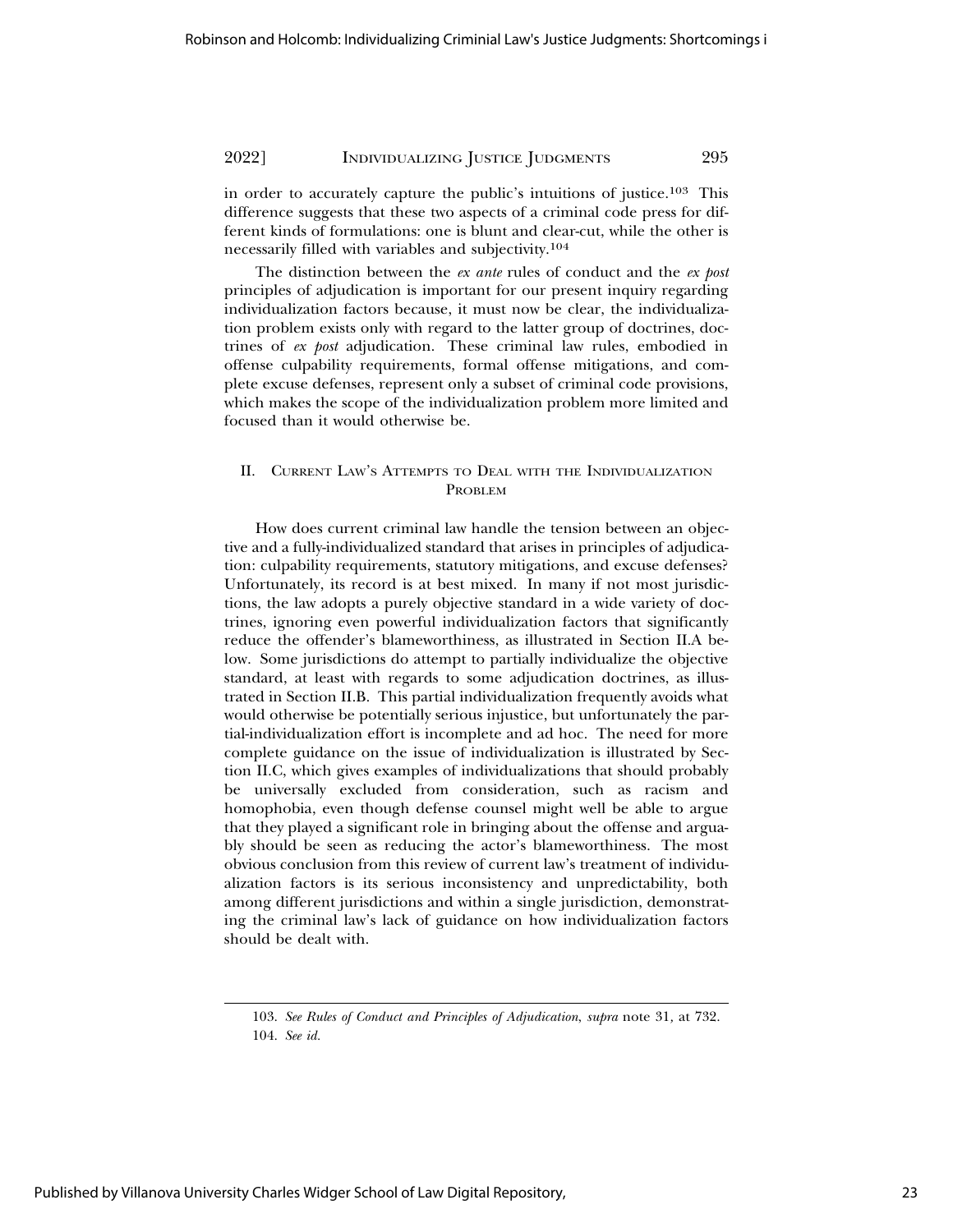in order to accurately capture the public's intuitions of justice.103 This difference suggests that these two aspects of a criminal code press for different kinds of formulations: one is blunt and clear-cut, while the other is necessarily filled with variables and subjectivity.<sup>104</sup>

The distinction between the *ex ante* rules of conduct and the *ex post* principles of adjudication is important for our present inquiry regarding individualization factors because, it must now be clear, the individualization problem exists only with regard to the latter group of doctrines, doctrines of *ex post* adjudication. These criminal law rules, embodied in offense culpability requirements, formal offense mitigations, and complete excuse defenses, represent only a subset of criminal code provisions, which makes the scope of the individualization problem more limited and focused than it would otherwise be.

# II. CURRENT LAW'S ATTEMPTS TO DEAL WITH THE INDIVIDUALIZATION PROBLEM

How does current criminal law handle the tension between an objective and a fully-individualized standard that arises in principles of adjudication: culpability requirements, statutory mitigations, and excuse defenses? Unfortunately, its record is at best mixed. In many if not most jurisdictions, the law adopts a purely objective standard in a wide variety of doctrines, ignoring even powerful individualization factors that significantly reduce the offender's blameworthiness, as illustrated in Section II.A below. Some jurisdictions do attempt to partially individualize the objective standard, at least with regards to some adjudication doctrines, as illustrated in Section II.B. This partial individualization frequently avoids what would otherwise be potentially serious injustice, but unfortunately the partial-individualization effort is incomplete and ad hoc. The need for more complete guidance on the issue of individualization is illustrated by Section II.C, which gives examples of individualizations that should probably be universally excluded from consideration, such as racism and homophobia, even though defense counsel might well be able to argue that they played a significant role in bringing about the offense and arguably should be seen as reducing the actor's blameworthiness. The most obvious conclusion from this review of current law's treatment of individualization factors is its serious inconsistency and unpredictability, both among different jurisdictions and within a single jurisdiction, demonstrating the criminal law's lack of guidance on how individualization factors should be dealt with.

<sup>103.</sup> *See Rules of Conduct and Principles of Adjudication*, *supra* note 31*,* at 732. 104. *See id.*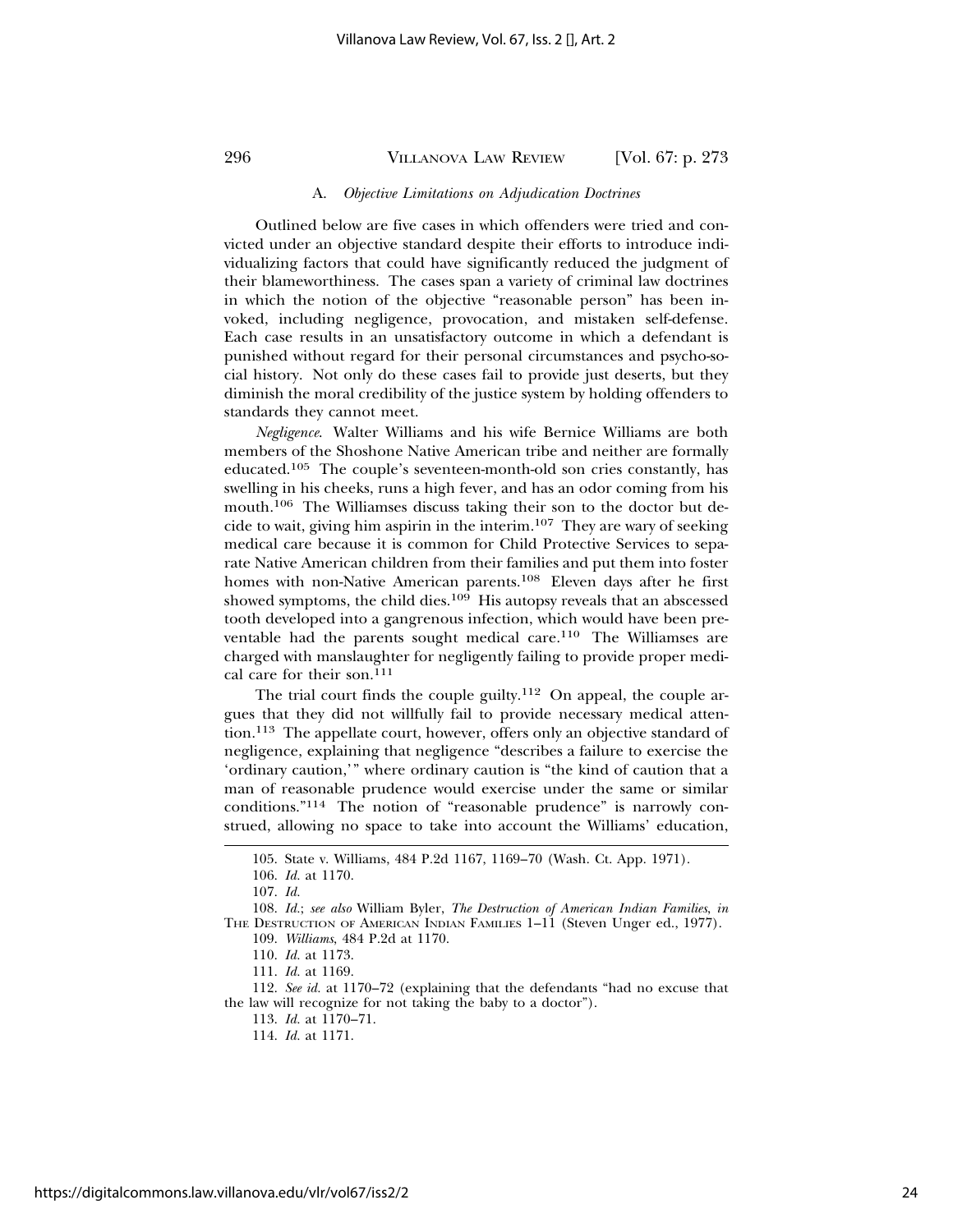#### A. *Objective Limitations on Adjudication Doctrines*

Outlined below are five cases in which offenders were tried and convicted under an objective standard despite their efforts to introduce individualizing factors that could have significantly reduced the judgment of their blameworthiness. The cases span a variety of criminal law doctrines in which the notion of the objective "reasonable person" has been invoked, including negligence, provocation, and mistaken self-defense. Each case results in an unsatisfactory outcome in which a defendant is punished without regard for their personal circumstances and psycho-social history. Not only do these cases fail to provide just deserts, but they diminish the moral credibility of the justice system by holding offenders to standards they cannot meet.

*Negligence*. Walter Williams and his wife Bernice Williams are both members of the Shoshone Native American tribe and neither are formally educated.105 The couple's seventeen-month-old son cries constantly, has swelling in his cheeks, runs a high fever, and has an odor coming from his mouth.106 The Williamses discuss taking their son to the doctor but decide to wait, giving him aspirin in the interim.107 They are wary of seeking medical care because it is common for Child Protective Services to separate Native American children from their families and put them into foster homes with non-Native American parents.108 Eleven days after he first showed symptoms, the child dies.<sup>109</sup> His autopsy reveals that an abscessed tooth developed into a gangrenous infection, which would have been preventable had the parents sought medical care.110 The Williamses are charged with manslaughter for negligently failing to provide proper medical care for their son.<sup>111</sup>

The trial court finds the couple guilty.<sup>112</sup> On appeal, the couple argues that they did not willfully fail to provide necessary medical attention.113 The appellate court, however, offers only an objective standard of negligence, explaining that negligence "describes a failure to exercise the 'ordinary caution,'" where ordinary caution is "the kind of caution that a man of reasonable prudence would exercise under the same or similar conditions."114 The notion of "reasonable prudence" is narrowly construed, allowing no space to take into account the Williams' education,

<sup>105.</sup> State v. Williams, 484 P.2d 1167, 1169–70 (Wash. Ct. App. 1971).

<sup>106.</sup> *Id.* at 1170.

<sup>107.</sup> *Id.*

<sup>108.</sup> *Id.*; *see also* William Byler, *The Destruction of American Indian Families*, *in* THE DESTRUCTION OF AMERICAN INDIAN FAMILIES 1–11 (Steven Unger ed., 1977).

<sup>109.</sup> *Williams*, 484 P.2d at 1170.

<sup>110.</sup> *Id.* at 1173.

<sup>111.</sup> *Id.* at 1169.

<sup>112.</sup> *See id.* at 1170–72 (explaining that the defendants "had no excuse that the law will recognize for not taking the baby to a doctor").

<sup>113.</sup> *Id.* at 1170–71.

<sup>114.</sup> *Id.* at 1171.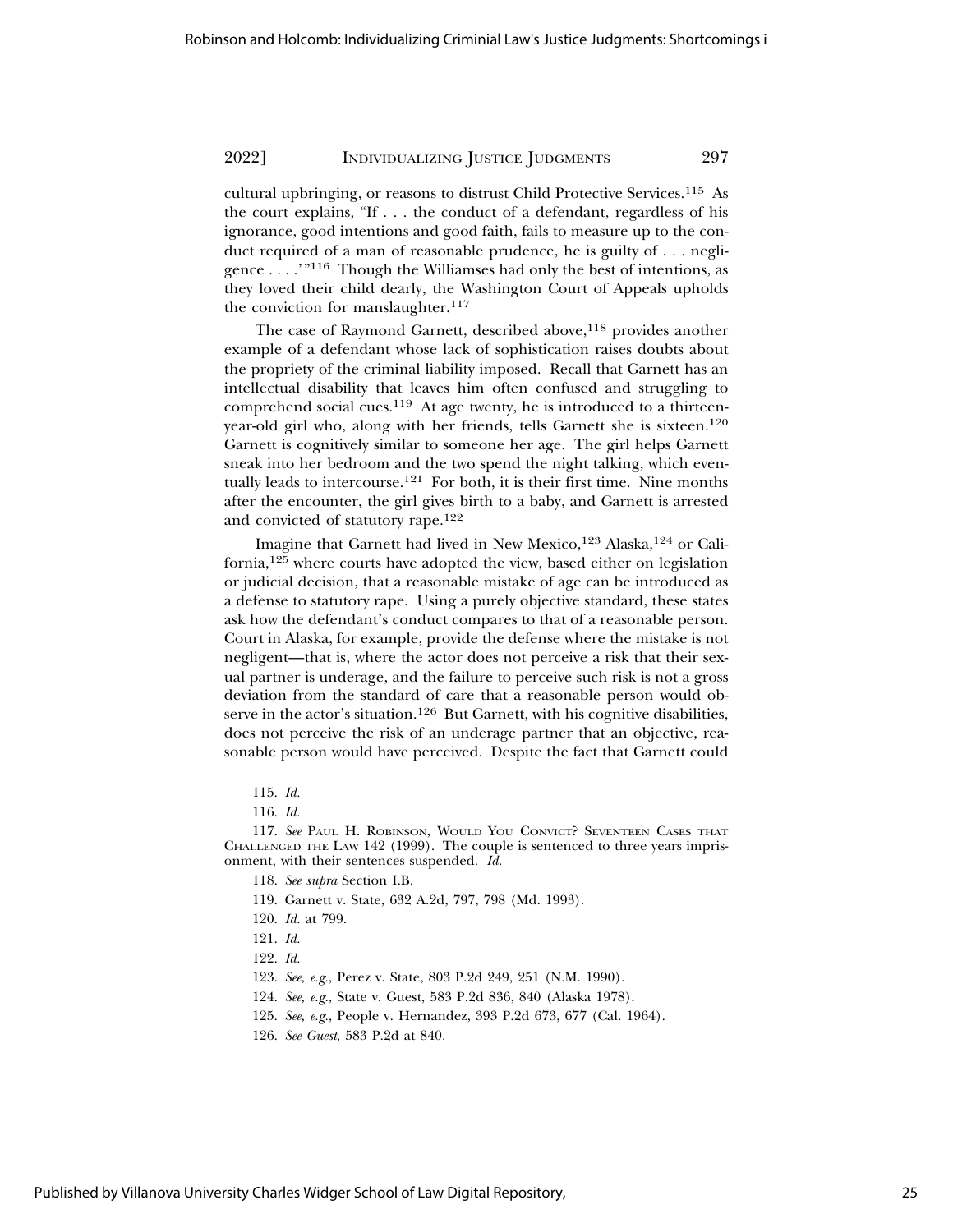cultural upbringing, or reasons to distrust Child Protective Services.115 As the court explains, "If . . . the conduct of a defendant, regardless of his ignorance, good intentions and good faith, fails to measure up to the conduct required of a man of reasonable prudence, he is guilty of . . . negligence  $\dots$  . "<sup>116</sup> Though the Williamses had only the best of intentions, as they loved their child dearly, the Washington Court of Appeals upholds the conviction for manslaughter. $117$ 

The case of Raymond Garnett, described above,<sup>118</sup> provides another example of a defendant whose lack of sophistication raises doubts about the propriety of the criminal liability imposed. Recall that Garnett has an intellectual disability that leaves him often confused and struggling to comprehend social cues.119 At age twenty, he is introduced to a thirteenyear-old girl who, along with her friends, tells Garnett she is sixteen.<sup>120</sup> Garnett is cognitively similar to someone her age. The girl helps Garnett sneak into her bedroom and the two spend the night talking, which eventually leads to intercourse.121 For both, it is their first time. Nine months after the encounter, the girl gives birth to a baby, and Garnett is arrested and convicted of statutory rape.<sup>122</sup>

Imagine that Garnett had lived in New Mexico,<sup>123</sup> Alaska,<sup>124</sup> or California,125 where courts have adopted the view, based either on legislation or judicial decision, that a reasonable mistake of age can be introduced as a defense to statutory rape. Using a purely objective standard, these states ask how the defendant's conduct compares to that of a reasonable person. Court in Alaska, for example, provide the defense where the mistake is not negligent—that is, where the actor does not perceive a risk that their sexual partner is underage, and the failure to perceive such risk is not a gross deviation from the standard of care that a reasonable person would observe in the actor's situation.<sup>126</sup> But Garnett, with his cognitive disabilities, does not perceive the risk of an underage partner that an objective, reasonable person would have perceived. Despite the fact that Garnett could

124. *See, e.g.*, State v. Guest, 583 P.2d 836, 840 (Alaska 1978).

<sup>115.</sup> *Id.*

<sup>116.</sup> *Id.*

<sup>117.</sup> *See* PAUL H. ROBINSON, WOULD YOU CONVICT? SEVENTEEN CASES THAT CHALLENGED THE LAW 142 (1999). The couple is sentenced to three years imprisonment, with their sentences suspended. *Id.*

<sup>118.</sup> *See supra* Section I.B.

<sup>119.</sup> Garnett v. State, 632 A.2d, 797, 798 (Md. 1993).

<sup>120.</sup> *Id.* at 799.

<sup>121.</sup> *Id.*

<sup>122.</sup> *Id.*

<sup>123.</sup> *See, e.g.*, Perez v. State, 803 P.2d 249, 251 (N.M. 1990).

<sup>125.</sup> *See, e.g.*, People v. Hernandez, 393 P.2d 673, 677 (Cal. 1964).

<sup>126.</sup> *See Guest*, 583 P.2d at 840.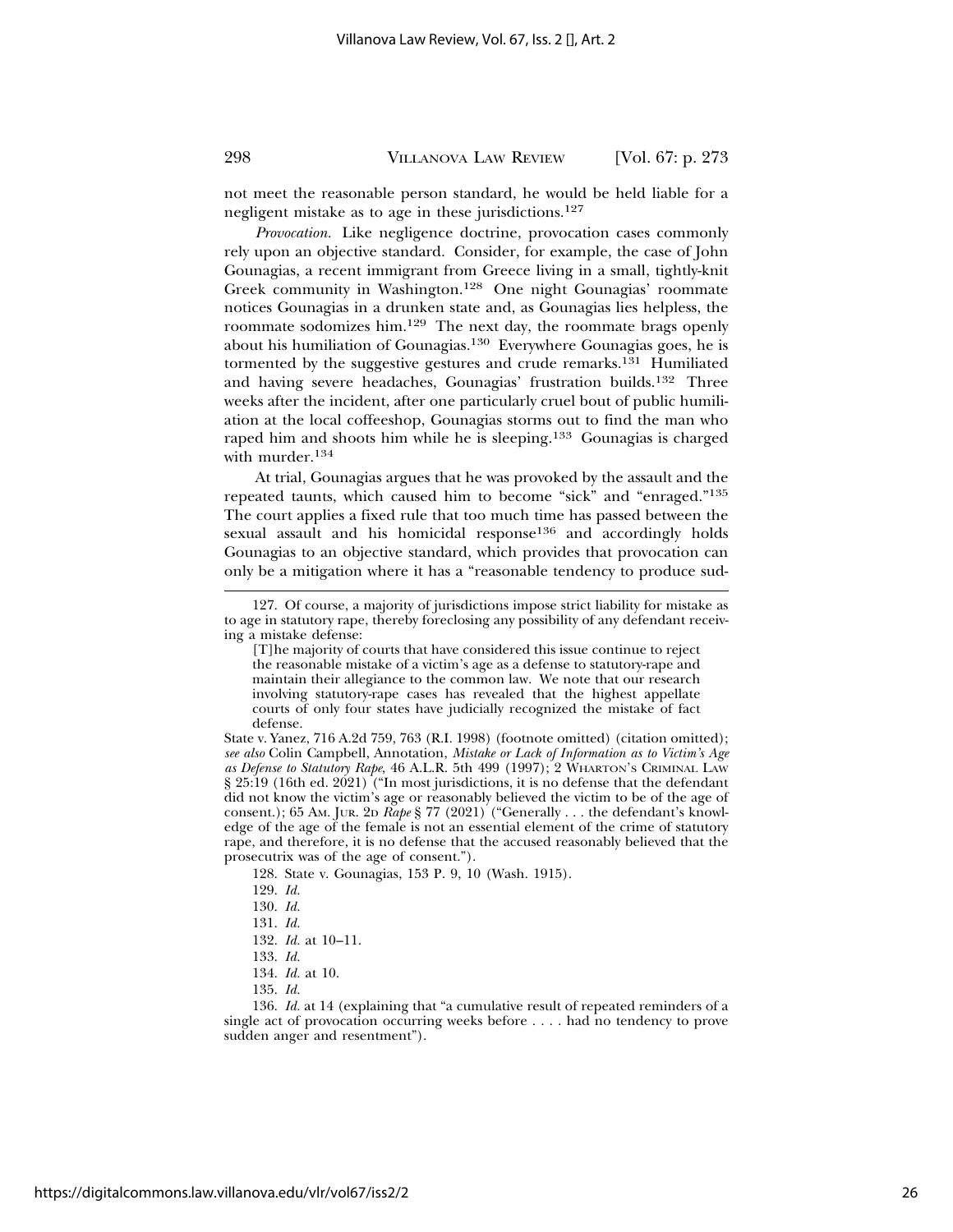not meet the reasonable person standard, he would be held liable for a negligent mistake as to age in these jurisdictions.<sup>127</sup>

*Provocation.* Like negligence doctrine, provocation cases commonly rely upon an objective standard. Consider, for example, the case of John Gounagias, a recent immigrant from Greece living in a small, tightly-knit Greek community in Washington.128 One night Gounagias' roommate notices Gounagias in a drunken state and, as Gounagias lies helpless, the roommate sodomizes him.129 The next day, the roommate brags openly about his humiliation of Gounagias.130 Everywhere Gounagias goes, he is tormented by the suggestive gestures and crude remarks.<sup>131</sup> Humiliated and having severe headaches, Gounagias' frustration builds.132 Three weeks after the incident, after one particularly cruel bout of public humiliation at the local coffeeshop, Gounagias storms out to find the man who raped him and shoots him while he is sleeping.133 Gounagias is charged with murder.<sup>134</sup>

At trial, Gounagias argues that he was provoked by the assault and the repeated taunts, which caused him to become "sick" and "enraged."<sup>135</sup> The court applies a fixed rule that too much time has passed between the sexual assault and his homicidal response136 and accordingly holds Gounagias to an objective standard, which provides that provocation can only be a mitigation where it has a "reasonable tendency to produce sud-

- 131. *Id.*
- 132. *Id.* at 10–11.
- 133. *Id.*
- 134. *Id.* at 10.
- 135. *Id.*

<sup>127.</sup> Of course, a majority of jurisdictions impose strict liability for mistake as to age in statutory rape, thereby foreclosing any possibility of any defendant receiving a mistake defense:

<sup>[</sup>T]he majority of courts that have considered this issue continue to reject the reasonable mistake of a victim's age as a defense to statutory-rape and maintain their allegiance to the common law. We note that our research involving statutory-rape cases has revealed that the highest appellate courts of only four states have judicially recognized the mistake of fact defense.

State v. Yanez, 716 A.2d 759, 763 (R.I. 1998) (footnote omitted) (citation omitted); *see also* Colin Campbell, Annotation, *Mistake or Lack of Information as to Victim's Age as Defense to Statutory Rape*, 46 A.L.R. 5th 499 (1997); 2 WHARTON'S CRIMINAL LAW § 25:19 (16th ed. 2021) ("In most jurisdictions, it is no defense that the defendant did not know the victim's age or reasonably believed the victim to be of the age of consent.); 65 AM. JUR. 2D *Rape* § 77 (2021) ("Generally . . . the defendant's knowledge of the age of the female is not an essential element of the crime of statutory rape, and therefore, it is no defense that the accused reasonably believed that the prosecutrix was of the age of consent.").

<sup>128.</sup> State v. Gounagias, 153 P. 9, 10 (Wash. 1915).

<sup>129.</sup> *Id.*

<sup>130.</sup> *Id.*

<sup>136.</sup> *Id.* at 14 (explaining that "a cumulative result of repeated reminders of a single act of provocation occurring weeks before . . . . had no tendency to prove sudden anger and resentment").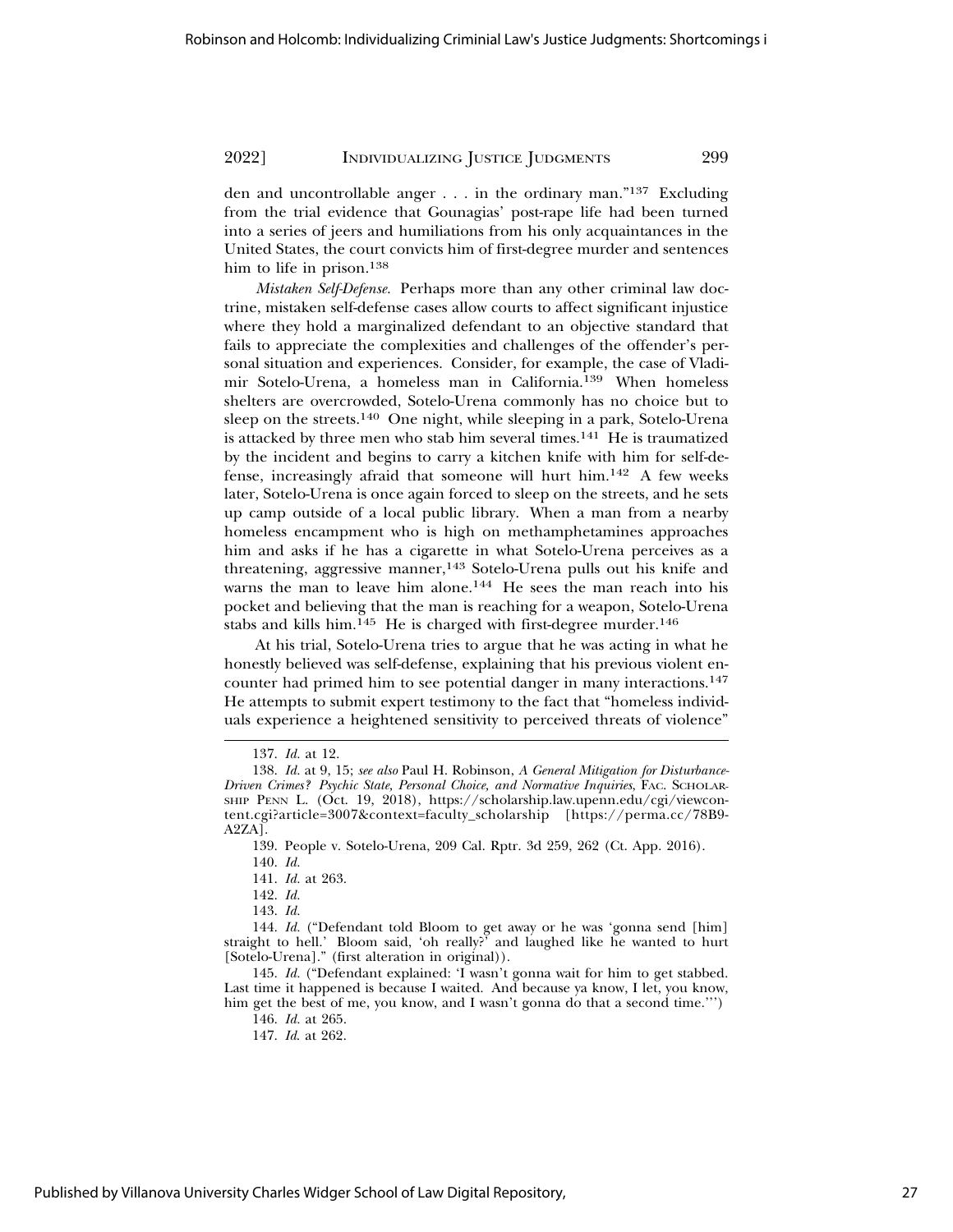den and uncontrollable anger . . . in the ordinary man."137 Excluding from the trial evidence that Gounagias' post-rape life had been turned into a series of jeers and humiliations from his only acquaintances in the United States, the court convicts him of first-degree murder and sentences him to life in prison.<sup>138</sup>

*Mistaken Self-Defense.* Perhaps more than any other criminal law doctrine, mistaken self-defense cases allow courts to affect significant injustice where they hold a marginalized defendant to an objective standard that fails to appreciate the complexities and challenges of the offender's personal situation and experiences. Consider, for example, the case of Vladimir Sotelo-Urena, a homeless man in California.139 When homeless shelters are overcrowded, Sotelo-Urena commonly has no choice but to sleep on the streets.<sup>140</sup> One night, while sleeping in a park, Sotelo-Urena is attacked by three men who stab him several times.141 He is traumatized by the incident and begins to carry a kitchen knife with him for self-defense, increasingly afraid that someone will hurt him.142 A few weeks later, Sotelo-Urena is once again forced to sleep on the streets, and he sets up camp outside of a local public library. When a man from a nearby homeless encampment who is high on methamphetamines approaches him and asks if he has a cigarette in what Sotelo-Urena perceives as a threatening, aggressive manner,<sup>143</sup> Sotelo-Urena pulls out his knife and warns the man to leave him alone.<sup>144</sup> He sees the man reach into his pocket and believing that the man is reaching for a weapon, Sotelo-Urena stabs and kills him.<sup>145</sup> He is charged with first-degree murder.<sup>146</sup>

At his trial, Sotelo-Urena tries to argue that he was acting in what he honestly believed was self-defense, explaining that his previous violent encounter had primed him to see potential danger in many interactions.<sup>147</sup> He attempts to submit expert testimony to the fact that "homeless individuals experience a heightened sensitivity to perceived threats of violence"

<sup>137.</sup> *Id.* at 12.

<sup>138.</sup> *Id.* at 9, 15; *see also* Paul H. Robinson, *A General Mitigation for Disturbance-Driven Crimes? Psychic State, Personal Choice, and Normative Inquiries*, FAC. SCHOLAR-SHIP PENN L. (Oct. 19, 2018), https://scholarship.law.upenn.edu/cgi/viewcontent.cgi?article=3007&context=faculty\_scholarship [https://perma.cc/78B9- A2ZA].

<sup>139.</sup> People v. Sotelo-Urena, 209 Cal. Rptr. 3d 259, 262 (Ct. App. 2016).

<sup>140.</sup> *Id.*

<sup>141.</sup> *Id.* at 263.

<sup>142.</sup> *Id.*

<sup>143.</sup> *Id.*

<sup>144.</sup> *Id.* ("Defendant told Bloom to get away or he was 'gonna send [him] straight to hell.' Bloom said, 'oh really?' and laughed like he wanted to hurt [Sotelo-Urena]." (first alteration in original)).

<sup>145.</sup> *Id.* ("Defendant explained: 'I wasn't gonna wait for him to get stabbed. Last time it happened is because I waited. And because ya know, I let, you know, him get the best of me, you know, and I wasn't gonna do that a second time.''')

<sup>146.</sup> *Id.* at 265.

<sup>147.</sup> *Id*. at 262.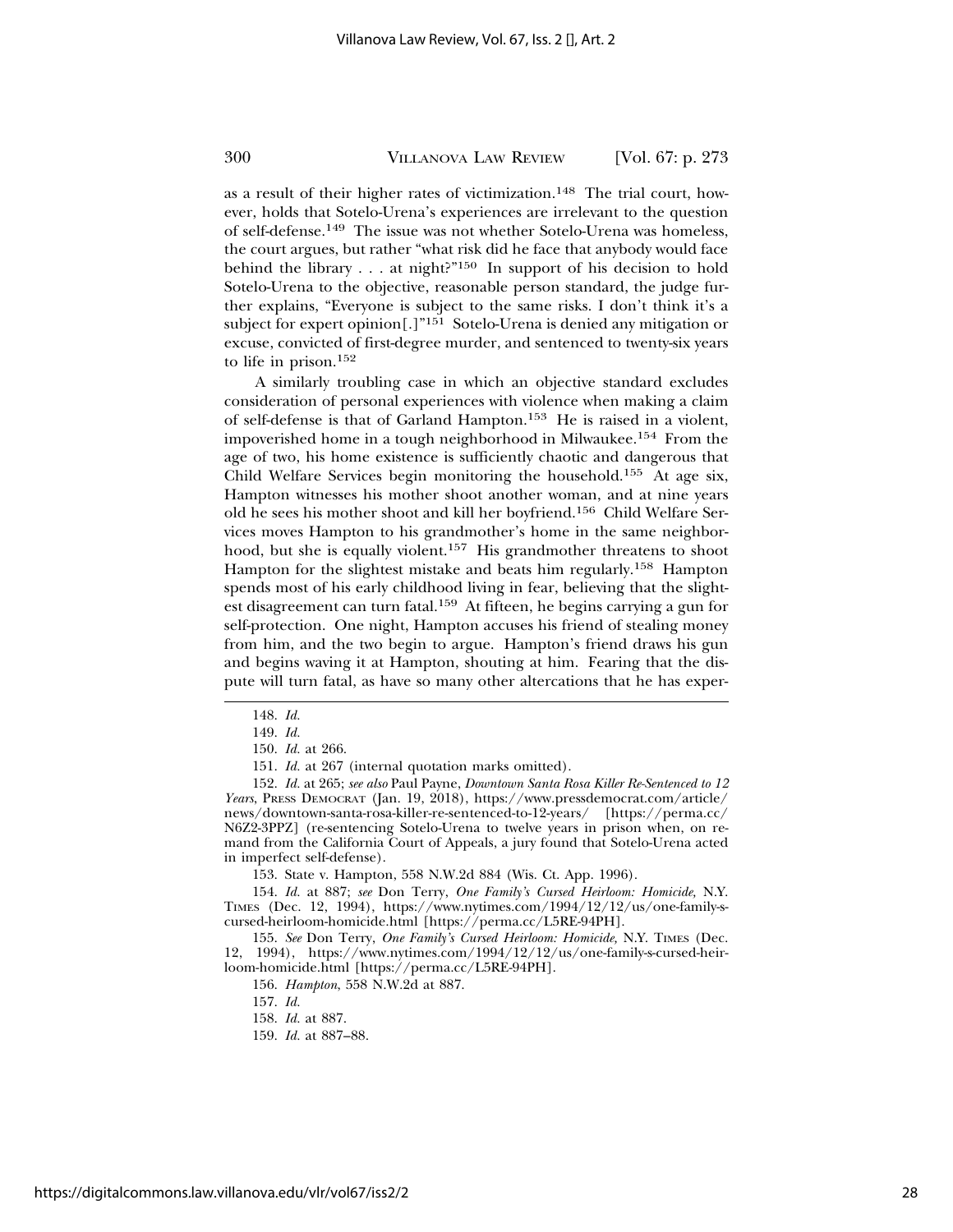as a result of their higher rates of victimization.148 The trial court, however, holds that Sotelo-Urena's experiences are irrelevant to the question of self-defense.149 The issue was not whether Sotelo-Urena was homeless, the court argues, but rather "what risk did he face that anybody would face behind the library  $\dots$  at night?"<sup>150</sup> In support of his decision to hold Sotelo-Urena to the objective, reasonable person standard, the judge further explains, "Everyone is subject to the same risks. I don't think it's a subject for expert opinion[.]"<sup>151</sup> Sotelo-Urena is denied any mitigation or excuse, convicted of first-degree murder, and sentenced to twenty-six years to life in prison.<sup>152</sup>

A similarly troubling case in which an objective standard excludes consideration of personal experiences with violence when making a claim of self-defense is that of Garland Hampton.153 He is raised in a violent, impoverished home in a tough neighborhood in Milwaukee.154 From the age of two, his home existence is sufficiently chaotic and dangerous that Child Welfare Services begin monitoring the household.<sup>155</sup> At age six, Hampton witnesses his mother shoot another woman, and at nine years old he sees his mother shoot and kill her boyfriend.156 Child Welfare Services moves Hampton to his grandmother's home in the same neighborhood, but she is equally violent.<sup>157</sup> His grandmother threatens to shoot Hampton for the slightest mistake and beats him regularly.158 Hampton spends most of his early childhood living in fear, believing that the slightest disagreement can turn fatal.159 At fifteen, he begins carrying a gun for self-protection. One night, Hampton accuses his friend of stealing money from him, and the two begin to argue. Hampton's friend draws his gun and begins waving it at Hampton, shouting at him. Fearing that the dispute will turn fatal, as have so many other altercations that he has exper-

<sup>148.</sup> *Id.*

<sup>149.</sup> *Id.*

<sup>150.</sup> *Id.* at 266.

<sup>151.</sup> *Id.* at 267 (internal quotation marks omitted).

<sup>152.</sup> *Id.* at 265; *see also* Paul Payne, *Downtown Santa Rosa Killer Re-Sentenced to 12 Years*, PRESS DEMOCRAT (Jan. 19, 2018), https://www.pressdemocrat.com/article/ news/downtown-santa-rosa-killer-re-sentenced-to-12-years/ [https://perma.cc/ N6Z2-3PPZ] (re-sentencing Sotelo-Urena to twelve years in prison when, on remand from the California Court of Appeals, a jury found that Sotelo-Urena acted in imperfect self-defense).

<sup>153.</sup> State v. Hampton, 558 N.W.2d 884 (Wis. Ct. App. 1996).

<sup>154.</sup> *Id.* at 887; *see* Don Terry, *One Family's Cursed Heirloom: Homicide,* N.Y. TIMES (Dec. 12, 1994), https://www.nytimes.com/1994/12/12/us/one-family-scursed-heirloom-homicide.html [https://perma.cc/L5RE-94PH].

<sup>155.</sup> *See* Don Terry, *One Family's Cursed Heirloom: Homicide,* N.Y. TIMES (Dec. 12, 1994), https://www.nytimes.com/1994/12/12/us/one-family-s-cursed-heirloom-homicide.html [https://perma.cc/L5RE-94PH].

<sup>156.</sup> *Hampton*, 558 N.W.2d at 887.

<sup>157.</sup> *Id.*

<sup>158.</sup> *Id.* at 887.

<sup>159.</sup> *Id.* at 887–88.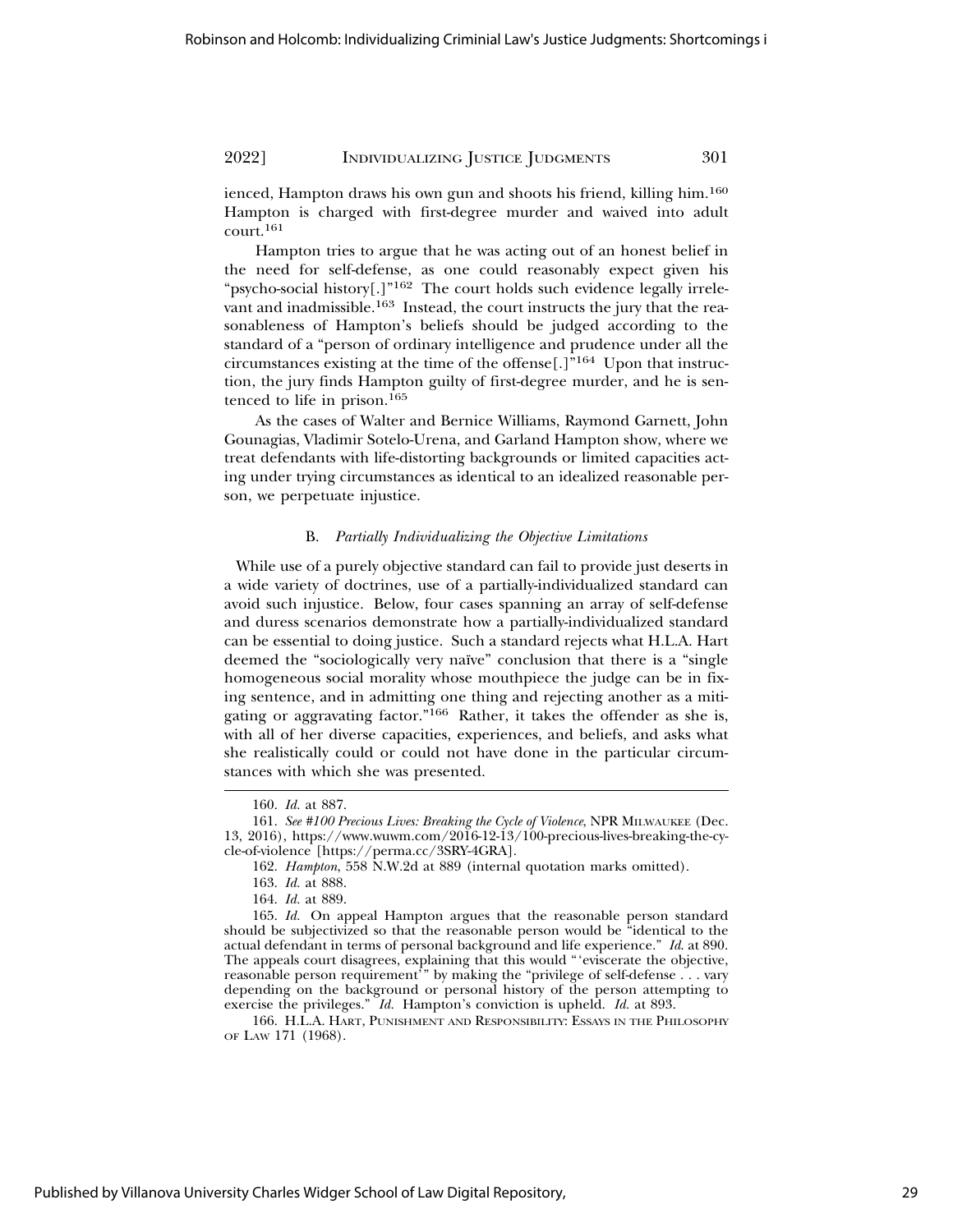ienced, Hampton draws his own gun and shoots his friend, killing him.<sup>160</sup> Hampton is charged with first-degree murder and waived into adult court.161

Hampton tries to argue that he was acting out of an honest belief in the need for self-defense, as one could reasonably expect given his "psycho-social history[.]"<sup>162</sup> The court holds such evidence legally irrelevant and inadmissible.163 Instead, the court instructs the jury that the reasonableness of Hampton's beliefs should be judged according to the standard of a "person of ordinary intelligence and prudence under all the circumstances existing at the time of the offense[.]"164 Upon that instruction, the jury finds Hampton guilty of first-degree murder, and he is sentenced to life in prison.<sup>165</sup>

As the cases of Walter and Bernice Williams, Raymond Garnett, John Gounagias, Vladimir Sotelo-Urena, and Garland Hampton show, where we treat defendants with life-distorting backgrounds or limited capacities acting under trying circumstances as identical to an idealized reasonable person, we perpetuate injustice.

#### B. *Partially Individualizing the Objective Limitations*

 While use of a purely objective standard can fail to provide just deserts in a wide variety of doctrines, use of a partially-individualized standard can avoid such injustice. Below, four cases spanning an array of self-defense and duress scenarios demonstrate how a partially-individualized standard can be essential to doing justice. Such a standard rejects what H.L.A. Hart deemed the "sociologically very naïve" conclusion that there is a "single homogeneous social morality whose mouthpiece the judge can be in fixing sentence, and in admitting one thing and rejecting another as a mitigating or aggravating factor."166 Rather, it takes the offender as she is, with all of her diverse capacities, experiences, and beliefs, and asks what she realistically could or could not have done in the particular circumstances with which she was presented.

<sup>160.</sup> *Id.* at 887.

<sup>161.</sup> *See #100 Precious Lives: Breaking the Cycle of Violence*, NPR MILWAUKEE (Dec. 13, 2016), https://www.wuwm.com/2016-12-13/100-precious-lives-breaking-the-cycle-of-violence [https://perma.cc/3SRY-4GRA].

<sup>162.</sup> *Hampton*, 558 N.W.2d at 889 (internal quotation marks omitted).

<sup>163.</sup> *Id.* at 888.

<sup>164.</sup> *Id.* at 889.

<sup>165.</sup> *Id.* On appeal Hampton argues that the reasonable person standard should be subjectivized so that the reasonable person would be "identical to the actual defendant in terms of personal background and life experience." *Id*. at 890. The appeals court disagrees, explaining that this would "'eviscerate the objective, reasonable person requirement'" by making the "privilege of self-defense . . . vary depending on the background or personal history of the person attempting to exercise the privileges." *Id.* Hampton's conviction is upheld. *Id.* at 893.

<sup>166.</sup> H.L.A. HART, PUNISHMENT AND RESPONSIBILITY: ESSAYS IN THE PHILOSOPHY OF LAW 171 (1968).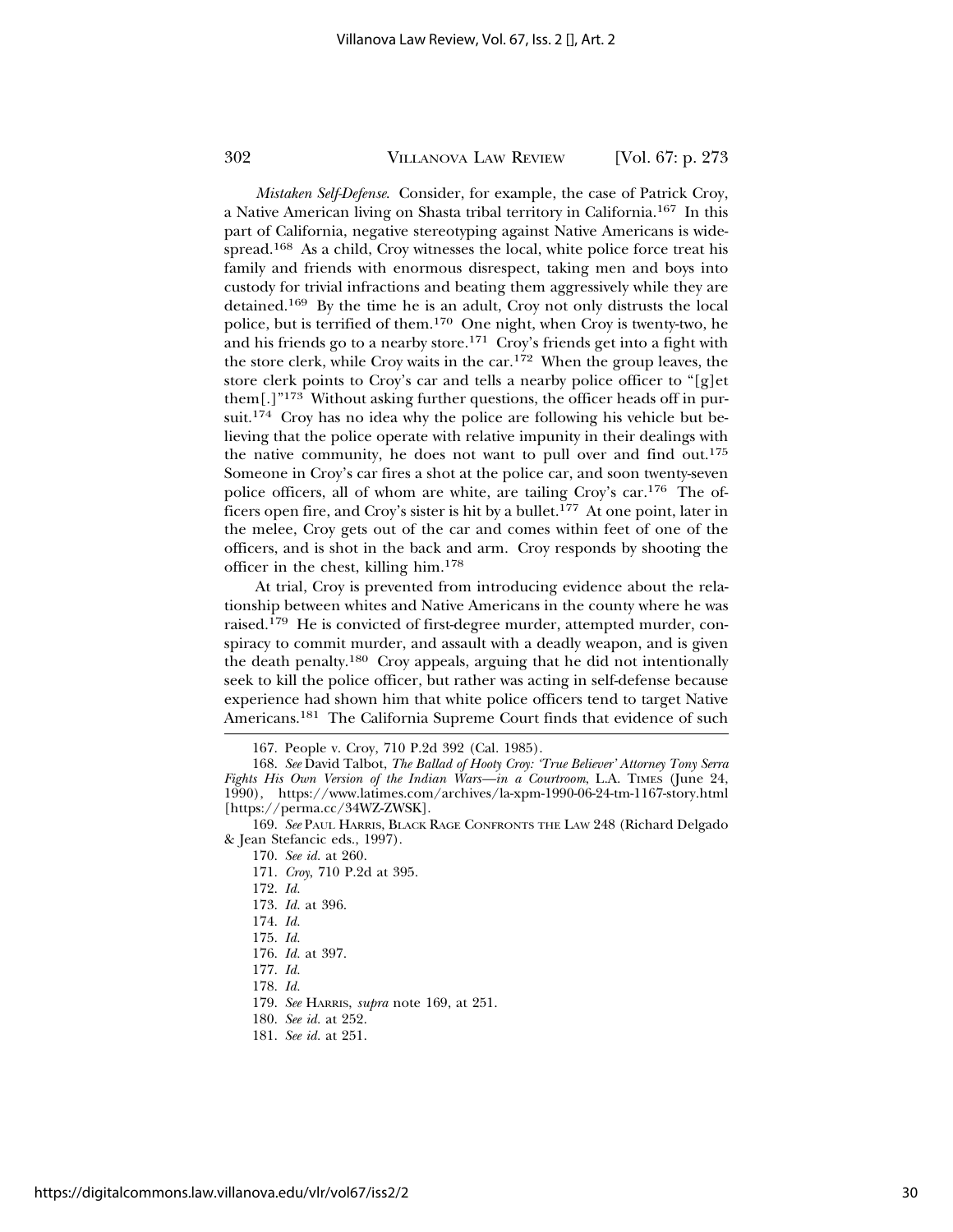*Mistaken Self-Defense*. Consider, for example, the case of Patrick Croy, a Native American living on Shasta tribal territory in California.167 In this part of California, negative stereotyping against Native Americans is widespread.168 As a child, Croy witnesses the local, white police force treat his family and friends with enormous disrespect, taking men and boys into custody for trivial infractions and beating them aggressively while they are detained.169 By the time he is an adult, Croy not only distrusts the local police, but is terrified of them.170 One night, when Croy is twenty-two, he and his friends go to a nearby store.<sup>171</sup> Croy's friends get into a fight with the store clerk, while Croy waits in the car.<sup>172</sup> When the group leaves, the store clerk points to Croy's car and tells a nearby police officer to "[g]et them[.]"173 Without asking further questions, the officer heads off in pursuit.<sup>174</sup> Croy has no idea why the police are following his vehicle but believing that the police operate with relative impunity in their dealings with the native community, he does not want to pull over and find out.<sup>175</sup> Someone in Croy's car fires a shot at the police car, and soon twenty-seven police officers, all of whom are white, are tailing Croy's car.<sup>176</sup> The officers open fire, and Croy's sister is hit by a bullet.177 At one point, later in the melee, Croy gets out of the car and comes within feet of one of the officers, and is shot in the back and arm. Croy responds by shooting the officer in the chest, killing him.<sup>178</sup>

At trial, Croy is prevented from introducing evidence about the relationship between whites and Native Americans in the county where he was raised.179 He is convicted of first-degree murder, attempted murder, conspiracy to commit murder, and assault with a deadly weapon, and is given the death penalty.180 Croy appeals, arguing that he did not intentionally seek to kill the police officer, but rather was acting in self-defense because experience had shown him that white police officers tend to target Native Americans.181 The California Supreme Court finds that evidence of such

- 171. *Croy*, 710 P.2d at 395.
- 172. *Id.*
- 173. *Id.* at 396.
- 174. *Id.*
- 175. *Id.*
- 176. *Id.* at 397.
- 177. *Id.*
- 178. *Id.*
- 179. *See* HARRIS, *supra* note 169, at 251.
- 180. *See id.* at 252.

<sup>167.</sup> People v. Croy, 710 P.2d 392 (Cal. 1985).

<sup>168.</sup> *See* David Talbot, *The Ballad of Hooty Croy: 'True Believer' Attorney Tony Serra Fights His Own Version of the Indian Wars—in a Courtroom*, L.A. TIMES (June 24, 1990), https://www.latimes.com/archives/la-xpm-1990-06-24-tm-1167-story.html [https://perma.cc/34WZ-ZWSK].

<sup>169.</sup> *See* PAUL HARRIS, BLACK RAGE CONFRONTS THE LAW 248 (Richard Delgado & Jean Stefancic eds., 1997).

<sup>170.</sup> *See id.* at 260.

<sup>181.</sup> *See id.* at 251.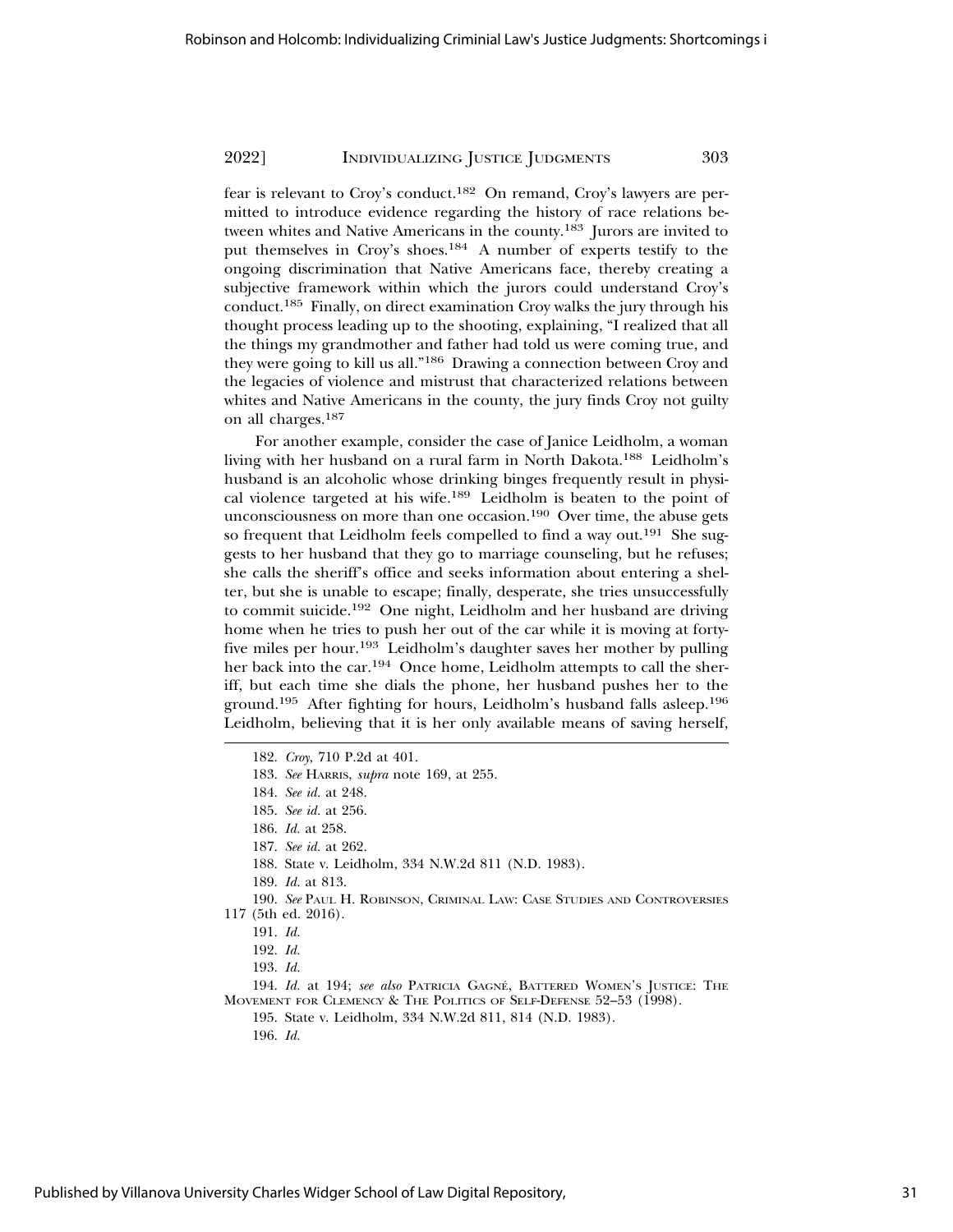fear is relevant to Croy's conduct.182 On remand, Croy's lawyers are permitted to introduce evidence regarding the history of race relations between whites and Native Americans in the county.183 Jurors are invited to put themselves in Croy's shoes.184 A number of experts testify to the ongoing discrimination that Native Americans face, thereby creating a subjective framework within which the jurors could understand Croy's conduct.185 Finally, on direct examination Croy walks the jury through his thought process leading up to the shooting, explaining, "I realized that all the things my grandmother and father had told us were coming true, and they were going to kill us all."186 Drawing a connection between Croy and the legacies of violence and mistrust that characterized relations between whites and Native Americans in the county, the jury finds Croy not guilty on all charges.<sup>187</sup>

For another example, consider the case of Janice Leidholm, a woman living with her husband on a rural farm in North Dakota.188 Leidholm's husband is an alcoholic whose drinking binges frequently result in physical violence targeted at his wife.189 Leidholm is beaten to the point of unconsciousness on more than one occasion.190 Over time, the abuse gets so frequent that Leidholm feels compelled to find a way out.<sup>191</sup> She suggests to her husband that they go to marriage counseling, but he refuses; she calls the sheriff's office and seeks information about entering a shelter, but she is unable to escape; finally, desperate, she tries unsuccessfully to commit suicide.192 One night, Leidholm and her husband are driving home when he tries to push her out of the car while it is moving at fortyfive miles per hour.193 Leidholm's daughter saves her mother by pulling her back into the car.194 Once home, Leidholm attempts to call the sheriff, but each time she dials the phone, her husband pushes her to the ground.195 After fighting for hours, Leidholm's husband falls asleep.196 Leidholm, believing that it is her only available means of saving herself,

- 182. *Croy*, 710 P.2d at 401.
- 183. *See* HARRIS, *supra* note 169, at 255.
- 184. *See id.* at 248.
- 185. *See id.* at 256.
- 186. *Id.* at 258.
- 187. *See id.* at 262.
- 188. State v. Leidholm, 334 N.W.2d 811 (N.D. 1983).
- 189. *Id.* at 813.
- 190. *See* PAUL H. ROBINSON, CRIMINAL LAW: CASE STUDIES AND CONTROVERSIES 117 (5th ed. 2016).

- 192. *Id.*
- 193. *Id.*
- 194. *Id.* at 194; *see also* PATRICIA GAGNÉ, BATTERED WOMEN'S JUSTICE: THE MOVEMENT FOR CLEMENCY & THE POLITICS OF SELF-DEFENSE 52–53 (1998).
	- 195. State v. Leidholm, 334 N.W.2d 811, 814 (N.D. 1983).
		- 196. *Id.*

<sup>191.</sup> *Id.*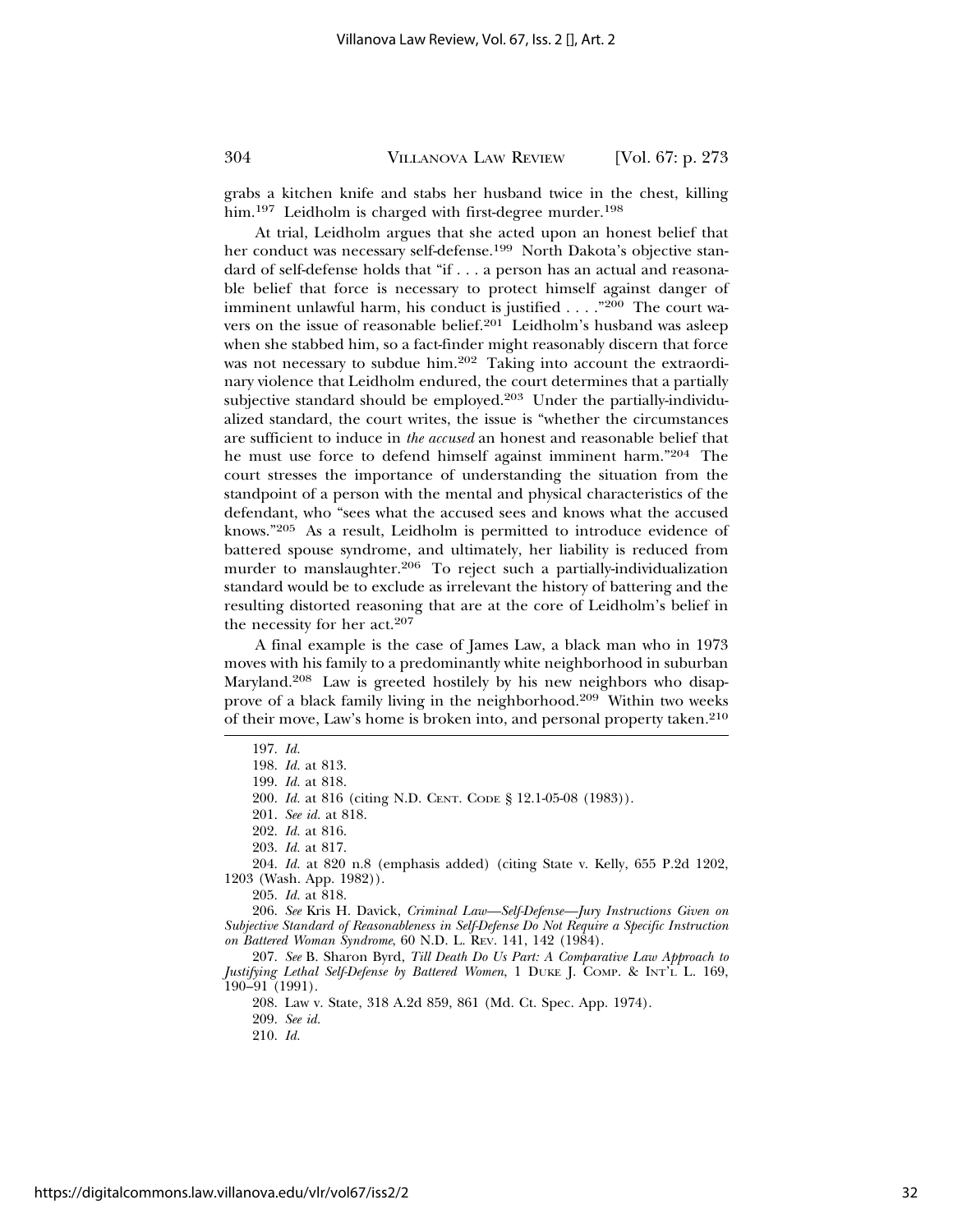grabs a kitchen knife and stabs her husband twice in the chest, killing him.<sup>197</sup> Leidholm is charged with first-degree murder.<sup>198</sup>

At trial, Leidholm argues that she acted upon an honest belief that her conduct was necessary self-defense.<sup>199</sup> North Dakota's objective standard of self-defense holds that "if . . . a person has an actual and reasonable belief that force is necessary to protect himself against danger of imminent unlawful harm, his conduct is justified . . . . "200 The court wavers on the issue of reasonable belief.<sup>201</sup> Leidholm's husband was asleep when she stabbed him, so a fact-finder might reasonably discern that force was not necessary to subdue him.202 Taking into account the extraordinary violence that Leidholm endured, the court determines that a partially subjective standard should be employed.203 Under the partially-individualized standard, the court writes, the issue is "whether the circumstances are sufficient to induce in *the accused* an honest and reasonable belief that he must use force to defend himself against imminent harm."204 The court stresses the importance of understanding the situation from the standpoint of a person with the mental and physical characteristics of the defendant, who "sees what the accused sees and knows what the accused knows."205 As a result, Leidholm is permitted to introduce evidence of battered spouse syndrome, and ultimately, her liability is reduced from murder to manslaughter.<sup>206</sup> To reject such a partially-individualization standard would be to exclude as irrelevant the history of battering and the resulting distorted reasoning that are at the core of Leidholm's belief in the necessity for her act.<sup>207</sup>

A final example is the case of James Law, a black man who in 1973 moves with his family to a predominantly white neighborhood in suburban Maryland.208 Law is greeted hostilely by his new neighbors who disapprove of a black family living in the neighborhood.209 Within two weeks of their move, Law's home is broken into, and personal property taken.<sup>210</sup>

208. Law v. State, 318 A.2d 859, 861 (Md. Ct. Spec. App. 1974).

<sup>197.</sup> *Id.*

<sup>198.</sup> *Id.* at 813.

<sup>199.</sup> *Id.* at 818.

<sup>200.</sup> *Id.* at 816 (citing N.D. CENT. CODE § 12.1-05-08 (1983)).

<sup>201.</sup> *See id.* at 818.

<sup>202.</sup> *Id.* at 816.

<sup>203.</sup> *Id.* at 817.

<sup>204.</sup> *Id.* at 820 n.8 (emphasis added) (citing State v. Kelly, 655 P.2d 1202, 1203 (Wash. App. 1982)).

<sup>205.</sup> *Id.* at 818.

<sup>206.</sup> *See* Kris H. Davick, *Criminal Law—Self-Defense—Jury Instructions Given on Subjective Standard of Reasonableness in Self-Defense Do Not Require a Specific Instruction on Battered Woman Syndrome*, 60 N.D. L. REV. 141, 142 (1984).

<sup>207.</sup> *See* B. Sharon Byrd, *Till Death Do Us Part: A Comparative Law Approach to Justifying Lethal Self-Defense by Battered Women*, 1 DUKE J. COMP. & INT'L L. 169, 190–91 (1991).

<sup>209.</sup> *See id.*

<sup>210.</sup> *Id.*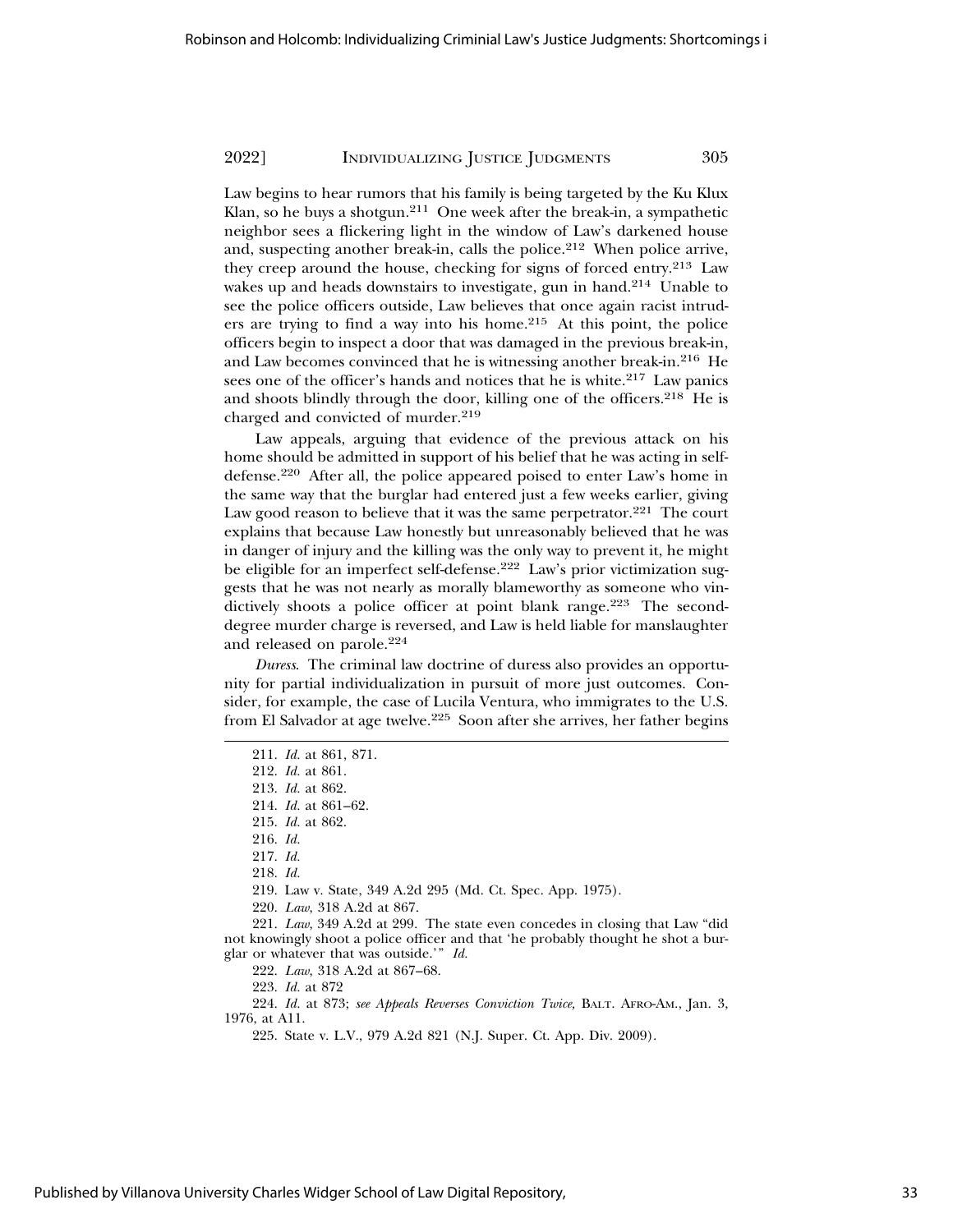Law begins to hear rumors that his family is being targeted by the Ku Klux Klan, so he buys a shotgun.211 One week after the break-in, a sympathetic neighbor sees a flickering light in the window of Law's darkened house and, suspecting another break-in, calls the police.<sup>212</sup> When police arrive, they creep around the house, checking for signs of forced entry.213 Law wakes up and heads downstairs to investigate, gun in hand.<sup>214</sup> Unable to see the police officers outside, Law believes that once again racist intruders are trying to find a way into his home.215 At this point, the police officers begin to inspect a door that was damaged in the previous break-in, and Law becomes convinced that he is witnessing another break-in.216 He sees one of the officer's hands and notices that he is white.<sup>217</sup> Law panics and shoots blindly through the door, killing one of the officers.<sup>218</sup> He is charged and convicted of murder.<sup>219</sup>

Law appeals, arguing that evidence of the previous attack on his home should be admitted in support of his belief that he was acting in selfdefense.220 After all, the police appeared poised to enter Law's home in the same way that the burglar had entered just a few weeks earlier, giving Law good reason to believe that it was the same perpetrator. $221$  The court explains that because Law honestly but unreasonably believed that he was in danger of injury and the killing was the only way to prevent it, he might be eligible for an imperfect self-defense.<sup>222</sup> Law's prior victimization suggests that he was not nearly as morally blameworthy as someone who vindictively shoots a police officer at point blank range.<sup>223</sup> The seconddegree murder charge is reversed, and Law is held liable for manslaughter and released on parole.<sup>224</sup>

*Duress*. The criminal law doctrine of duress also provides an opportunity for partial individualization in pursuit of more just outcomes. Consider, for example, the case of Lucila Ventura, who immigrates to the U.S. from El Salvador at age twelve.225 Soon after she arrives, her father begins

219. Law v. State, 349 A.2d 295 (Md. Ct. Spec. App. 1975).

221. *Law*, 349 A.2d at 299. The state even concedes in closing that Law "did not knowingly shoot a police officer and that 'he probably thought he shot a burglar or whatever that was outside.'" *Id.*

224. *Id.* at 873; *see Appeals Reverses Conviction Twice,* BALT. AFRO-AM., Jan. 3, 1976, at A11.

225. State v. L.V., 979 A.2d 821 (N.J. Super. Ct. App. Div. 2009).

<sup>211.</sup> *Id.* at 861, 871.

<sup>212.</sup> *Id.* at 861.

<sup>213.</sup> *Id.* at 862.

<sup>214.</sup> *Id.* at 861–62.

<sup>215.</sup> *Id.* at 862.

<sup>216.</sup> *Id.*

<sup>217.</sup> *Id.*

<sup>218.</sup> *Id.*

<sup>220.</sup> *Law*, 318 A.2d at 867.

<sup>222.</sup> *Law*, 318 A.2d at 867–68.

<sup>223.</sup> *Id.* at 872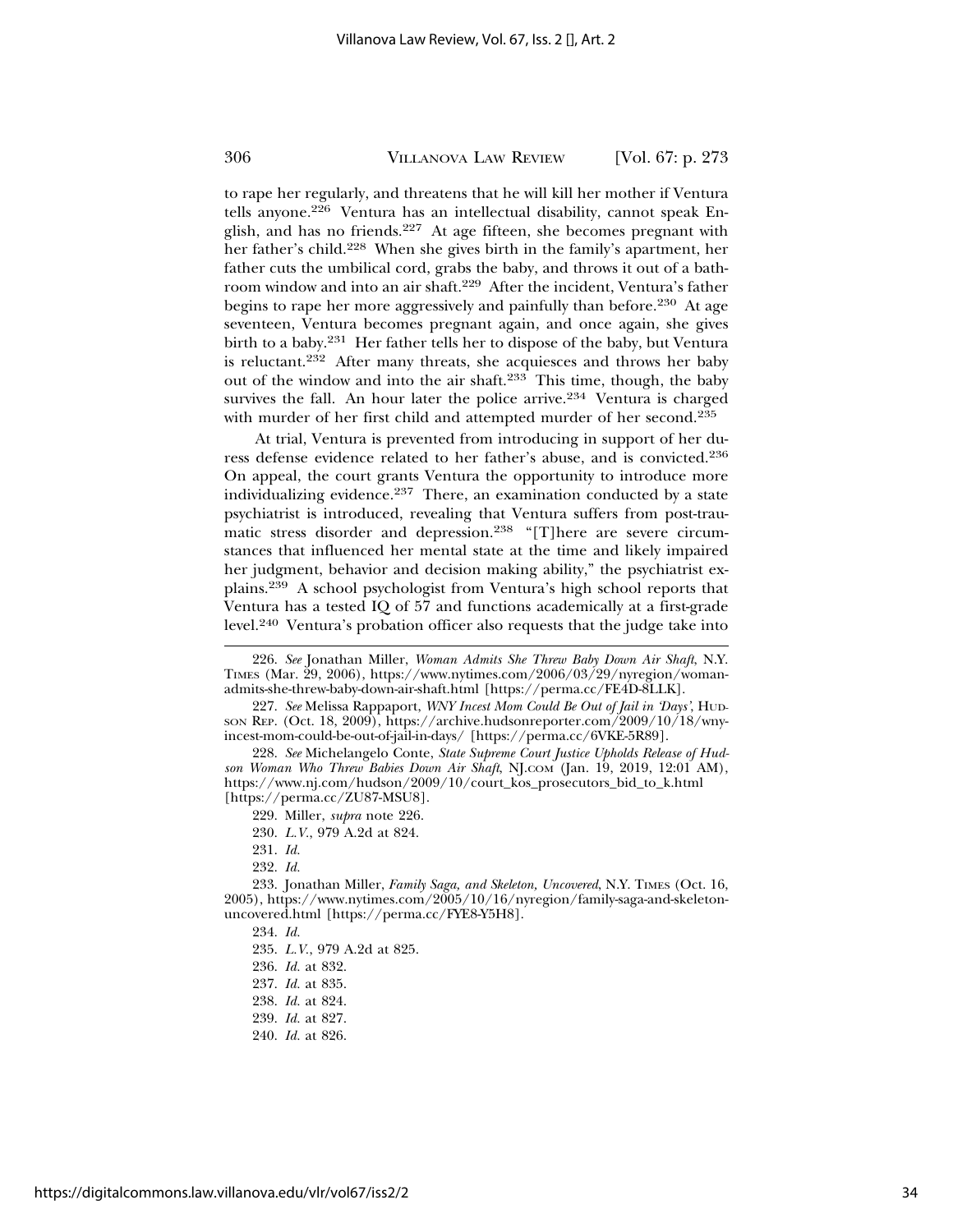to rape her regularly, and threatens that he will kill her mother if Ventura tells anyone.226 Ventura has an intellectual disability, cannot speak English, and has no friends.<sup>227</sup> At age fifteen, she becomes pregnant with her father's child.228 When she gives birth in the family's apartment, her father cuts the umbilical cord, grabs the baby, and throws it out of a bathroom window and into an air shaft.229 After the incident, Ventura's father begins to rape her more aggressively and painfully than before.<sup>230</sup> At age seventeen, Ventura becomes pregnant again, and once again, she gives birth to a baby.231 Her father tells her to dispose of the baby, but Ventura is reluctant.232 After many threats, she acquiesces and throws her baby out of the window and into the air shaft.233 This time, though, the baby survives the fall. An hour later the police arrive.<sup>234</sup> Ventura is charged with murder of her first child and attempted murder of her second.<sup>235</sup>

At trial, Ventura is prevented from introducing in support of her duress defense evidence related to her father's abuse, and is convicted.<sup>236</sup> On appeal, the court grants Ventura the opportunity to introduce more individualizing evidence.<sup>237</sup> There, an examination conducted by a state psychiatrist is introduced, revealing that Ventura suffers from post-traumatic stress disorder and depression.<sup>238</sup> "[T]here are severe circumstances that influenced her mental state at the time and likely impaired her judgment, behavior and decision making ability," the psychiatrist explains.239 A school psychologist from Ventura's high school reports that Ventura has a tested IQ of 57 and functions academically at a first-grade level.240 Ventura's probation officer also requests that the judge take into

<sup>226.</sup> *See* Jonathan Miller, *Woman Admits She Threw Baby Down Air Shaft*, N.Y. TIMES (Mar. 29, 2006), https://www.nytimes.com/2006/03/29/nyregion/womanadmits-she-threw-baby-down-air-shaft.html [https://perma.cc/FE4D-8LLK].

<sup>227.</sup> *See* Melissa Rappaport, *WNY Incest Mom Could Be Out of Jail in 'Days'*, HUD-SON REP. (Oct. 18, 2009), https://archive.hudsonreporter.com/2009/10/18/wnyincest-mom-could-be-out-of-jail-in-days/ [https://perma.cc/6VKE-5R89].

<sup>228.</sup> *See* Michelangelo Conte, *State Supreme Court Justice Upholds Release of Hudson Woman Who Threw Babies Down Air Shaft*, NJ.COM (Jan. 19, 2019, 12:01 AM), https://www.nj.com/hudson/2009/10/court\_kos\_prosecutors\_bid\_to\_k.html [https://perma.cc/ZU87-MSU8].

<sup>229.</sup> Miller, *supra* note 226.

<sup>230.</sup> *L.V.*, 979 A.2d at 824.

<sup>231.</sup> *Id.*

<sup>232.</sup> *Id.*

<sup>233.</sup> Jonathan Miller, *Family Saga, and Skeleton, Uncovered*, N.Y. TIMES (Oct. 16, 2005), https://www.nytimes.com/2005/10/16/nyregion/family-saga-and-skeletonuncovered.html [https://perma.cc/FYE8-Y5H8].

<sup>234.</sup> *Id.*

<sup>235.</sup> *L.V.*, 979 A.2d at 825.

<sup>236.</sup> *Id.* at 832.

<sup>237.</sup> *Id.* at 835.

<sup>238.</sup> *Id.* at 824.

<sup>239.</sup> *Id.* at 827.

<sup>240.</sup> *Id.* at 826.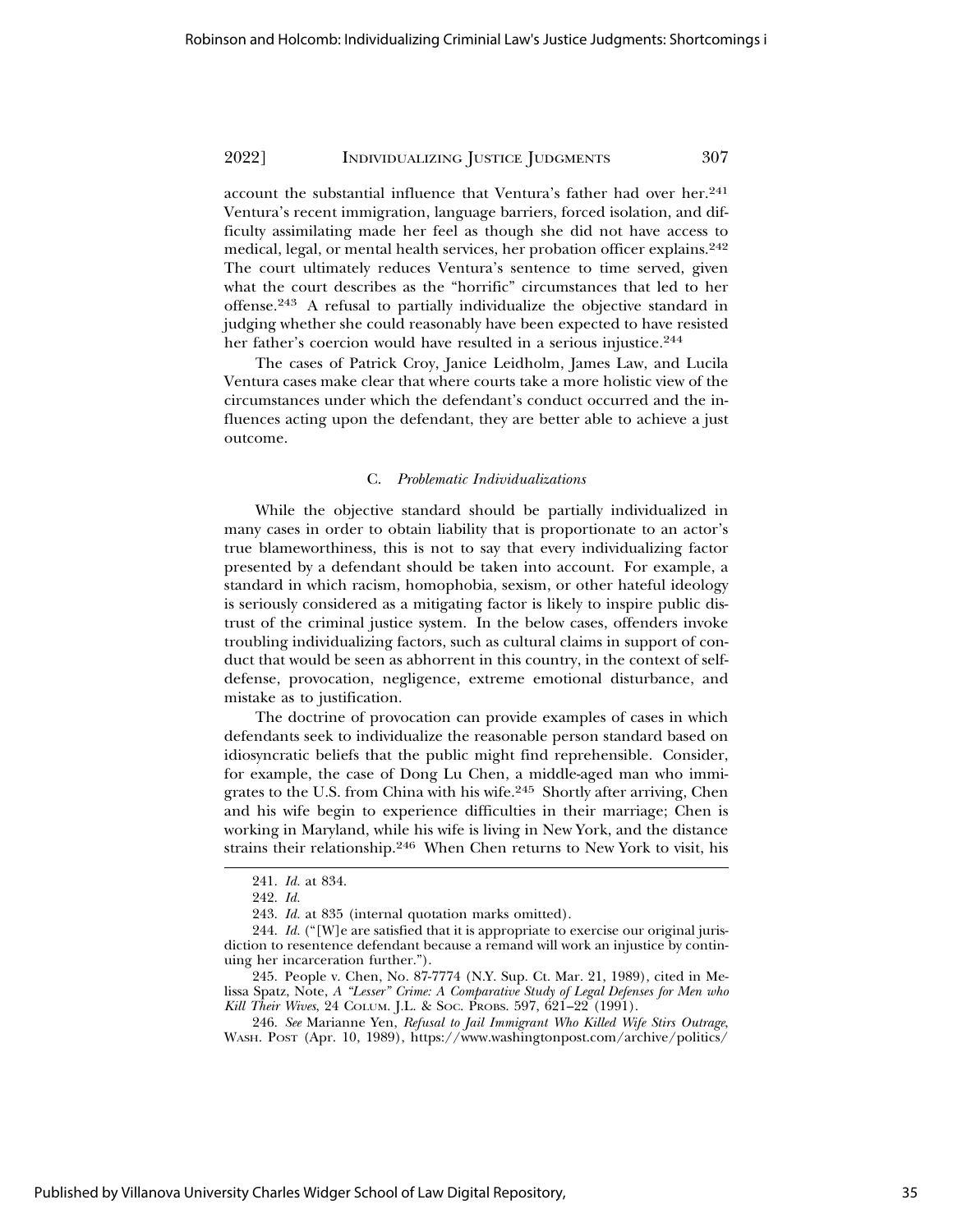account the substantial influence that Ventura's father had over her.<sup>241</sup> Ventura's recent immigration, language barriers, forced isolation, and difficulty assimilating made her feel as though she did not have access to medical, legal, or mental health services, her probation officer explains.<sup>242</sup> The court ultimately reduces Ventura's sentence to time served, given what the court describes as the "horrific" circumstances that led to her offense.243 A refusal to partially individualize the objective standard in judging whether she could reasonably have been expected to have resisted her father's coercion would have resulted in a serious injustice.<sup>244</sup>

The cases of Patrick Croy, Janice Leidholm, James Law, and Lucila Ventura cases make clear that where courts take a more holistic view of the circumstances under which the defendant's conduct occurred and the influences acting upon the defendant, they are better able to achieve a just outcome.

#### C. *Problematic Individualizations*

While the objective standard should be partially individualized in many cases in order to obtain liability that is proportionate to an actor's true blameworthiness, this is not to say that every individualizing factor presented by a defendant should be taken into account. For example, a standard in which racism, homophobia, sexism, or other hateful ideology is seriously considered as a mitigating factor is likely to inspire public distrust of the criminal justice system. In the below cases, offenders invoke troubling individualizing factors, such as cultural claims in support of conduct that would be seen as abhorrent in this country, in the context of selfdefense, provocation, negligence, extreme emotional disturbance, and mistake as to justification.

The doctrine of provocation can provide examples of cases in which defendants seek to individualize the reasonable person standard based on idiosyncratic beliefs that the public might find reprehensible. Consider, for example, the case of Dong Lu Chen, a middle-aged man who immigrates to the U.S. from China with his wife.245 Shortly after arriving, Chen and his wife begin to experience difficulties in their marriage; Chen is working in Maryland, while his wife is living in New York, and the distance strains their relationship.246 When Chen returns to New York to visit, his

<sup>241.</sup> *Id.* at 834.

<sup>242.</sup> *Id.*

<sup>243.</sup> *Id.* at 835 (internal quotation marks omitted).

<sup>244.</sup> *Id.* ("[W]e are satisfied that it is appropriate to exercise our original jurisdiction to resentence defendant because a remand will work an injustice by continuing her incarceration further.").

<sup>245.</sup> People v. Chen, No. 87-7774 (N.Y. Sup. Ct. Mar. 21, 1989), cited in Melissa Spatz, Note, *A "Lesser" Crime: A Comparative Study of Legal Defenses for Men who Kill Their Wives*, 24 COLUM. J.L. & SOC. PROBS. 597, 621–22 (1991).

<sup>246.</sup> *See* Marianne Yen, *Refusal to Jail Immigrant Who Killed Wife Stirs Outrage*, WASH. POST (Apr. 10, 1989), https://www.washingtonpost.com/archive/politics/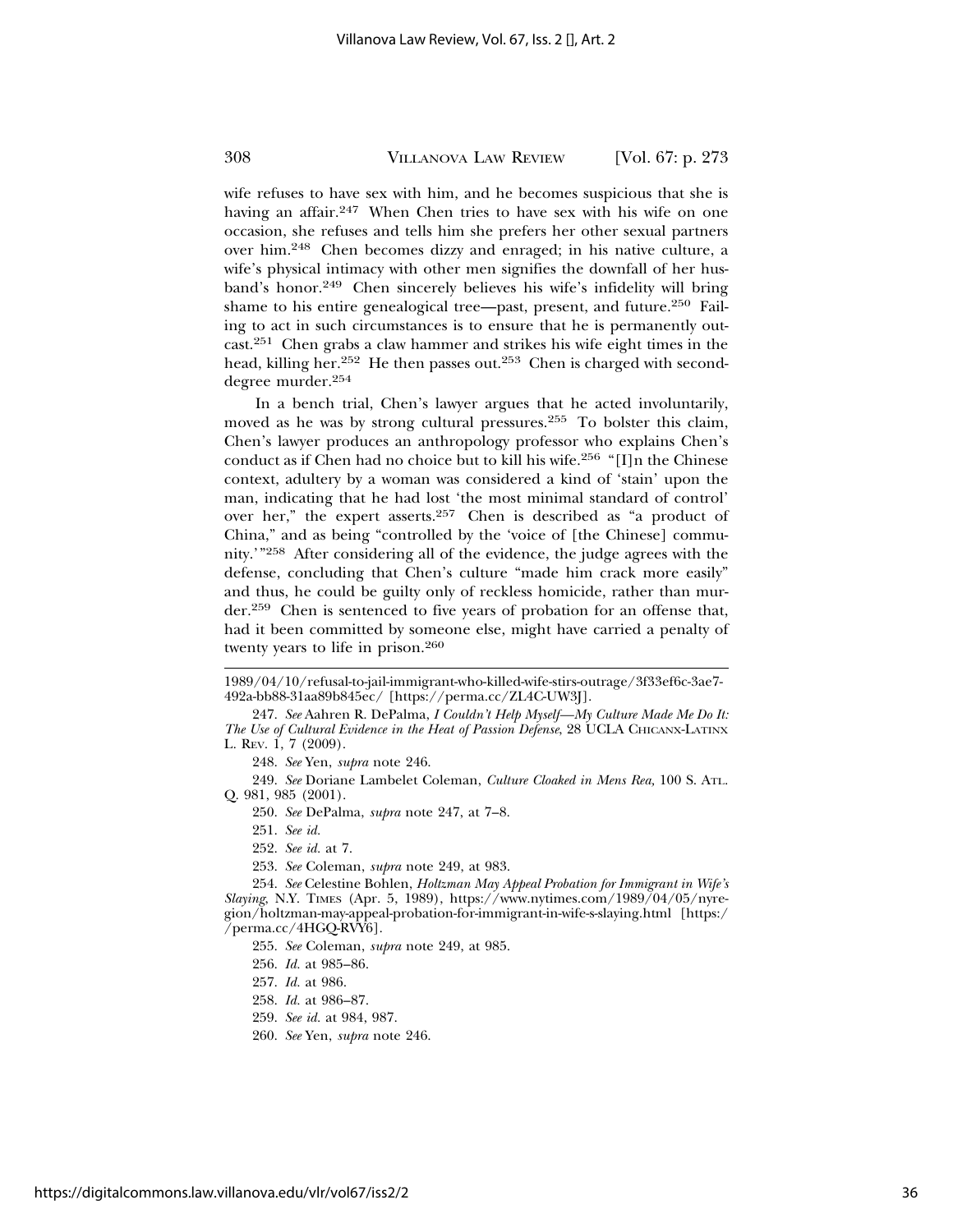wife refuses to have sex with him, and he becomes suspicious that she is having an affair.<sup>247</sup> When Chen tries to have sex with his wife on one occasion, she refuses and tells him she prefers her other sexual partners over him.248 Chen becomes dizzy and enraged; in his native culture, a wife's physical intimacy with other men signifies the downfall of her husband's honor.249 Chen sincerely believes his wife's infidelity will bring shame to his entire genealogical tree—past, present, and future.250 Failing to act in such circumstances is to ensure that he is permanently outcast.251 Chen grabs a claw hammer and strikes his wife eight times in the head, killing her.<sup>252</sup> He then passes out.<sup>253</sup> Chen is charged with seconddegree murder.<sup>254</sup>

In a bench trial, Chen's lawyer argues that he acted involuntarily, moved as he was by strong cultural pressures.255 To bolster this claim, Chen's lawyer produces an anthropology professor who explains Chen's conduct as if Chen had no choice but to kill his wife.256 "[I]n the Chinese context, adultery by a woman was considered a kind of 'stain' upon the man, indicating that he had lost 'the most minimal standard of control' over her," the expert asserts.257 Chen is described as "a product of China," and as being "controlled by the 'voice of [the Chinese] community.'"258 After considering all of the evidence, the judge agrees with the defense, concluding that Chen's culture "made him crack more easily" and thus, he could be guilty only of reckless homicide, rather than murder.259 Chen is sentenced to five years of probation for an offense that, had it been committed by someone else, might have carried a penalty of twenty years to life in prison.<sup>260</sup>

248. *See* Yen, *supra* note 246.

249. *See* Doriane Lambelet Coleman, *Culture Cloaked in Mens Rea,* 100 S. ATL. Q. 981, 985 (2001).

250. *See* DePalma, *supra* note 247, at 7–8.

251. *See id.*

252. *See id.* at 7.

253. *See* Coleman, *supra* note 249, at 983.

254. *See* Celestine Bohlen, *Holtzman May Appeal Probation for Immigrant in Wife's Slaying*, N.Y. TIMES (Apr. 5, 1989), https://www.nytimes.com/1989/04/05/nyregion/holtzman-may-appeal-probation-for-immigrant-in-wife-s-slaying.html [https:/ /perma.cc/4HGQ-RVY6].

255. *See* Coleman, *supra* note 249, at 985.

- 257. *Id.* at 986.
- 258. *Id.* at 986–87.
- 259. *See id.* at 984, 987.
- 260. *See* Yen, *supra* note 246.

<sup>1989/04/10/</sup>refusal-to-jail-immigrant-who-killed-wife-stirs-outrage/3f33ef6c-3ae7- 492a-bb88-31aa89b845ec/ [https://perma.cc/ZL4C-UW3J].

<sup>247.</sup> *See* Aahren R. DePalma, *I Couldn't Help Myself—My Culture Made Me Do It: The Use of Cultural Evidence in the Heat of Passion Defense*, 28 UCLA CHICANX-LATINX L. REV. 1, 7 (2009).

<sup>256.</sup> *Id.* at 985–86.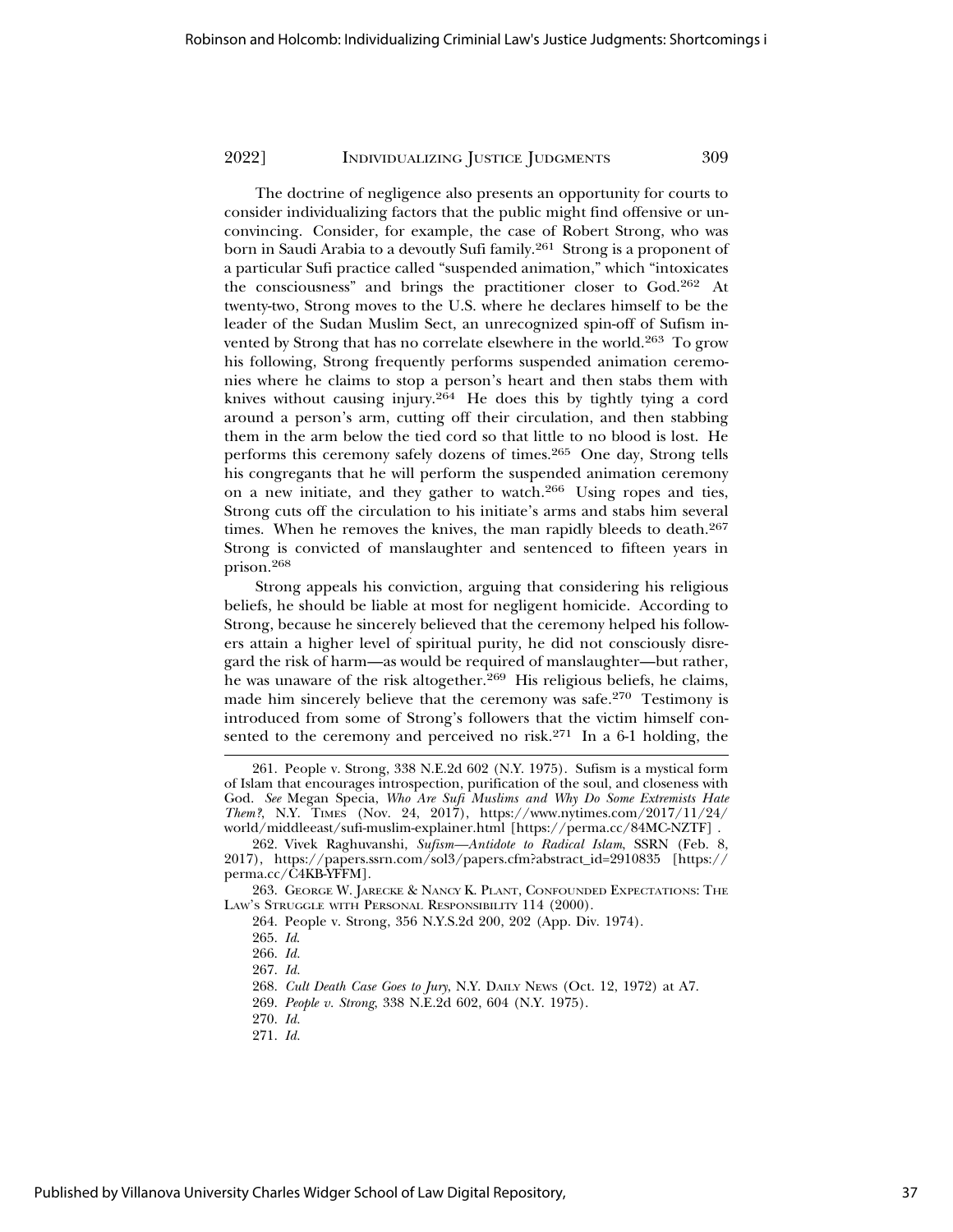The doctrine of negligence also presents an opportunity for courts to consider individualizing factors that the public might find offensive or unconvincing. Consider, for example, the case of Robert Strong, who was born in Saudi Arabia to a devoutly Sufi family.<sup>261</sup> Strong is a proponent of a particular Sufi practice called "suspended animation," which "intoxicates the consciousness" and brings the practitioner closer to God.262 At twenty-two, Strong moves to the U.S. where he declares himself to be the leader of the Sudan Muslim Sect, an unrecognized spin-off of Sufism invented by Strong that has no correlate elsewhere in the world.<sup>263</sup> To grow his following, Strong frequently performs suspended animation ceremonies where he claims to stop a person's heart and then stabs them with knives without causing injury.<sup>264</sup> He does this by tightly tying a cord around a person's arm, cutting off their circulation, and then stabbing them in the arm below the tied cord so that little to no blood is lost. He performs this ceremony safely dozens of times.265 One day, Strong tells his congregants that he will perform the suspended animation ceremony on a new initiate, and they gather to watch.266 Using ropes and ties, Strong cuts off the circulation to his initiate's arms and stabs him several times. When he removes the knives, the man rapidly bleeds to death.<sup>267</sup> Strong is convicted of manslaughter and sentenced to fifteen years in prison.268

Strong appeals his conviction, arguing that considering his religious beliefs, he should be liable at most for negligent homicide. According to Strong, because he sincerely believed that the ceremony helped his followers attain a higher level of spiritual purity, he did not consciously disregard the risk of harm—as would be required of manslaughter—but rather, he was unaware of the risk altogether.<sup>269</sup> His religious beliefs, he claims, made him sincerely believe that the ceremony was safe.270 Testimony is introduced from some of Strong's followers that the victim himself consented to the ceremony and perceived no risk.271 In a 6-1 holding, the

271. *Id.*

<sup>261.</sup> People v. Strong, 338 N.E.2d 602 (N.Y. 1975). Sufism is a mystical form of Islam that encourages introspection, purification of the soul, and closeness with God. *See* Megan Specia, *Who Are Sufi Muslims and Why Do Some Extremists Hate Them?*, N.Y. TIMES (Nov. 24, 2017), https://www.nytimes.com/2017/11/24/ world/middleeast/sufi-muslim-explainer.html [https://perma.cc/84MC-NZTF] .

<sup>262.</sup> Vivek Raghuvanshi, *Sufism—Antidote to Radical Islam*, SSRN (Feb. 8, 2017), https://papers.ssrn.com/sol3/papers.cfm?abstract\_id=2910835 [https:// perma.cc/C4KB-YFFM].

<sup>263.</sup> GEORGE W. JARECKE & NANCY K. PLANT, CONFOUNDED EXPECTATIONS: THE LAW'S STRUGGLE WITH PERSONAL RESPONSIBILITY 114 (2000).

<sup>264.</sup> People v. Strong, 356 N.Y.S.2d 200, 202 (App. Div. 1974).

<sup>265.</sup> *Id*.

<sup>266.</sup> *Id.*

<sup>267.</sup> *Id.*

<sup>268.</sup> *Cult Death Case Goes to Jury*, N.Y. DAILY NEWS (Oct. 12, 1972) at A7.

<sup>269.</sup> *People v. Strong*, 338 N.E.2d 602, 604 (N.Y. 1975).

<sup>270.</sup> *Id.*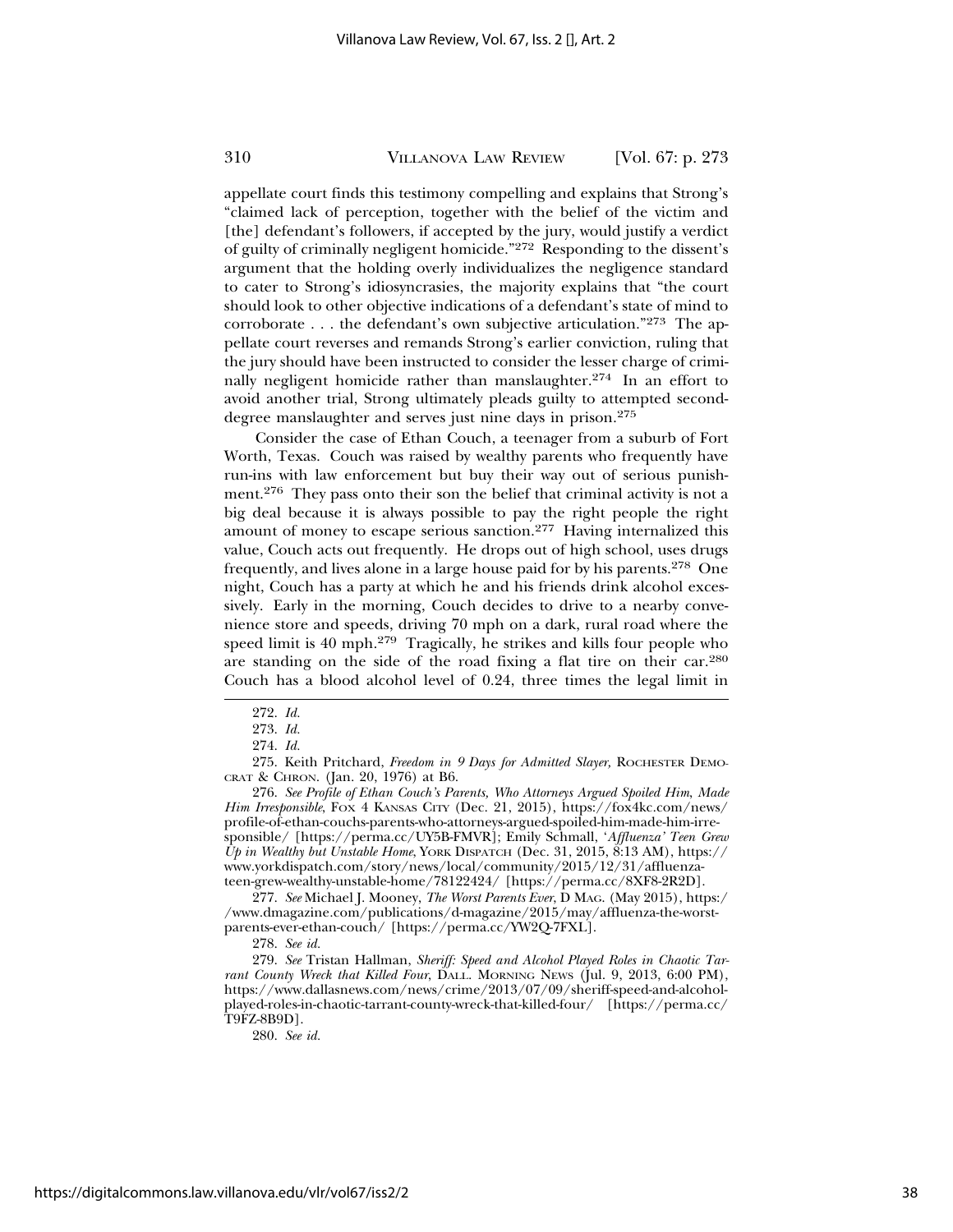appellate court finds this testimony compelling and explains that Strong's "claimed lack of perception, together with the belief of the victim and [the] defendant's followers, if accepted by the jury, would justify a verdict of guilty of criminally negligent homicide."272 Responding to the dissent's argument that the holding overly individualizes the negligence standard to cater to Strong's idiosyncrasies, the majority explains that "the court should look to other objective indications of a defendant's state of mind to corroborate . . . the defendant's own subjective articulation."273 The appellate court reverses and remands Strong's earlier conviction, ruling that the jury should have been instructed to consider the lesser charge of criminally negligent homicide rather than manslaughter.<sup>274</sup> In an effort to avoid another trial, Strong ultimately pleads guilty to attempted seconddegree manslaughter and serves just nine days in prison.<sup>275</sup>

Consider the case of Ethan Couch, a teenager from a suburb of Fort Worth, Texas. Couch was raised by wealthy parents who frequently have run-ins with law enforcement but buy their way out of serious punishment.276 They pass onto their son the belief that criminal activity is not a big deal because it is always possible to pay the right people the right amount of money to escape serious sanction.277 Having internalized this value, Couch acts out frequently. He drops out of high school, uses drugs frequently, and lives alone in a large house paid for by his parents.278 One night, Couch has a party at which he and his friends drink alcohol excessively. Early in the morning, Couch decides to drive to a nearby convenience store and speeds, driving 70 mph on a dark, rural road where the speed limit is 40 mph.279 Tragically, he strikes and kills four people who are standing on the side of the road fixing a flat tire on their car.<sup>280</sup> Couch has a blood alcohol level of 0.24, three times the legal limit in

275. Keith Pritchard, *Freedom in 9 Days for Admitted Slayer,* ROCHESTER DEMO-CRAT & CHRON. (Jan. 20, 1976) at B6.

276. *See Profile of Ethan Couch's Parents, Who Attorneys Argued Spoiled Him*, *Made Him Irresponsible*, FOX 4 KANSAS CITY (Dec. 21, 2015), https://fox4kc.com/news/ profile-of-ethan-couchs-parents-who-attorneys-argued-spoiled-him-made-him-irresponsible/ [https://perma.cc/UY5B-FMVR]; Emily Schmall, '*Affluenza' Teen Grew Up in Wealthy but Unstable Home*, YORK DISPATCH (Dec. 31, 2015, 8:13 AM), https:// www.yorkdispatch.com/story/news/local/community/2015/12/31/affluenzateen-grew-wealthy-unstable-home/78122424/ [https://perma.cc/8XF8-2R2D].

277. *See* Michael J. Mooney, *The Worst Parents Ever*, D MAG. (May 2015), https:/ /www.dmagazine.com/publications/d-magazine/2015/may/affluenza-the-worstparents-ever-ethan-couch/ [https://perma.cc/YW2Q-7FXL].

279. *See* Tristan Hallman, *Sheriff: Speed and Alcohol Played Roles in Chaotic Tarrant County Wreck that Killed Four*, DALL. MORNING NEWS (Jul. 9, 2013, 6:00 PM), https://www.dallasnews.com/news/crime/2013/07/09/sheriff-speed-and-alcoholplayed-roles-in-chaotic-tarrant-county-wreck-that-killed-four/ [https://perma.cc/ T9FZ-8B9D].

280. *See id.*

<sup>272.</sup> *Id.*

<sup>273.</sup> *Id.*

<sup>274.</sup> *Id.*

<sup>278.</sup> *See id.*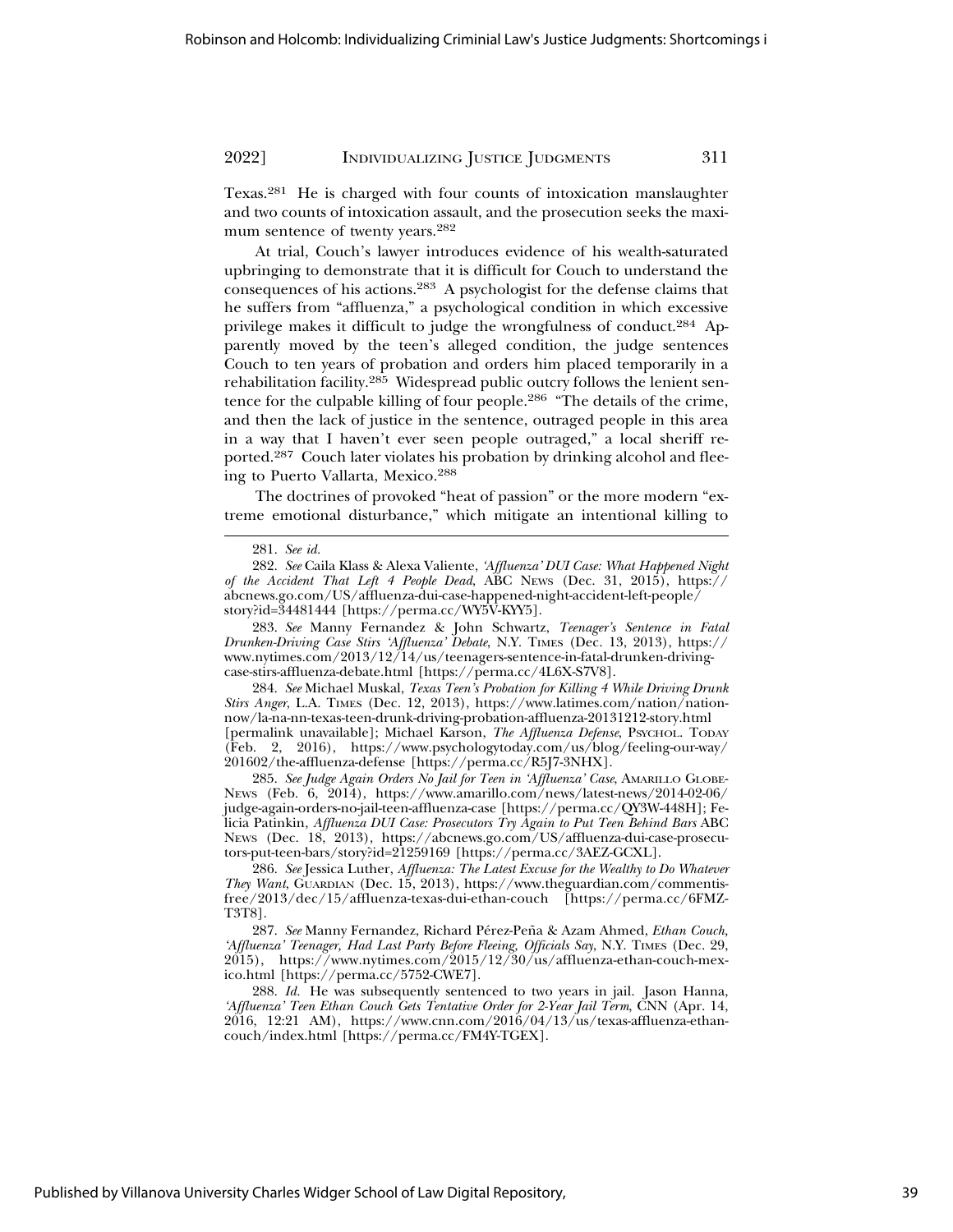Texas.281 He is charged with four counts of intoxication manslaughter and two counts of intoxication assault, and the prosecution seeks the maximum sentence of twenty years.<sup>282</sup>

At trial, Couch's lawyer introduces evidence of his wealth-saturated upbringing to demonstrate that it is difficult for Couch to understand the consequences of his actions.283 A psychologist for the defense claims that he suffers from "affluenza," a psychological condition in which excessive privilege makes it difficult to judge the wrongfulness of conduct.284 Apparently moved by the teen's alleged condition, the judge sentences Couch to ten years of probation and orders him placed temporarily in a rehabilitation facility.285 Widespread public outcry follows the lenient sentence for the culpable killing of four people.286 "The details of the crime, and then the lack of justice in the sentence, outraged people in this area in a way that I haven't ever seen people outraged," a local sheriff reported.287 Couch later violates his probation by drinking alcohol and fleeing to Puerto Vallarta, Mexico.<sup>288</sup>

The doctrines of provoked "heat of passion" or the more modern "extreme emotional disturbance," which mitigate an intentional killing to

283. *See* Manny Fernandez & John Schwartz, *Teenager's Sentence in Fatal Drunken-Driving Case Stirs 'Affluenza' Debate*, N.Y. TIMES (Dec. 13, 2013), https:// www.nytimes.com/2013/12/14/us/teenagers-sentence-in-fatal-drunken-drivingcase-stirs-affluenza-debate.html [https://perma.cc/4L6X-S7V8].

284. *See* Michael Muskal, *Texas Teen's Probation for Killing 4 While Driving Drunk Stirs Anger*, L.A. TIMES (Dec. 12, 2013), https://www.latimes.com/nation/nationnow/la-na-nn-texas-teen-drunk-driving-probation-affluenza-20131212-story.html [permalink unavailable]; Michael Karson, *The Affluenza Defense*, Psychol. TODAY (Feb. 2, 2016), https://www.psychologytoday.com/us/blog/feeling-our-way/ 201602/the-affluenza-defense [https://perma.cc/R5J7-3NHX].

285. *See Judge Again Orders No Jail for Teen in 'Affluenza' Case*, AMARILLO GLOBE-News (Feb. 6, 2014), https://www.amarillo.com/news/latest-news/2014-02-06/ judge-again-orders-no-jail-teen-affluenza-case [https://perma.cc/QY3W-448H]; Felicia Patinkin, *Affluenza DUI Case: Prosecutors Try Again to Put Teen Behind Bars* ABC NEWS (Dec. 18, 2013), https://abcnews.go.com/US/affluenza-dui-case-prosecutors-put-teen-bars/story?id=21259169 [https://perma.cc/3AEZ-GCXL].

286. *See* Jessica Luther, *Affluenza: The Latest Excuse for the Wealthy to Do Whatever They Want*, GUARDIAN (Dec. 15, 2013), https://www.theguardian.com/commentisfree/2013/dec/15/affluenza-texas-dui-ethan-couch [https://perma.cc/6FMZ-T3T8].

287. See Manny Fernandez, Richard Pérez-Peña & Azam Ahmed, *Ethan Couch*, *'Affluenza' Teenager, Had Last Party Before Fleeing, Officials Say*, N.Y. TIMES (Dec. 29,  $2015$ ), https://www.nytimes.com/2015/12/30/us/affluenza-ethan-couch-mexico.html [https://perma.cc/5752-CWE7].

288. *Id.* He was subsequently sentenced to two years in jail. Jason Hanna, *'Affluenza' Teen Ethan Couch Gets Tentative Order for 2-Year Jail Term*, CNN (Apr. 14, 2016, 12:21 AM), https://www.cnn.com/2016/04/13/us/texas-affluenza-ethancouch/index.html [https://perma.cc/FM4Y-TGEX].

<sup>281.</sup> *See id.*

<sup>282.</sup> *See* Caila Klass & Alexa Valiente, *'Affluenza' DUI Case: What Happened Night of the Accident That Left 4 People Dead*, ABC NEWS (Dec. 31, 2015), https:// abcnews.go.com/US/affluenza-dui-case-happened-night-accident-left-people/ story?id=34481444 [https://perma.cc/WY5V-KYY5].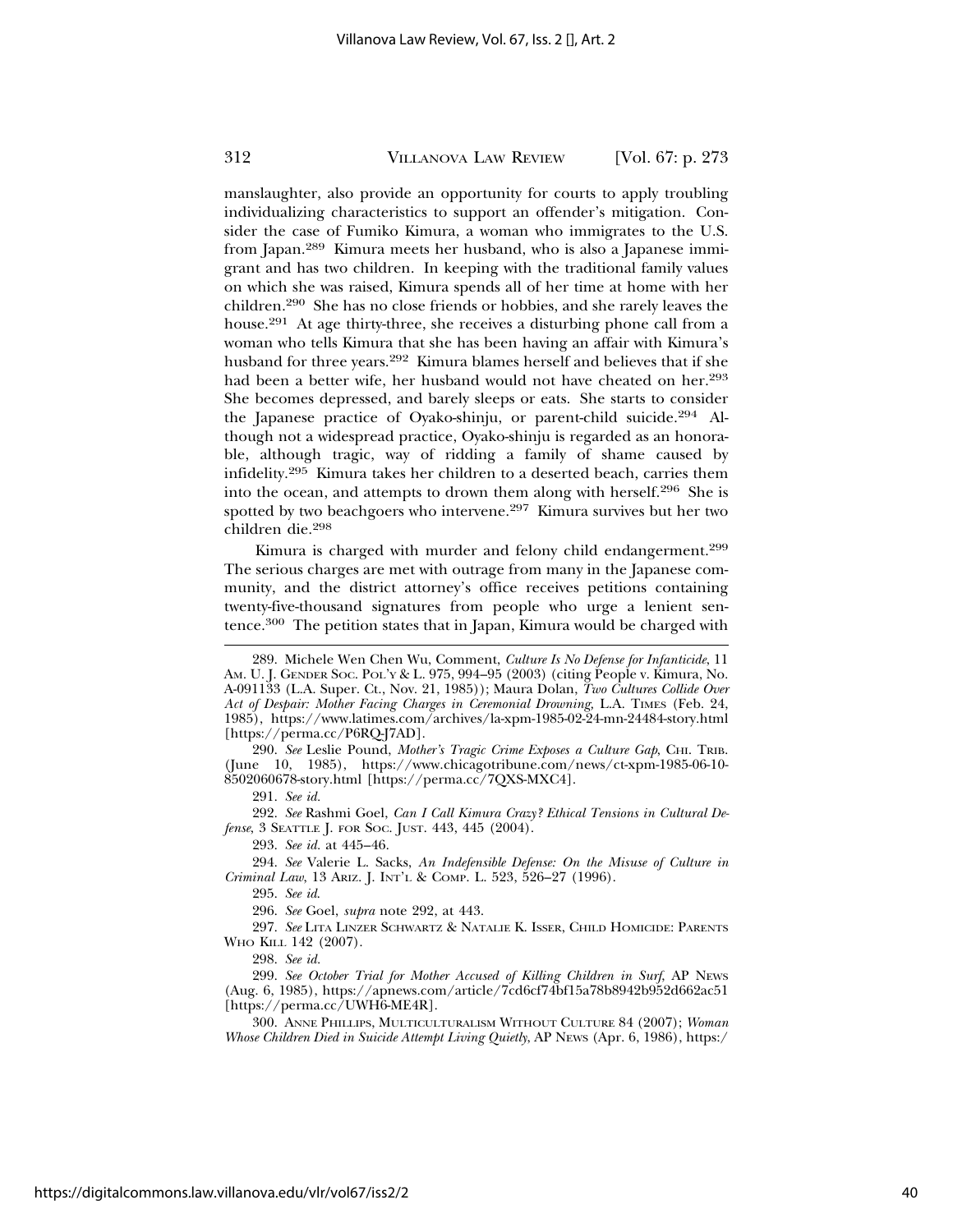manslaughter, also provide an opportunity for courts to apply troubling individualizing characteristics to support an offender's mitigation. Consider the case of Fumiko Kimura, a woman who immigrates to the U.S. from Japan.289 Kimura meets her husband, who is also a Japanese immigrant and has two children. In keeping with the traditional family values on which she was raised, Kimura spends all of her time at home with her children.290 She has no close friends or hobbies, and she rarely leaves the house.291 At age thirty-three, she receives a disturbing phone call from a woman who tells Kimura that she has been having an affair with Kimura's husband for three years.292 Kimura blames herself and believes that if she had been a better wife, her husband would not have cheated on her.<sup>293</sup> She becomes depressed, and barely sleeps or eats. She starts to consider the Japanese practice of Oyako-shinju, or parent-child suicide.294 Although not a widespread practice, Oyako-shinju is regarded as an honorable, although tragic, way of ridding a family of shame caused by infidelity.295 Kimura takes her children to a deserted beach, carries them into the ocean, and attempts to drown them along with herself.296 She is spotted by two beachgoers who intervene.<sup>297</sup> Kimura survives but her two children die.<sup>298</sup>

Kimura is charged with murder and felony child endangerment.<sup>299</sup> The serious charges are met with outrage from many in the Japanese community, and the district attorney's office receives petitions containing twenty-five-thousand signatures from people who urge a lenient sentence.300 The petition states that in Japan, Kimura would be charged with

290. *See* Leslie Pound, *Mother's Tragic Crime Exposes a Culture Gap*, CHI. TRIB. (June 10, 1985), https://www.chicagotribune.com/news/ct-xpm-1985-06-10- 8502060678-story.html [https://perma.cc/7QXS-MXC4].

291. *See id.*

292. *See* Rashmi Goel, *Can I Call Kimura Crazy? Ethical Tensions in Cultural Defense*, 3 SEATTLE J. FOR SOC. JUST. 443, 445 (2004).

293. *See id.* at 445–46.

294. *See* Valerie L. Sacks, *An Indefensible Defense: On the Misuse of Culture in Criminal Law*, 13 ARIZ. J. INT'L & COMP. L. 523, 526–27 (1996).

295. *See id*.

296. *See* Goel, *supra* note 292, at 443.

297. *See* LITA LINZER SCHWARTZ & NATALIE K. ISSER, CHILD HOMICIDE: PARENTS WHO KILL 142 (2007).

298. *See id.*

299. *See October Trial for Mother Accused of Killing Children in Surf*, AP NEWS (Aug. 6, 1985), https://apnews.com/article/7cd6cf74bf15a78b8942b952d662ac51 [https://perma.cc/UWH6-ME4R].

300. ANNE PHILLIPS, MULTICULTURALISM WITHOUT CULTURE 84 (2007); *Woman Whose Children Died in Suicide Attempt Living Quietly*, AP NEWS (Apr. 6, 1986), https:/

<sup>289.</sup> Michele Wen Chen Wu, Comment, *Culture Is No Defense for Infanticide*, 11 AM. U. J. GENDER SOC. POL'Y & L. 975, 994–95 (2003) (citing People v. Kimura, No. A-091133 (L.A. Super. Ct., Nov. 21, 1985)); Maura Dolan, *Two Cultures Collide Over Act of Despair: Mother Facing Charges in Ceremonial Drowning,* L.A. TIMES (Feb. 24, 1985), https://www.latimes.com/archives/la-xpm-1985-02-24-mn-24484-story.html [https://perma.cc/P6RQ-J7AD].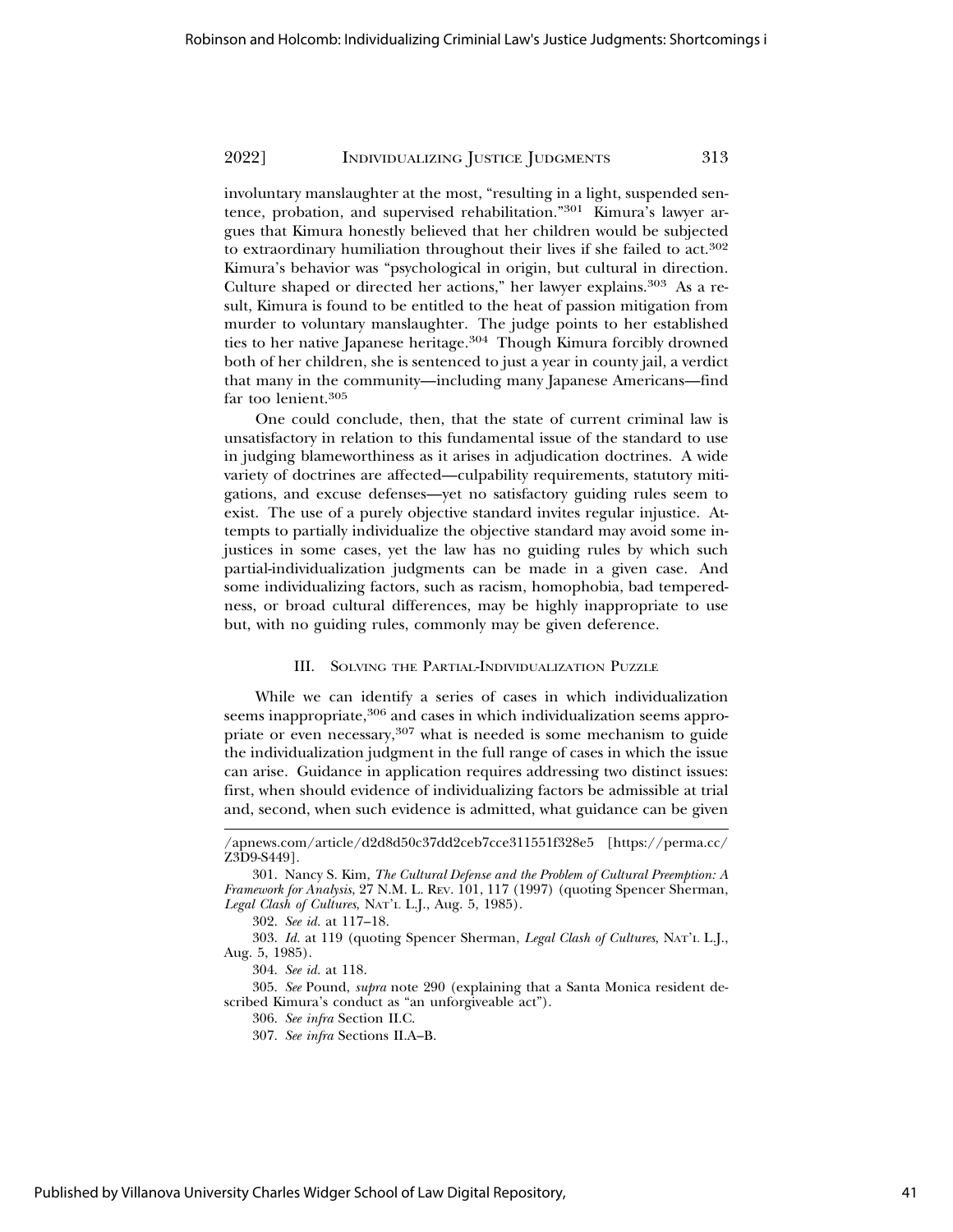involuntary manslaughter at the most, "resulting in a light, suspended sentence, probation, and supervised rehabilitation."301 Kimura's lawyer argues that Kimura honestly believed that her children would be subjected to extraordinary humiliation throughout their lives if she failed to act.<sup>302</sup> Kimura's behavior was "psychological in origin, but cultural in direction. Culture shaped or directed her actions," her lawyer explains.<sup>303</sup> As a result, Kimura is found to be entitled to the heat of passion mitigation from murder to voluntary manslaughter. The judge points to her established ties to her native Japanese heritage.<sup>304</sup> Though Kimura forcibly drowned both of her children, she is sentenced to just a year in county jail, a verdict that many in the community—including many Japanese Americans—find far too lenient.<sup>305</sup>

One could conclude, then, that the state of current criminal law is unsatisfactory in relation to this fundamental issue of the standard to use in judging blameworthiness as it arises in adjudication doctrines. A wide variety of doctrines are affected—culpability requirements, statutory mitigations, and excuse defenses—yet no satisfactory guiding rules seem to exist. The use of a purely objective standard invites regular injustice. Attempts to partially individualize the objective standard may avoid some injustices in some cases, yet the law has no guiding rules by which such partial-individualization judgments can be made in a given case. And some individualizing factors, such as racism, homophobia, bad temperedness, or broad cultural differences, may be highly inappropriate to use but, with no guiding rules, commonly may be given deference.

#### III. SOLVING THE PARTIAL-INDIVIDUALIZATION PUZZLE

While we can identify a series of cases in which individualization seems inappropriate,<sup>306</sup> and cases in which individualization seems appropriate or even necessary,<sup>307</sup> what is needed is some mechanism to guide the individualization judgment in the full range of cases in which the issue can arise. Guidance in application requires addressing two distinct issues: first, when should evidence of individualizing factors be admissible at trial and, second, when such evidence is admitted, what guidance can be given

303. *Id.* at 119 (quoting Spencer Sherman, *Legal Clash of Cultures*, NAT'L L.J., Aug. 5, 1985).

304. *See id.* at 118.

305. *See* Pound, *supra* note 290 (explaining that a Santa Monica resident described Kimura's conduct as "an unforgiveable act").

306. *See infra* Section II.C.

<sup>/</sup>apnews.com/article/d2d8d50c37dd2ceb7cce311551f328e5 [https://perma.cc/ Z3D9-S449].

<sup>301.</sup> Nancy S. Kim, *The Cultural Defense and the Problem of Cultural Preemption: A Framework for Analysis*, 27 N.M. L. REV. 101, 117 (1997) (quoting Spencer Sherman, *Legal Clash of Cultures*, NAT'L L.J., Aug. 5, 1985).

<sup>302.</sup> *See id.* at 117–18.

<sup>307.</sup> *See infra* Sections II.A–B.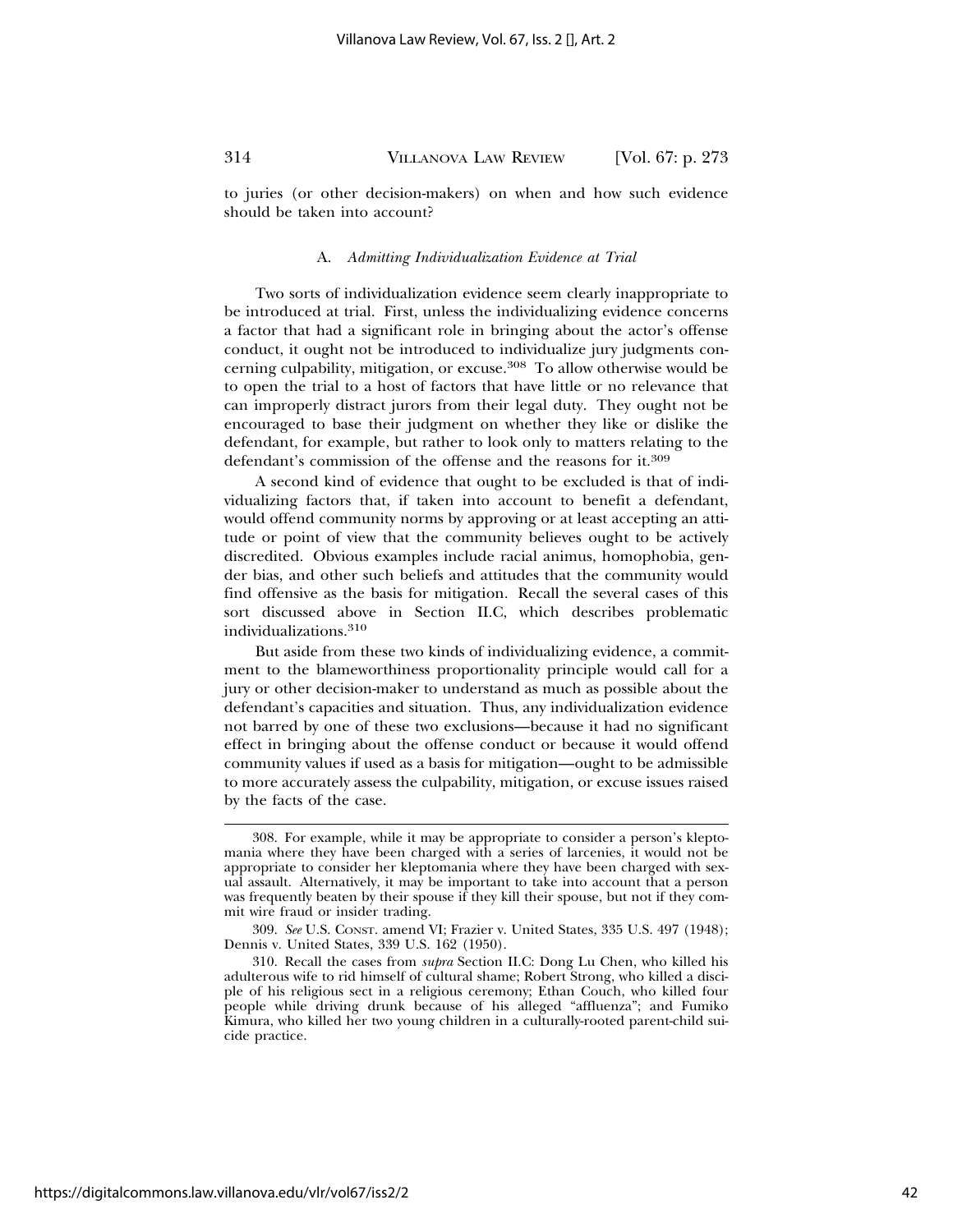to juries (or other decision-makers) on when and how such evidence should be taken into account?

#### A. *Admitting Individualization Evidence at Trial*

Two sorts of individualization evidence seem clearly inappropriate to be introduced at trial. First, unless the individualizing evidence concerns a factor that had a significant role in bringing about the actor's offense conduct, it ought not be introduced to individualize jury judgments concerning culpability, mitigation, or excuse.<sup>308</sup> To allow otherwise would be to open the trial to a host of factors that have little or no relevance that can improperly distract jurors from their legal duty. They ought not be encouraged to base their judgment on whether they like or dislike the defendant, for example, but rather to look only to matters relating to the defendant's commission of the offense and the reasons for it.<sup>309</sup>

A second kind of evidence that ought to be excluded is that of individualizing factors that, if taken into account to benefit a defendant, would offend community norms by approving or at least accepting an attitude or point of view that the community believes ought to be actively discredited. Obvious examples include racial animus, homophobia, gender bias, and other such beliefs and attitudes that the community would find offensive as the basis for mitigation. Recall the several cases of this sort discussed above in Section II.C, which describes problematic individualizations.310

But aside from these two kinds of individualizing evidence, a commitment to the blameworthiness proportionality principle would call for a jury or other decision-maker to understand as much as possible about the defendant's capacities and situation. Thus, any individualization evidence not barred by one of these two exclusions—because it had no significant effect in bringing about the offense conduct or because it would offend community values if used as a basis for mitigation—ought to be admissible to more accurately assess the culpability, mitigation, or excuse issues raised by the facts of the case.

<sup>308.</sup> For example, while it may be appropriate to consider a person's kleptomania where they have been charged with a series of larcenies, it would not be appropriate to consider her kleptomania where they have been charged with sexual assault. Alternatively, it may be important to take into account that a person was frequently beaten by their spouse if they kill their spouse, but not if they commit wire fraud or insider trading.

<sup>309.</sup> *See* U.S. CONST. amend VI; Frazier v. United States, 335 U.S. 497 (1948); Dennis v. United States, 339 U.S. 162 (1950).

<sup>310.</sup> Recall the cases from *supra* Section II.C: Dong Lu Chen, who killed his adulterous wife to rid himself of cultural shame; Robert Strong, who killed a disciple of his religious sect in a religious ceremony; Ethan Couch, who killed four people while driving drunk because of his alleged "affluenza"; and Fumiko Kimura, who killed her two young children in a culturally-rooted parent-child suicide practice.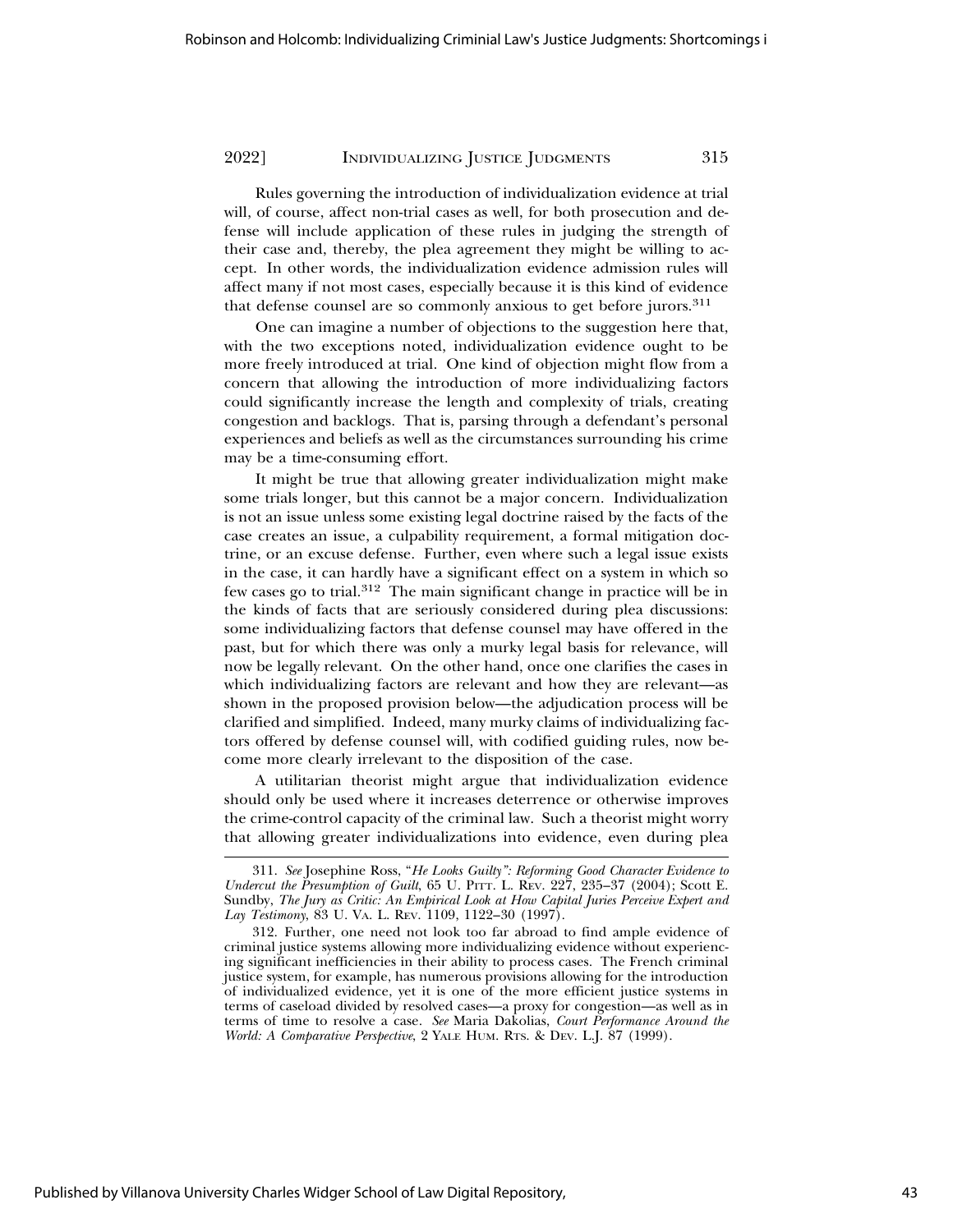Rules governing the introduction of individualization evidence at trial will, of course, affect non-trial cases as well, for both prosecution and defense will include application of these rules in judging the strength of their case and, thereby, the plea agreement they might be willing to accept. In other words, the individualization evidence admission rules will affect many if not most cases, especially because it is this kind of evidence that defense counsel are so commonly anxious to get before jurors.<sup>311</sup>

One can imagine a number of objections to the suggestion here that, with the two exceptions noted, individualization evidence ought to be more freely introduced at trial. One kind of objection might flow from a concern that allowing the introduction of more individualizing factors could significantly increase the length and complexity of trials, creating congestion and backlogs. That is, parsing through a defendant's personal experiences and beliefs as well as the circumstances surrounding his crime may be a time-consuming effort.

It might be true that allowing greater individualization might make some trials longer, but this cannot be a major concern. Individualization is not an issue unless some existing legal doctrine raised by the facts of the case creates an issue, a culpability requirement, a formal mitigation doctrine, or an excuse defense. Further, even where such a legal issue exists in the case, it can hardly have a significant effect on a system in which so few cases go to trial.312 The main significant change in practice will be in the kinds of facts that are seriously considered during plea discussions: some individualizing factors that defense counsel may have offered in the past, but for which there was only a murky legal basis for relevance, will now be legally relevant. On the other hand, once one clarifies the cases in which individualizing factors are relevant and how they are relevant—as shown in the proposed provision below—the adjudication process will be clarified and simplified. Indeed, many murky claims of individualizing factors offered by defense counsel will, with codified guiding rules, now become more clearly irrelevant to the disposition of the case.

A utilitarian theorist might argue that individualization evidence should only be used where it increases deterrence or otherwise improves the crime-control capacity of the criminal law. Such a theorist might worry that allowing greater individualizations into evidence, even during plea

<sup>311.</sup> *See* Josephine Ross, "*He Looks Guilty": Reforming Good Character Evidence to Undercut the Presumption of Guilt*, 65 U. PITT. L. REV. 227, 235–37 (2004); Scott E. Sundby, *The Jury as Critic: An Empirical Look at How Capital Juries Perceive Expert and Lay Testimony*, 83 U. VA. L. REV. 1109, 1122–30 (1997).

<sup>312.</sup> Further, one need not look too far abroad to find ample evidence of criminal justice systems allowing more individualizing evidence without experiencing significant inefficiencies in their ability to process cases. The French criminal justice system, for example, has numerous provisions allowing for the introduction of individualized evidence, yet it is one of the more efficient justice systems in terms of caseload divided by resolved cases—a proxy for congestion—as well as in terms of time to resolve a case. *See* Maria Dakolias, *Court Performance Around the World: A Comparative Perspective*, 2 YALE HUM. RTS. & DEV. L.J. 87 (1999).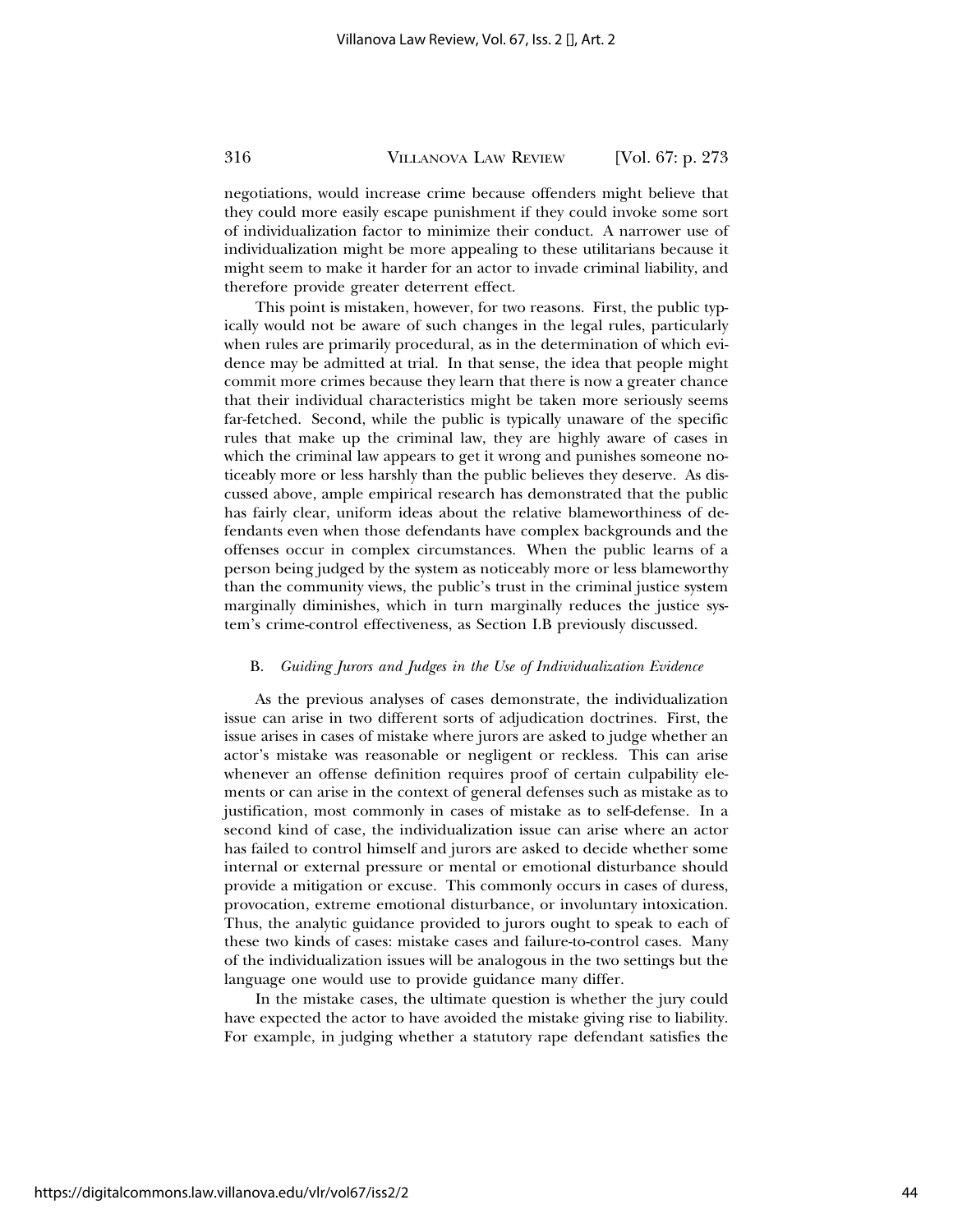negotiations, would increase crime because offenders might believe that they could more easily escape punishment if they could invoke some sort of individualization factor to minimize their conduct. A narrower use of individualization might be more appealing to these utilitarians because it might seem to make it harder for an actor to invade criminal liability, and therefore provide greater deterrent effect.

This point is mistaken, however, for two reasons. First, the public typically would not be aware of such changes in the legal rules, particularly when rules are primarily procedural, as in the determination of which evidence may be admitted at trial. In that sense, the idea that people might commit more crimes because they learn that there is now a greater chance that their individual characteristics might be taken more seriously seems far-fetched. Second, while the public is typically unaware of the specific rules that make up the criminal law, they are highly aware of cases in which the criminal law appears to get it wrong and punishes someone noticeably more or less harshly than the public believes they deserve. As discussed above, ample empirical research has demonstrated that the public has fairly clear, uniform ideas about the relative blameworthiness of defendants even when those defendants have complex backgrounds and the offenses occur in complex circumstances. When the public learns of a person being judged by the system as noticeably more or less blameworthy than the community views, the public's trust in the criminal justice system marginally diminishes, which in turn marginally reduces the justice system's crime-control effectiveness, as Section I.B previously discussed.

#### B. *Guiding Jurors and Judges in the Use of Individualization Evidence*

As the previous analyses of cases demonstrate, the individualization issue can arise in two different sorts of adjudication doctrines. First, the issue arises in cases of mistake where jurors are asked to judge whether an actor's mistake was reasonable or negligent or reckless. This can arise whenever an offense definition requires proof of certain culpability elements or can arise in the context of general defenses such as mistake as to justification, most commonly in cases of mistake as to self-defense. In a second kind of case, the individualization issue can arise where an actor has failed to control himself and jurors are asked to decide whether some internal or external pressure or mental or emotional disturbance should provide a mitigation or excuse. This commonly occurs in cases of duress, provocation, extreme emotional disturbance, or involuntary intoxication. Thus, the analytic guidance provided to jurors ought to speak to each of these two kinds of cases: mistake cases and failure-to-control cases. Many of the individualization issues will be analogous in the two settings but the language one would use to provide guidance many differ.

In the mistake cases, the ultimate question is whether the jury could have expected the actor to have avoided the mistake giving rise to liability. For example, in judging whether a statutory rape defendant satisfies the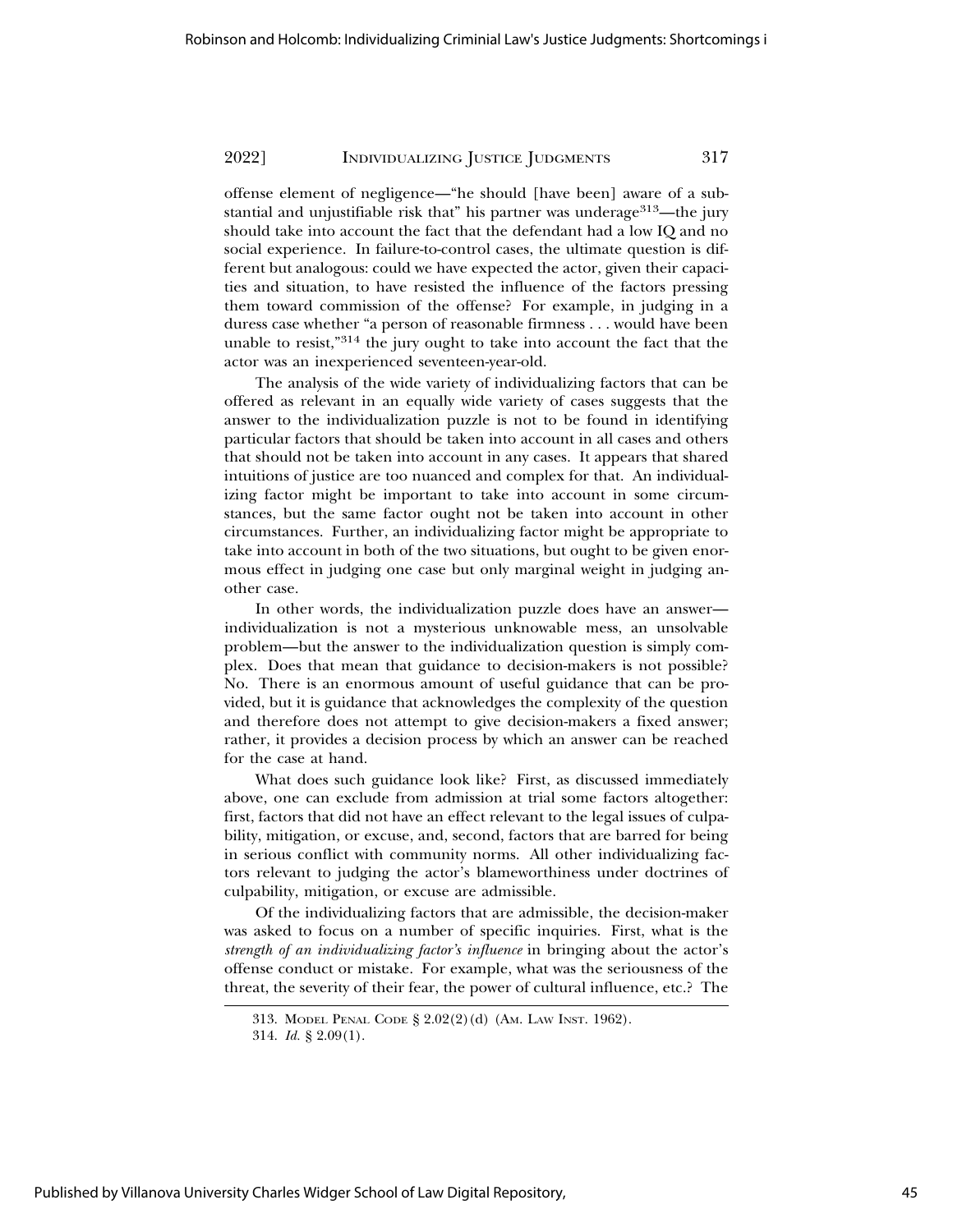offense element of negligence—"he should [have been] aware of a substantial and unjustifiable risk that" his partner was underage $313$ —the jury should take into account the fact that the defendant had a low IQ and no social experience. In failure-to-control cases, the ultimate question is different but analogous: could we have expected the actor, given their capacities and situation, to have resisted the influence of the factors pressing them toward commission of the offense? For example, in judging in a duress case whether "a person of reasonable firmness . . . would have been unable to resist,"314 the jury ought to take into account the fact that the actor was an inexperienced seventeen-year-old.

The analysis of the wide variety of individualizing factors that can be offered as relevant in an equally wide variety of cases suggests that the answer to the individualization puzzle is not to be found in identifying particular factors that should be taken into account in all cases and others that should not be taken into account in any cases. It appears that shared intuitions of justice are too nuanced and complex for that. An individualizing factor might be important to take into account in some circumstances, but the same factor ought not be taken into account in other circumstances. Further, an individualizing factor might be appropriate to take into account in both of the two situations, but ought to be given enormous effect in judging one case but only marginal weight in judging another case.

In other words, the individualization puzzle does have an answer individualization is not a mysterious unknowable mess, an unsolvable problem—but the answer to the individualization question is simply complex. Does that mean that guidance to decision-makers is not possible? No. There is an enormous amount of useful guidance that can be provided, but it is guidance that acknowledges the complexity of the question and therefore does not attempt to give decision-makers a fixed answer; rather, it provides a decision process by which an answer can be reached for the case at hand.

What does such guidance look like? First, as discussed immediately above, one can exclude from admission at trial some factors altogether: first, factors that did not have an effect relevant to the legal issues of culpability, mitigation, or excuse, and, second, factors that are barred for being in serious conflict with community norms. All other individualizing factors relevant to judging the actor's blameworthiness under doctrines of culpability, mitigation, or excuse are admissible.

Of the individualizing factors that are admissible, the decision-maker was asked to focus on a number of specific inquiries. First, what is the *strength of an individualizing factor's influence* in bringing about the actor's offense conduct or mistake. For example, what was the seriousness of the threat, the severity of their fear, the power of cultural influence, etc.? The

<sup>313.</sup> MODEL PENAL CODE § 2.02(2)(d) (AM. LAW INST. 1962). 314. *Id.* § 2.09(1).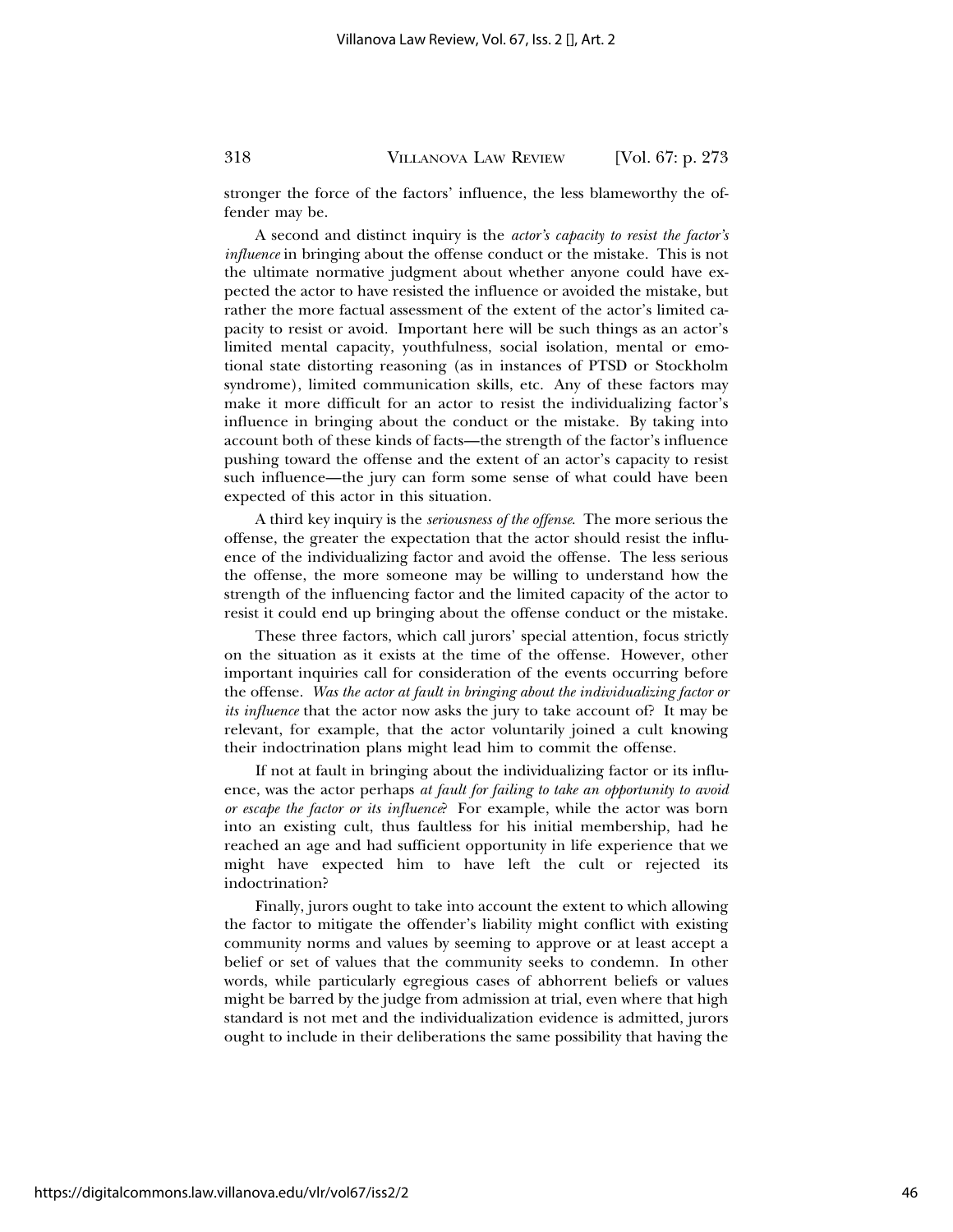stronger the force of the factors' influence, the less blameworthy the offender may be.

A second and distinct inquiry is the *actor's capacity to resist the factor's influence* in bringing about the offense conduct or the mistake. This is not the ultimate normative judgment about whether anyone could have expected the actor to have resisted the influence or avoided the mistake, but rather the more factual assessment of the extent of the actor's limited capacity to resist or avoid. Important here will be such things as an actor's limited mental capacity, youthfulness, social isolation, mental or emotional state distorting reasoning (as in instances of PTSD or Stockholm syndrome), limited communication skills, etc. Any of these factors may make it more difficult for an actor to resist the individualizing factor's influence in bringing about the conduct or the mistake. By taking into account both of these kinds of facts—the strength of the factor's influence pushing toward the offense and the extent of an actor's capacity to resist such influence—the jury can form some sense of what could have been expected of this actor in this situation.

A third key inquiry is the *seriousness of the offense*. The more serious the offense, the greater the expectation that the actor should resist the influence of the individualizing factor and avoid the offense. The less serious the offense, the more someone may be willing to understand how the strength of the influencing factor and the limited capacity of the actor to resist it could end up bringing about the offense conduct or the mistake.

These three factors, which call jurors' special attention, focus strictly on the situation as it exists at the time of the offense. However, other important inquiries call for consideration of the events occurring before the offense. *Was the actor at fault in bringing about the individualizing factor or its influence* that the actor now asks the jury to take account of? It may be relevant, for example, that the actor voluntarily joined a cult knowing their indoctrination plans might lead him to commit the offense.

If not at fault in bringing about the individualizing factor or its influence, was the actor perhaps *at fault for failing to take an opportunity to avoid or escape the factor or its influence*? For example, while the actor was born into an existing cult, thus faultless for his initial membership, had he reached an age and had sufficient opportunity in life experience that we might have expected him to have left the cult or rejected its indoctrination?

Finally, jurors ought to take into account the extent to which allowing the factor to mitigate the offender's liability might conflict with existing community norms and values by seeming to approve or at least accept a belief or set of values that the community seeks to condemn. In other words, while particularly egregious cases of abhorrent beliefs or values might be barred by the judge from admission at trial, even where that high standard is not met and the individualization evidence is admitted, jurors ought to include in their deliberations the same possibility that having the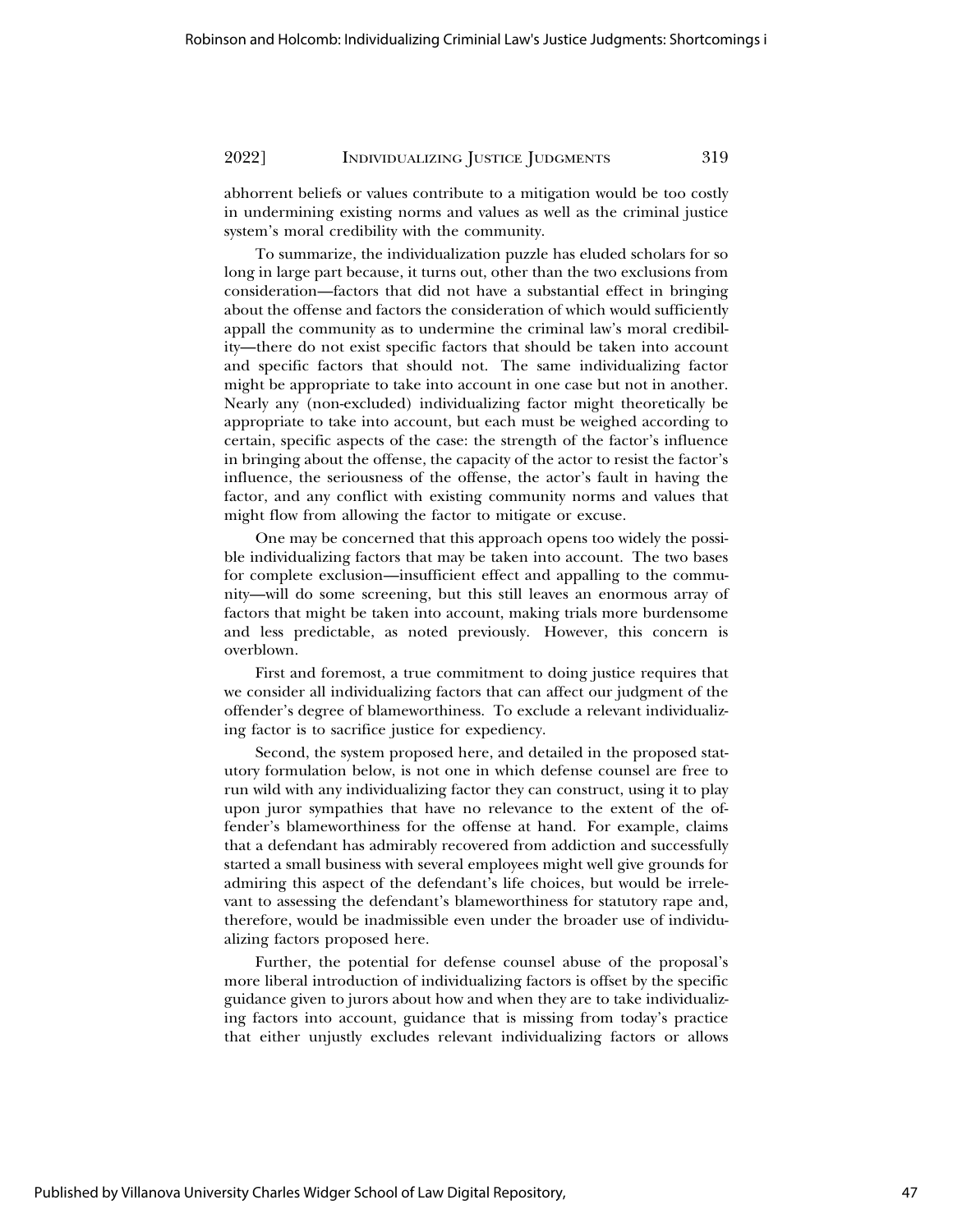abhorrent beliefs or values contribute to a mitigation would be too costly in undermining existing norms and values as well as the criminal justice system's moral credibility with the community.

To summarize, the individualization puzzle has eluded scholars for so long in large part because, it turns out, other than the two exclusions from consideration—factors that did not have a substantial effect in bringing about the offense and factors the consideration of which would sufficiently appall the community as to undermine the criminal law's moral credibility—there do not exist specific factors that should be taken into account and specific factors that should not. The same individualizing factor might be appropriate to take into account in one case but not in another. Nearly any (non-excluded) individualizing factor might theoretically be appropriate to take into account, but each must be weighed according to certain, specific aspects of the case: the strength of the factor's influence in bringing about the offense, the capacity of the actor to resist the factor's influence, the seriousness of the offense, the actor's fault in having the factor, and any conflict with existing community norms and values that might flow from allowing the factor to mitigate or excuse.

One may be concerned that this approach opens too widely the possible individualizing factors that may be taken into account. The two bases for complete exclusion—insufficient effect and appalling to the community—will do some screening, but this still leaves an enormous array of factors that might be taken into account, making trials more burdensome and less predictable, as noted previously. However, this concern is overblown.

First and foremost, a true commitment to doing justice requires that we consider all individualizing factors that can affect our judgment of the offender's degree of blameworthiness. To exclude a relevant individualizing factor is to sacrifice justice for expediency.

Second, the system proposed here, and detailed in the proposed statutory formulation below, is not one in which defense counsel are free to run wild with any individualizing factor they can construct, using it to play upon juror sympathies that have no relevance to the extent of the offender's blameworthiness for the offense at hand. For example, claims that a defendant has admirably recovered from addiction and successfully started a small business with several employees might well give grounds for admiring this aspect of the defendant's life choices, but would be irrelevant to assessing the defendant's blameworthiness for statutory rape and, therefore, would be inadmissible even under the broader use of individualizing factors proposed here.

Further, the potential for defense counsel abuse of the proposal's more liberal introduction of individualizing factors is offset by the specific guidance given to jurors about how and when they are to take individualizing factors into account, guidance that is missing from today's practice that either unjustly excludes relevant individualizing factors or allows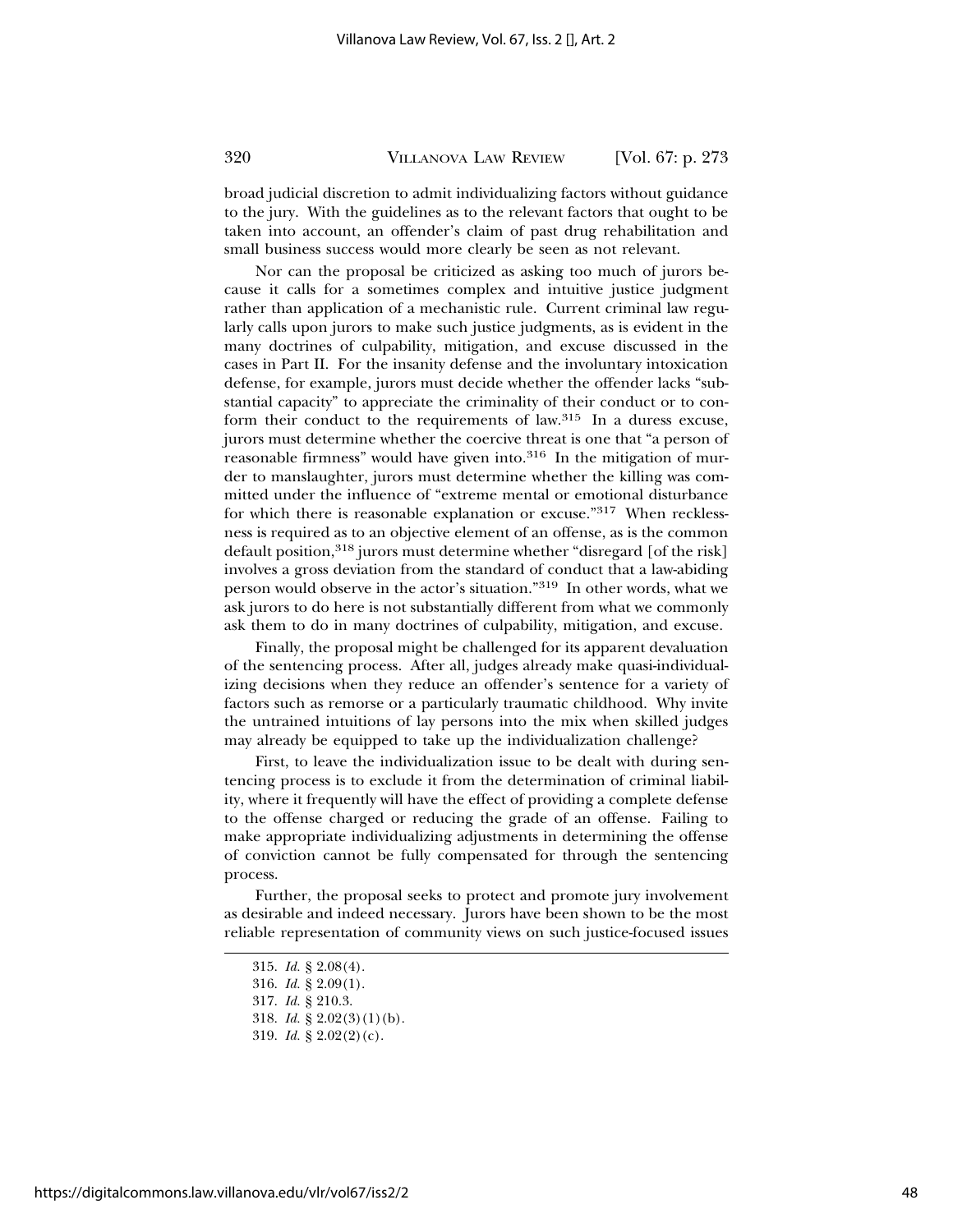broad judicial discretion to admit individualizing factors without guidance to the jury. With the guidelines as to the relevant factors that ought to be taken into account, an offender's claim of past drug rehabilitation and small business success would more clearly be seen as not relevant.

Nor can the proposal be criticized as asking too much of jurors because it calls for a sometimes complex and intuitive justice judgment rather than application of a mechanistic rule. Current criminal law regularly calls upon jurors to make such justice judgments, as is evident in the many doctrines of culpability, mitigation, and excuse discussed in the cases in Part II. For the insanity defense and the involuntary intoxication defense, for example, jurors must decide whether the offender lacks "substantial capacity" to appreciate the criminality of their conduct or to conform their conduct to the requirements of law.315 In a duress excuse, jurors must determine whether the coercive threat is one that "a person of reasonable firmness" would have given into.<sup>316</sup> In the mitigation of murder to manslaughter, jurors must determine whether the killing was committed under the influence of "extreme mental or emotional disturbance for which there is reasonable explanation or excuse."317 When recklessness is required as to an objective element of an offense, as is the common default position,<sup>318</sup> jurors must determine whether "disregard [of the risk] involves a gross deviation from the standard of conduct that a law-abiding person would observe in the actor's situation."319 In other words, what we ask jurors to do here is not substantially different from what we commonly ask them to do in many doctrines of culpability, mitigation, and excuse.

Finally, the proposal might be challenged for its apparent devaluation of the sentencing process. After all, judges already make quasi-individualizing decisions when they reduce an offender's sentence for a variety of factors such as remorse or a particularly traumatic childhood. Why invite the untrained intuitions of lay persons into the mix when skilled judges may already be equipped to take up the individualization challenge?

First, to leave the individualization issue to be dealt with during sentencing process is to exclude it from the determination of criminal liability, where it frequently will have the effect of providing a complete defense to the offense charged or reducing the grade of an offense. Failing to make appropriate individualizing adjustments in determining the offense of conviction cannot be fully compensated for through the sentencing process.

Further, the proposal seeks to protect and promote jury involvement as desirable and indeed necessary. Jurors have been shown to be the most reliable representation of community views on such justice-focused issues

<sup>315.</sup> *Id.* § 2.08(4).

<sup>316.</sup> *Id.* § 2.09(1).

<sup>317.</sup> *Id.* § 210.3.

<sup>318.</sup> *Id.* § 2.02(3)(1)(b).

<sup>319.</sup> *Id.* § 2.02(2)(c).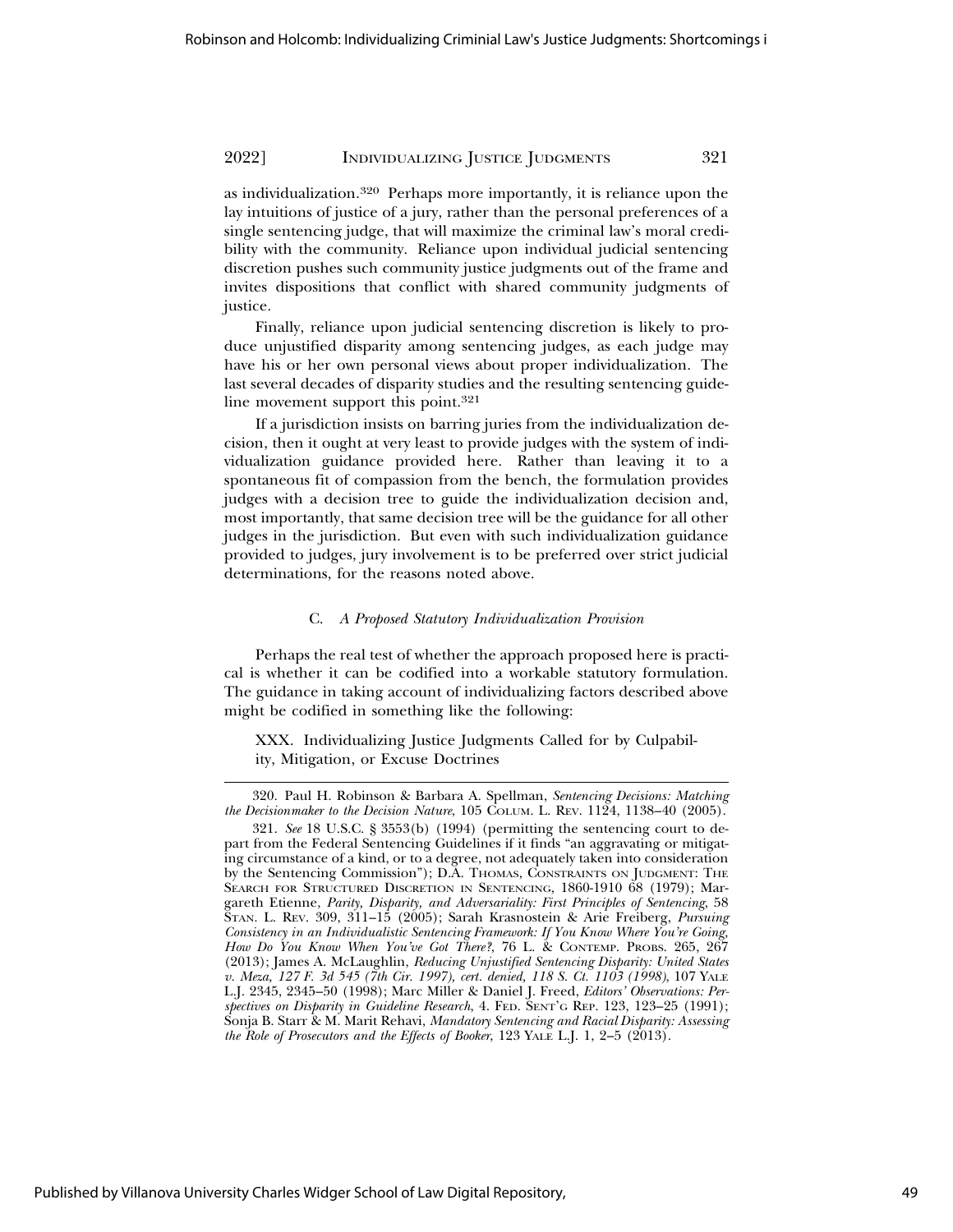as individualization.320 Perhaps more importantly, it is reliance upon the lay intuitions of justice of a jury, rather than the personal preferences of a single sentencing judge, that will maximize the criminal law's moral credibility with the community. Reliance upon individual judicial sentencing discretion pushes such community justice judgments out of the frame and invites dispositions that conflict with shared community judgments of justice.

Finally, reliance upon judicial sentencing discretion is likely to produce unjustified disparity among sentencing judges, as each judge may have his or her own personal views about proper individualization. The last several decades of disparity studies and the resulting sentencing guideline movement support this point.<sup>321</sup>

If a jurisdiction insists on barring juries from the individualization decision, then it ought at very least to provide judges with the system of individualization guidance provided here. Rather than leaving it to a spontaneous fit of compassion from the bench, the formulation provides judges with a decision tree to guide the individualization decision and, most importantly, that same decision tree will be the guidance for all other judges in the jurisdiction. But even with such individualization guidance provided to judges, jury involvement is to be preferred over strict judicial determinations, for the reasons noted above.

#### C. *A Proposed Statutory Individualization Provision*

Perhaps the real test of whether the approach proposed here is practical is whether it can be codified into a workable statutory formulation. The guidance in taking account of individualizing factors described above might be codified in something like the following:

XXX. Individualizing Justice Judgments Called for by Culpability, Mitigation, or Excuse Doctrines

<sup>320.</sup> Paul H. Robinson & Barbara A. Spellman, *Sentencing Decisions: Matching the Decisionmaker to the Decision Nature*, 105 COLUM. L. REV. 1124, 1138–40 (2005).

<sup>321.</sup> *See* 18 U.S.C. § 3553(b) (1994) (permitting the sentencing court to depart from the Federal Sentencing Guidelines if it finds "an aggravating or mitigating circumstance of a kind, or to a degree, not adequately taken into consideration by the Sentencing Commission"); D.A. THOMAS, CONSTRAINTS ON JUDGMENT: THE SEARCH FOR STRUCTURED DISCRETION IN SENTENCING, 1860-1910 68 (1979); Margareth Etienne, *Parity, Disparity, and Adversariality: First Principles of Sentencing*, 58 STAN. L. REV. 309, 311–15 (2005); Sarah Krasnostein & Arie Freiberg, *Pursuing Consistency in an Individualistic Sentencing Framework: If You Know Where You're Going, How Do You Know When You've Got There?*, 76 L. & CONTEMP. PROBS. 265, 267 (2013); James A. McLaughlin, *Reducing Unjustified Sentencing Disparity: United States v. Meza, 127 F. 3d 545 (7th Cir. 1997), cert. denied, 118 S. Ct. 1103 (1998)*, 107 YALE L.J. 2345, 2345–50 (1998); Marc Miller & Daniel J. Freed, *Editors' Observations: Perspectives on Disparity in Guideline Research*, 4. FED. SENT'G REP. 123, 123–25 (1991); Sonja B. Starr & M. Marit Rehavi, *Mandatory Sentencing and Racial Disparity: Assessing the Role of Prosecutors and the Effects of Booker*, 123 YALE L.J. 1, 2–5 (2013).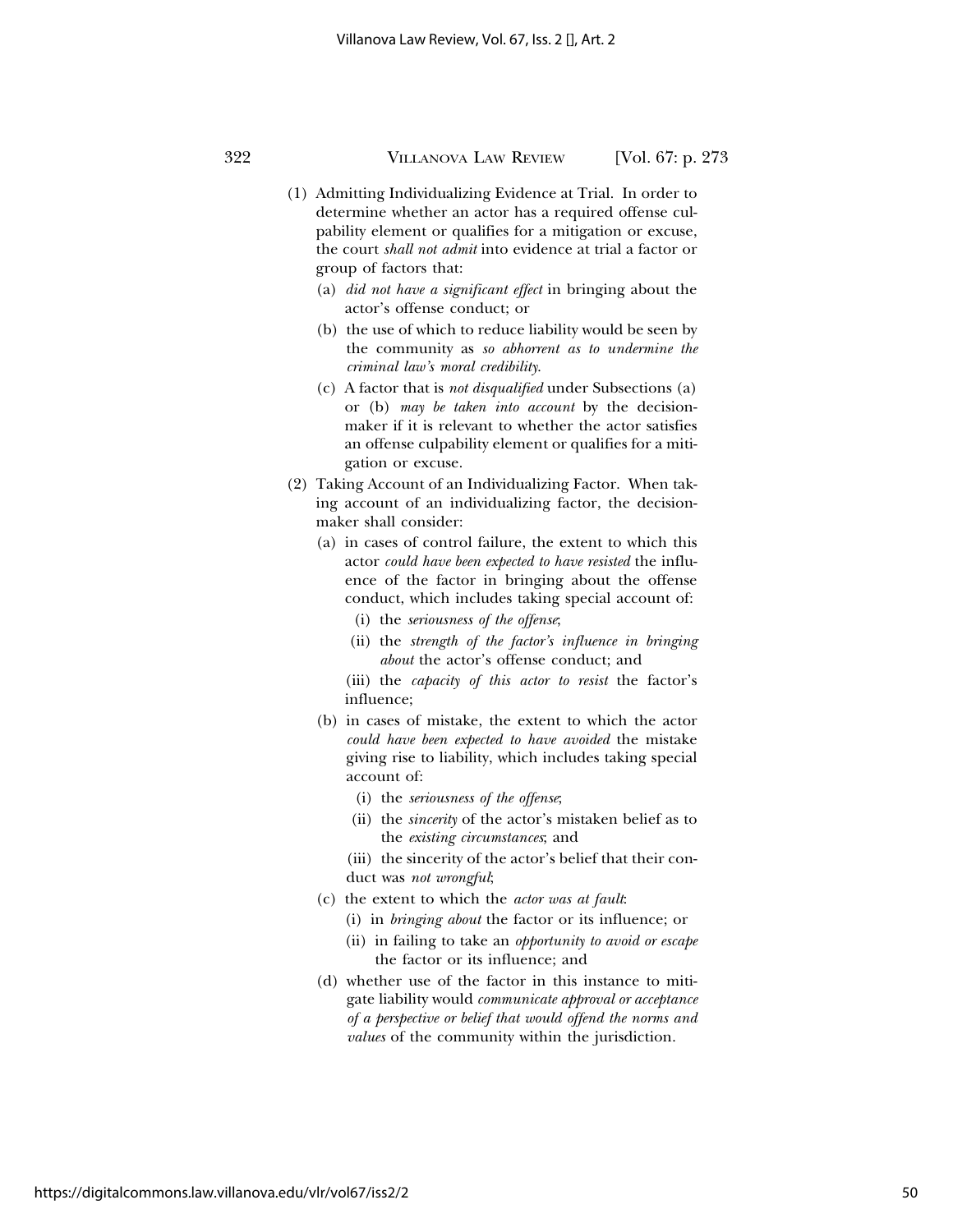- (1) Admitting Individualizing Evidence at Trial. In order to determine whether an actor has a required offense culpability element or qualifies for a mitigation or excuse, the court *shall not admit* into evidence at trial a factor or group of factors that:
	- (a) *did not have a significant effect* in bringing about the actor's offense conduct; or
	- (b) the use of which to reduce liability would be seen by the community as *so abhorrent as to undermine the criminal law's moral credibility*.
	- (c) A factor that is *not disqualified* under Subsections (a) or (b) *may be taken into account* by the decisionmaker if it is relevant to whether the actor satisfies an offense culpability element or qualifies for a mitigation or excuse.
- (2) Taking Account of an Individualizing Factor. When taking account of an individualizing factor, the decisionmaker shall consider:
	- (a) in cases of control failure, the extent to which this actor *could have been expected to have resisted* the influence of the factor in bringing about the offense conduct, which includes taking special account of:
		- (i) the *seriousness of the offense*;
		- (ii) the *strength of the factor's influence in bringing about* the actor's offense conduct; and
		- (iii) the *capacity of this actor to resist* the factor's influence;
	- (b) in cases of mistake, the extent to which the actor *could have been expected to have avoided* the mistake giving rise to liability, which includes taking special account of:
		- (i) the *seriousness of the offense*;
		- (ii) the *sincerity* of the actor's mistaken belief as to the *existing circumstances*; and
		- (iii) the sincerity of the actor's belief that their conduct was *not wrongful*;
	- (c) the extent to which the *actor was at fault*:
		- (i) in *bringing about* the factor or its influence; or
		- (ii) in failing to take an *opportunity to avoid or escape* the factor or its influence; and
	- (d) whether use of the factor in this instance to mitigate liability would *communicate approval or acceptance of a perspective or belief that would offend the norms and values* of the community within the jurisdiction.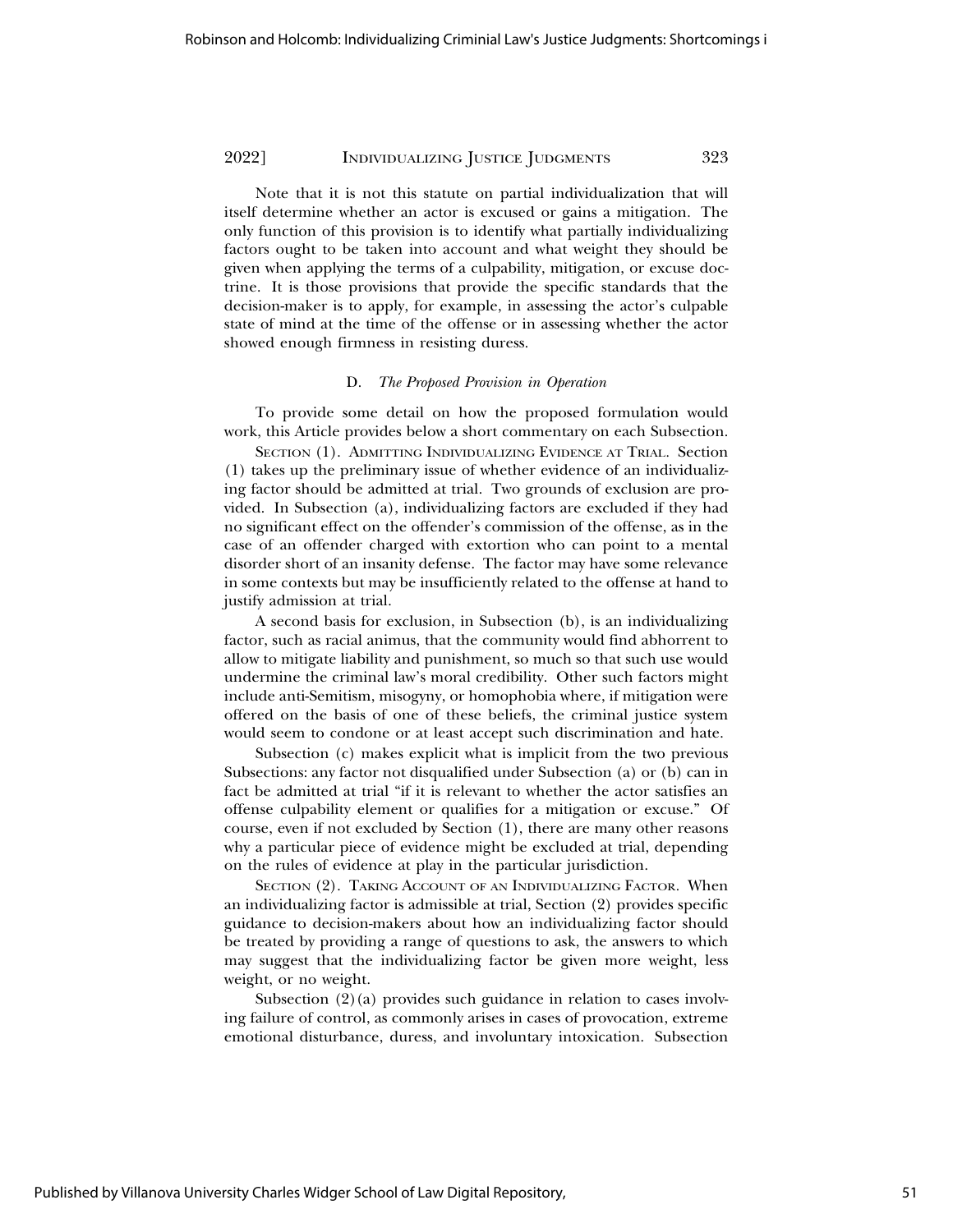Note that it is not this statute on partial individualization that will itself determine whether an actor is excused or gains a mitigation. The only function of this provision is to identify what partially individualizing factors ought to be taken into account and what weight they should be given when applying the terms of a culpability, mitigation, or excuse doctrine. It is those provisions that provide the specific standards that the decision-maker is to apply, for example, in assessing the actor's culpable state of mind at the time of the offense or in assessing whether the actor showed enough firmness in resisting duress.

#### D. *The Proposed Provision in Operation*

To provide some detail on how the proposed formulation would work, this Article provides below a short commentary on each Subsection.

SECTION (1). ADMITTING INDIVIDUALIZING EVIDENCE AT TRIAL*.* Section (1) takes up the preliminary issue of whether evidence of an individualizing factor should be admitted at trial. Two grounds of exclusion are provided. In Subsection (a), individualizing factors are excluded if they had no significant effect on the offender's commission of the offense, as in the case of an offender charged with extortion who can point to a mental disorder short of an insanity defense. The factor may have some relevance in some contexts but may be insufficiently related to the offense at hand to justify admission at trial.

A second basis for exclusion, in Subsection (b), is an individualizing factor, such as racial animus, that the community would find abhorrent to allow to mitigate liability and punishment, so much so that such use would undermine the criminal law's moral credibility. Other such factors might include anti-Semitism, misogyny, or homophobia where, if mitigation were offered on the basis of one of these beliefs, the criminal justice system would seem to condone or at least accept such discrimination and hate.

Subsection (c) makes explicit what is implicit from the two previous Subsections: any factor not disqualified under Subsection (a) or (b) can in fact be admitted at trial "if it is relevant to whether the actor satisfies an offense culpability element or qualifies for a mitigation or excuse." Of course, even if not excluded by Section (1), there are many other reasons why a particular piece of evidence might be excluded at trial, depending on the rules of evidence at play in the particular jurisdiction.

SECTION (2). TAKING ACCOUNT OF AN INDIVIDUALIZING FACTOR*.* When an individualizing factor is admissible at trial, Section (2) provides specific guidance to decision-makers about how an individualizing factor should be treated by providing a range of questions to ask, the answers to which may suggest that the individualizing factor be given more weight, less weight, or no weight.

Subsection  $(2)(a)$  provides such guidance in relation to cases involving failure of control, as commonly arises in cases of provocation, extreme emotional disturbance, duress, and involuntary intoxication. Subsection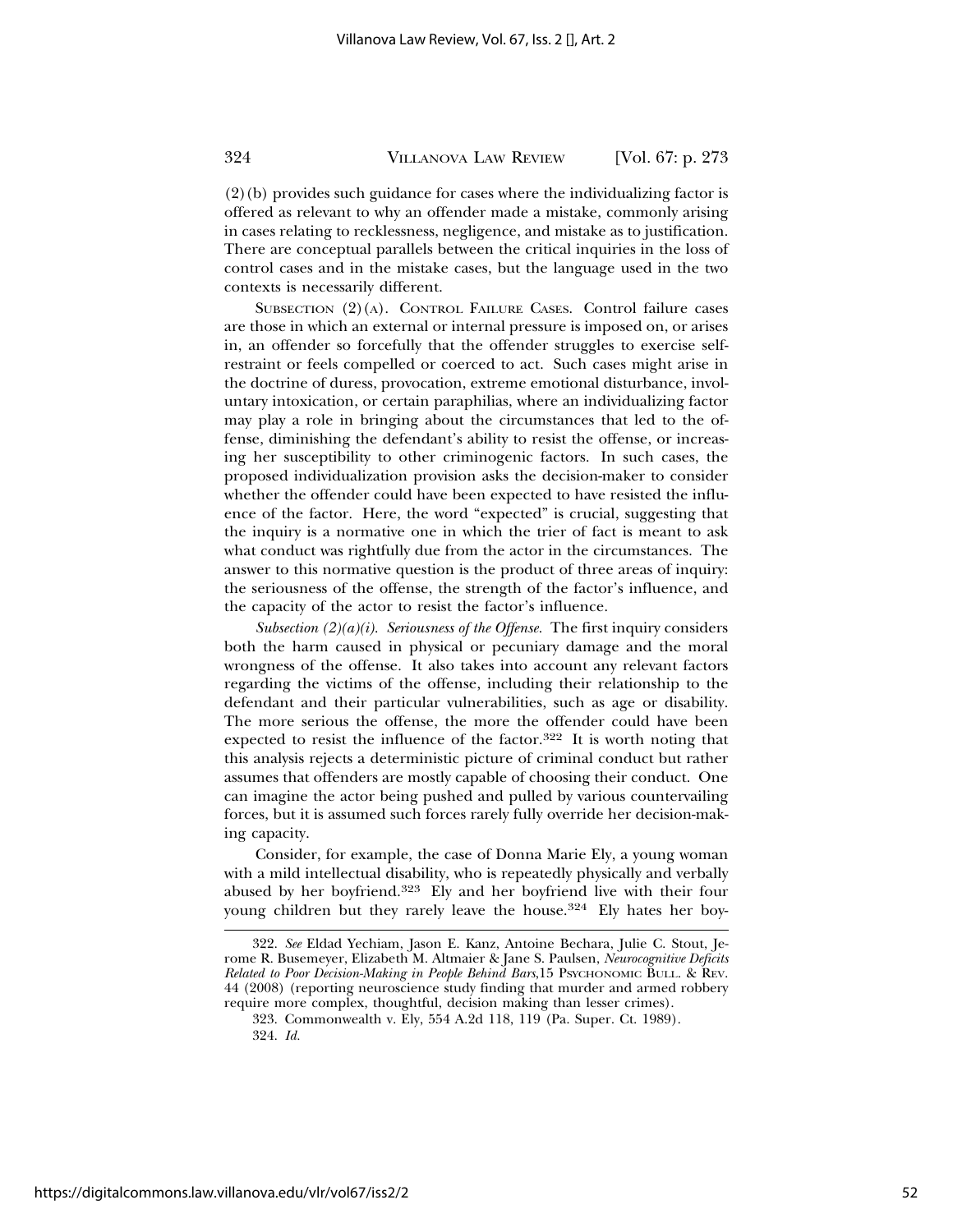(2)(b) provides such guidance for cases where the individualizing factor is offered as relevant to why an offender made a mistake, commonly arising in cases relating to recklessness, negligence, and mistake as to justification. There are conceptual parallels between the critical inquiries in the loss of control cases and in the mistake cases, but the language used in the two contexts is necessarily different.

SUBSECTION (2)(A). CONTROL FAILURE CASES. Control failure cases are those in which an external or internal pressure is imposed on, or arises in, an offender so forcefully that the offender struggles to exercise selfrestraint or feels compelled or coerced to act. Such cases might arise in the doctrine of duress, provocation, extreme emotional disturbance, involuntary intoxication, or certain paraphilias, where an individualizing factor may play a role in bringing about the circumstances that led to the offense, diminishing the defendant's ability to resist the offense, or increasing her susceptibility to other criminogenic factors. In such cases, the proposed individualization provision asks the decision-maker to consider whether the offender could have been expected to have resisted the influence of the factor. Here, the word "expected" is crucial, suggesting that the inquiry is a normative one in which the trier of fact is meant to ask what conduct was rightfully due from the actor in the circumstances. The answer to this normative question is the product of three areas of inquiry: the seriousness of the offense, the strength of the factor's influence, and the capacity of the actor to resist the factor's influence.

*Subsection (2)(a)(i). Seriousness of the Offense.* The first inquiry considers both the harm caused in physical or pecuniary damage and the moral wrongness of the offense. It also takes into account any relevant factors regarding the victims of the offense, including their relationship to the defendant and their particular vulnerabilities, such as age or disability. The more serious the offense, the more the offender could have been expected to resist the influence of the factor.<sup>322</sup> It is worth noting that this analysis rejects a deterministic picture of criminal conduct but rather assumes that offenders are mostly capable of choosing their conduct. One can imagine the actor being pushed and pulled by various countervailing forces, but it is assumed such forces rarely fully override her decision-making capacity.

Consider, for example, the case of Donna Marie Ely, a young woman with a mild intellectual disability, who is repeatedly physically and verbally abused by her boyfriend.323 Ely and her boyfriend live with their four young children but they rarely leave the house.<sup>324</sup> Ely hates her boy-

<sup>322.</sup> *See* Eldad Yechiam, Jason E. Kanz, Antoine Bechara, Julie C. Stout, Jerome R. Busemeyer, Elizabeth M. Altmaier & Jane S. Paulsen, *Neurocognitive Deficits Related to Poor Decision-Making in People Behind Bars*,15 PSYCHONOMIC BULL. & REV. 44 (2008) (reporting neuroscience study finding that murder and armed robbery require more complex, thoughtful, decision making than lesser crimes).

<sup>323.</sup> Commonwealth v. Ely, 554 A.2d 118, 119 (Pa. Super. Ct. 1989).

<sup>324.</sup> *Id.*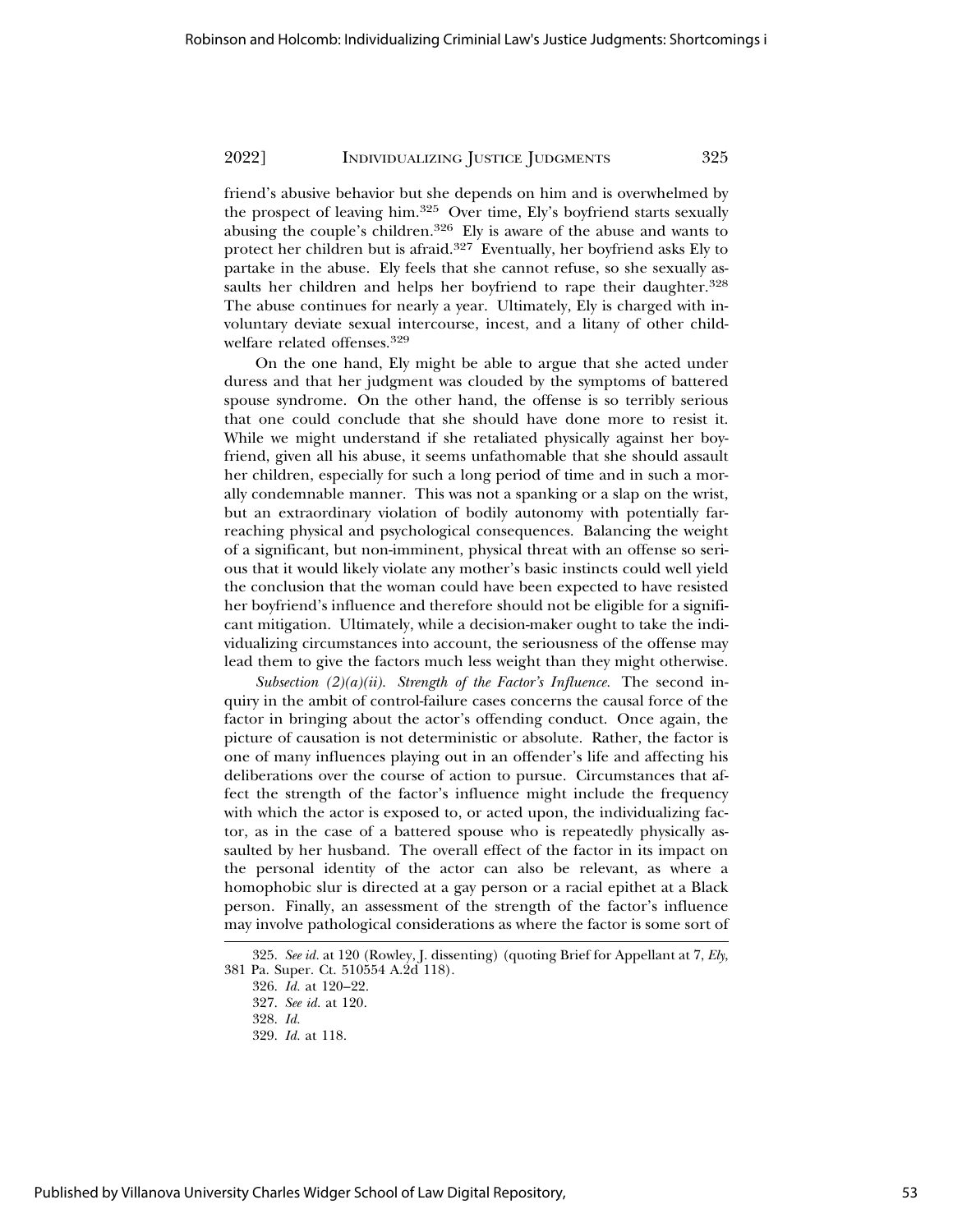friend's abusive behavior but she depends on him and is overwhelmed by the prospect of leaving him.325 Over time, Ely's boyfriend starts sexually abusing the couple's children.326 Ely is aware of the abuse and wants to protect her children but is afraid.327 Eventually, her boyfriend asks Ely to partake in the abuse. Ely feels that she cannot refuse, so she sexually assaults her children and helps her boyfriend to rape their daughter.<sup>328</sup> The abuse continues for nearly a year. Ultimately, Ely is charged with involuntary deviate sexual intercourse, incest, and a litany of other childwelfare related offenses.<sup>329</sup>

On the one hand, Ely might be able to argue that she acted under duress and that her judgment was clouded by the symptoms of battered spouse syndrome. On the other hand, the offense is so terribly serious that one could conclude that she should have done more to resist it. While we might understand if she retaliated physically against her boyfriend, given all his abuse, it seems unfathomable that she should assault her children, especially for such a long period of time and in such a morally condemnable manner. This was not a spanking or a slap on the wrist, but an extraordinary violation of bodily autonomy with potentially farreaching physical and psychological consequences. Balancing the weight of a significant, but non-imminent, physical threat with an offense so serious that it would likely violate any mother's basic instincts could well yield the conclusion that the woman could have been expected to have resisted her boyfriend's influence and therefore should not be eligible for a significant mitigation. Ultimately, while a decision-maker ought to take the individualizing circumstances into account, the seriousness of the offense may lead them to give the factors much less weight than they might otherwise.

*Subsection (2)(a)(ii). Strength of the Factor's Influence.* The second inquiry in the ambit of control-failure cases concerns the causal force of the factor in bringing about the actor's offending conduct. Once again, the picture of causation is not deterministic or absolute. Rather, the factor is one of many influences playing out in an offender's life and affecting his deliberations over the course of action to pursue. Circumstances that affect the strength of the factor's influence might include the frequency with which the actor is exposed to, or acted upon, the individualizing factor, as in the case of a battered spouse who is repeatedly physically assaulted by her husband. The overall effect of the factor in its impact on the personal identity of the actor can also be relevant, as where a homophobic slur is directed at a gay person or a racial epithet at a Black person. Finally, an assessment of the strength of the factor's influence may involve pathological considerations as where the factor is some sort of

<sup>325.</sup> *See id.* at 120 (Rowley, J. dissenting) (quoting Brief for Appellant at 7, *Ely*, 381 Pa. Super. Ct. 510554 A.2d 118).

<sup>326.</sup> *Id.* at 120–22.

<sup>327.</sup> *See id.* at 120.

<sup>328.</sup> *Id.*

<sup>329.</sup> *Id.* at 118.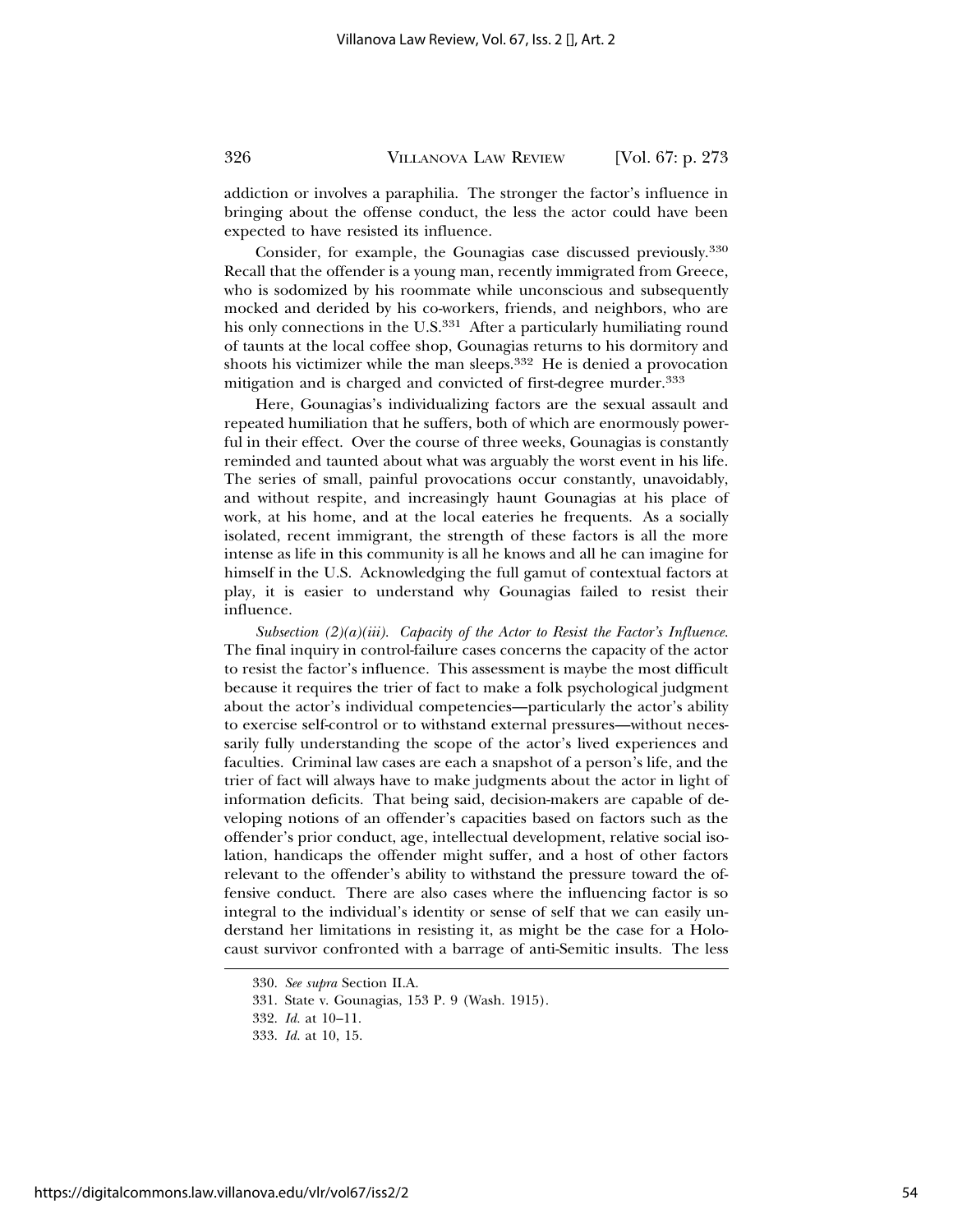addiction or involves a paraphilia. The stronger the factor's influence in bringing about the offense conduct, the less the actor could have been expected to have resisted its influence.

Consider, for example, the Gounagias case discussed previously.<sup>330</sup> Recall that the offender is a young man, recently immigrated from Greece, who is sodomized by his roommate while unconscious and subsequently mocked and derided by his co-workers, friends, and neighbors, who are his only connections in the U.S.<sup>331</sup> After a particularly humiliating round of taunts at the local coffee shop, Gounagias returns to his dormitory and shoots his victimizer while the man sleeps.332 He is denied a provocation mitigation and is charged and convicted of first-degree murder.<sup>333</sup>

Here, Gounagias's individualizing factors are the sexual assault and repeated humiliation that he suffers, both of which are enormously powerful in their effect. Over the course of three weeks, Gounagias is constantly reminded and taunted about what was arguably the worst event in his life. The series of small, painful provocations occur constantly, unavoidably, and without respite, and increasingly haunt Gounagias at his place of work, at his home, and at the local eateries he frequents. As a socially isolated, recent immigrant, the strength of these factors is all the more intense as life in this community is all he knows and all he can imagine for himself in the U.S. Acknowledging the full gamut of contextual factors at play, it is easier to understand why Gounagias failed to resist their influence.

*Subsection (2)(a)(iii). Capacity of the Actor to Resist the Factor's Influence.* The final inquiry in control-failure cases concerns the capacity of the actor to resist the factor's influence. This assessment is maybe the most difficult because it requires the trier of fact to make a folk psychological judgment about the actor's individual competencies—particularly the actor's ability to exercise self-control or to withstand external pressures—without necessarily fully understanding the scope of the actor's lived experiences and faculties. Criminal law cases are each a snapshot of a person's life, and the trier of fact will always have to make judgments about the actor in light of information deficits. That being said, decision-makers are capable of developing notions of an offender's capacities based on factors such as the offender's prior conduct, age, intellectual development, relative social isolation, handicaps the offender might suffer, and a host of other factors relevant to the offender's ability to withstand the pressure toward the offensive conduct. There are also cases where the influencing factor is so integral to the individual's identity or sense of self that we can easily understand her limitations in resisting it, as might be the case for a Holocaust survivor confronted with a barrage of anti-Semitic insults. The less

<sup>330.</sup> *See supra* Section II.A.

<sup>331.</sup> State v. Gounagias, 153 P. 9 (Wash. 1915).

<sup>332.</sup> *Id.* at 10–11.

<sup>333.</sup> *Id.* at 10, 15.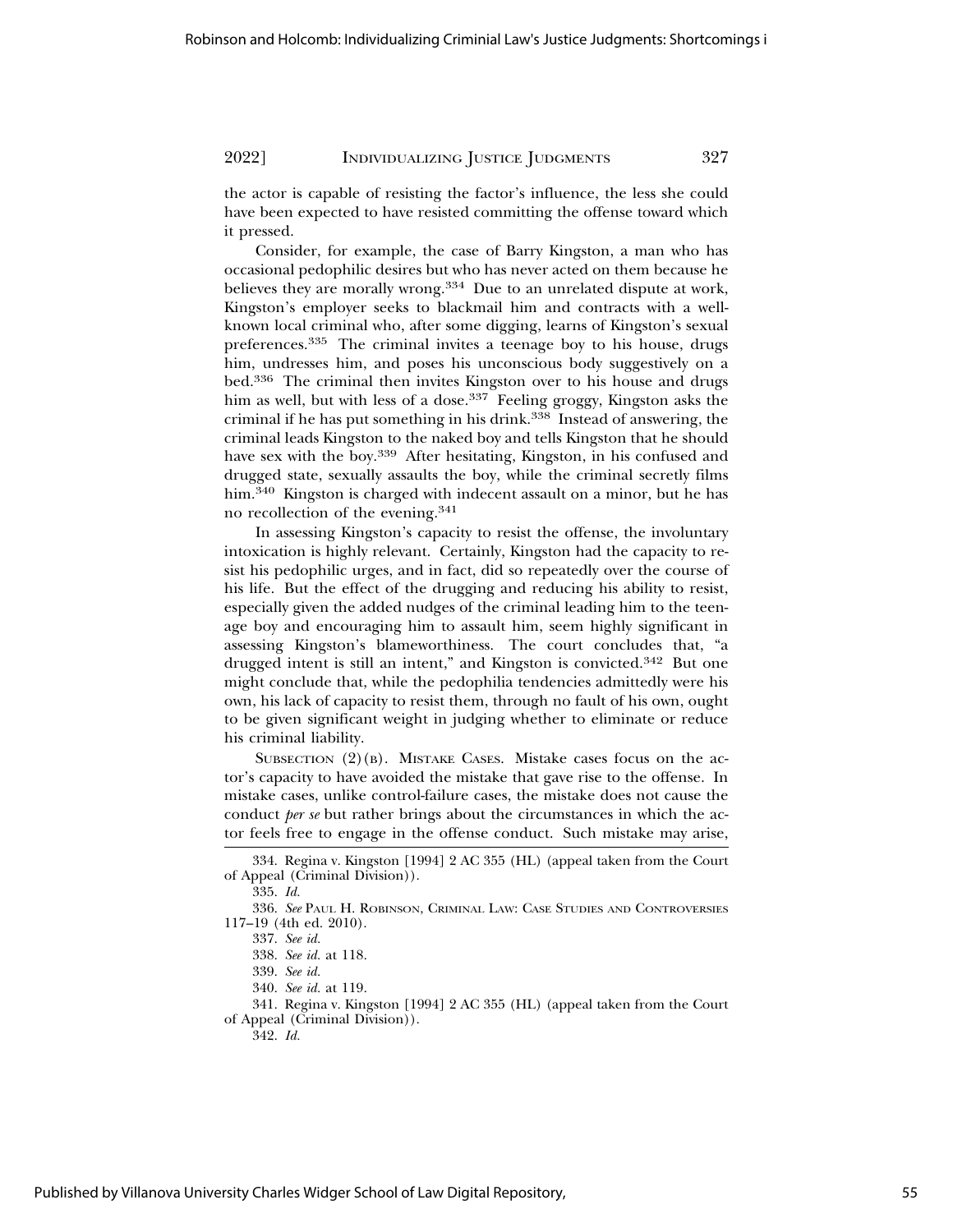the actor is capable of resisting the factor's influence, the less she could have been expected to have resisted committing the offense toward which it pressed.

Consider, for example, the case of Barry Kingston, a man who has occasional pedophilic desires but who has never acted on them because he believes they are morally wrong.<sup>334</sup> Due to an unrelated dispute at work, Kingston's employer seeks to blackmail him and contracts with a wellknown local criminal who, after some digging, learns of Kingston's sexual preferences.335 The criminal invites a teenage boy to his house, drugs him, undresses him, and poses his unconscious body suggestively on a bed.336 The criminal then invites Kingston over to his house and drugs him as well, but with less of a dose.<sup>337</sup> Feeling groggy, Kingston asks the criminal if he has put something in his drink.<sup>338</sup> Instead of answering, the criminal leads Kingston to the naked boy and tells Kingston that he should have sex with the boy.339 After hesitating, Kingston, in his confused and drugged state, sexually assaults the boy, while the criminal secretly films him.<sup>340</sup> Kingston is charged with indecent assault on a minor, but he has no recollection of the evening.<sup>341</sup>

In assessing Kingston's capacity to resist the offense, the involuntary intoxication is highly relevant. Certainly, Kingston had the capacity to resist his pedophilic urges, and in fact, did so repeatedly over the course of his life. But the effect of the drugging and reducing his ability to resist, especially given the added nudges of the criminal leading him to the teenage boy and encouraging him to assault him, seem highly significant in assessing Kingston's blameworthiness. The court concludes that, "a drugged intent is still an intent," and Kingston is convicted.342 But one might conclude that, while the pedophilia tendencies admittedly were his own, his lack of capacity to resist them, through no fault of his own, ought to be given significant weight in judging whether to eliminate or reduce his criminal liability.

SUBSECTION  $(2)(B)$ . MISTAKE CASES. Mistake cases focus on the actor's capacity to have avoided the mistake that gave rise to the offense. In mistake cases, unlike control-failure cases, the mistake does not cause the conduct *per se* but rather brings about the circumstances in which the actor feels free to engage in the offense conduct. Such mistake may arise,

341. Regina v. Kingston [1994] 2 AC 355 (HL) (appeal taken from the Court of Appeal (Criminal Division)).

342. *Id.*

<sup>334.</sup> Regina v. Kingston [1994] 2 AC 355 (HL) (appeal taken from the Court of Appeal (Criminal Division)).

<sup>335.</sup> *Id.*

<sup>336.</sup> *See* PAUL H. ROBINSON, CRIMINAL LAW: CASE STUDIES AND CONTROVERSIES 117–19 (4th ed. 2010).

<sup>337.</sup> *See id.*

<sup>338.</sup> *See id.* at 118.

<sup>339.</sup> *See id.*

<sup>340.</sup> *See id.* at 119.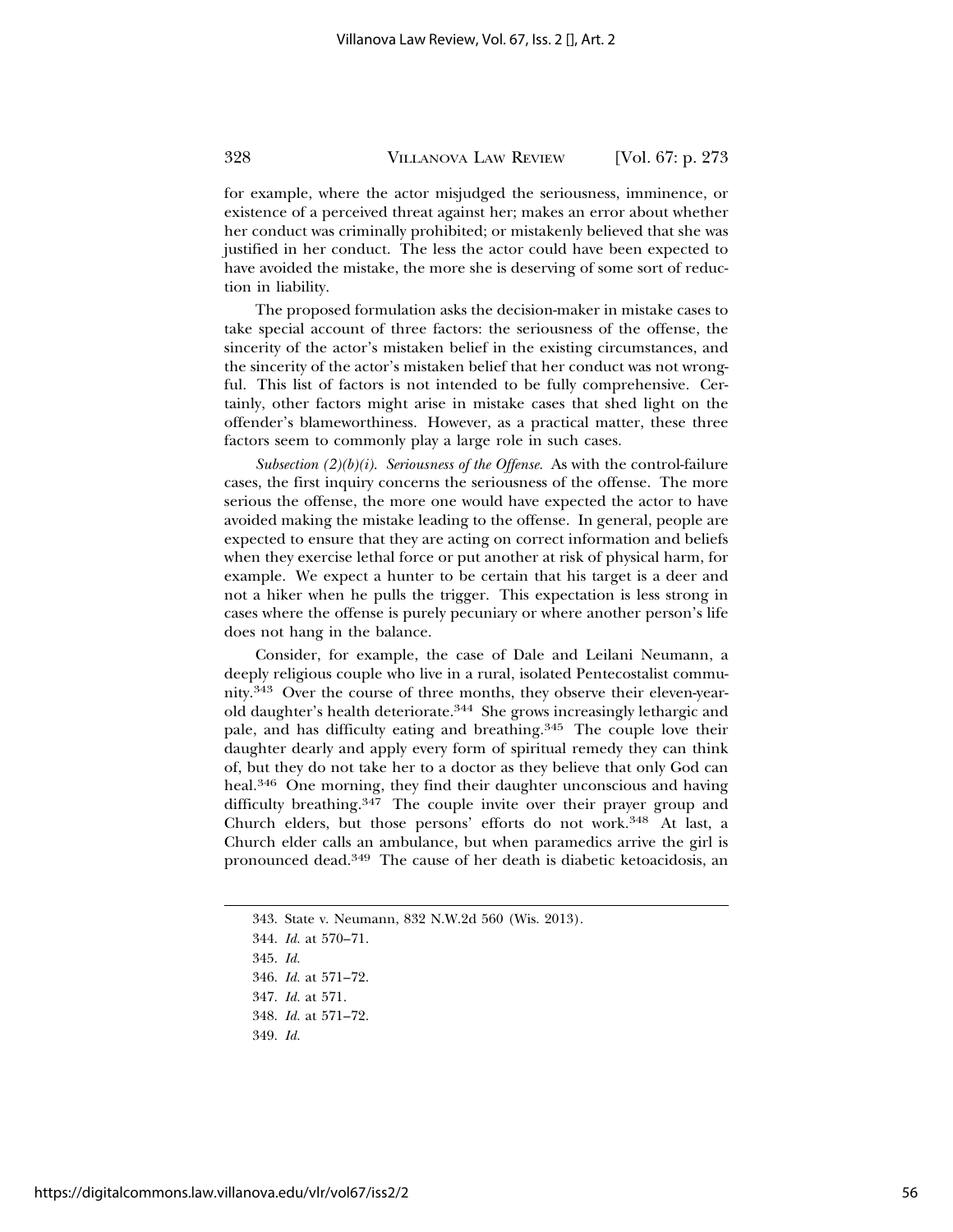for example, where the actor misjudged the seriousness, imminence, or existence of a perceived threat against her; makes an error about whether her conduct was criminally prohibited; or mistakenly believed that she was justified in her conduct. The less the actor could have been expected to have avoided the mistake, the more she is deserving of some sort of reduction in liability.

The proposed formulation asks the decision-maker in mistake cases to take special account of three factors: the seriousness of the offense, the sincerity of the actor's mistaken belief in the existing circumstances, and the sincerity of the actor's mistaken belief that her conduct was not wrongful. This list of factors is not intended to be fully comprehensive. Certainly, other factors might arise in mistake cases that shed light on the offender's blameworthiness. However, as a practical matter, these three factors seem to commonly play a large role in such cases.

*Subsection (2)(b)(i). Seriousness of the Offense.* As with the control-failure cases, the first inquiry concerns the seriousness of the offense. The more serious the offense, the more one would have expected the actor to have avoided making the mistake leading to the offense. In general, people are expected to ensure that they are acting on correct information and beliefs when they exercise lethal force or put another at risk of physical harm, for example. We expect a hunter to be certain that his target is a deer and not a hiker when he pulls the trigger. This expectation is less strong in cases where the offense is purely pecuniary or where another person's life does not hang in the balance.

Consider, for example, the case of Dale and Leilani Neumann, a deeply religious couple who live in a rural, isolated Pentecostalist community.343 Over the course of three months, they observe their eleven-yearold daughter's health deteriorate.344 She grows increasingly lethargic and pale, and has difficulty eating and breathing.345 The couple love their daughter dearly and apply every form of spiritual remedy they can think of, but they do not take her to a doctor as they believe that only God can heal.346 One morning, they find their daughter unconscious and having difficulty breathing.<sup>347</sup> The couple invite over their prayer group and Church elders, but those persons' efforts do not work.348 At last, a Church elder calls an ambulance, but when paramedics arrive the girl is pronounced dead.349 The cause of her death is diabetic ketoacidosis, an

345. *Id.*

346. *Id.* at 571–72.

348. *Id.* at 571–72.

349. *Id.*

<sup>343.</sup> State v. Neumann, 832 N.W.2d 560 (Wis. 2013).

<sup>344.</sup> *Id.* at 570–71.

<sup>347.</sup> *Id.* at 571.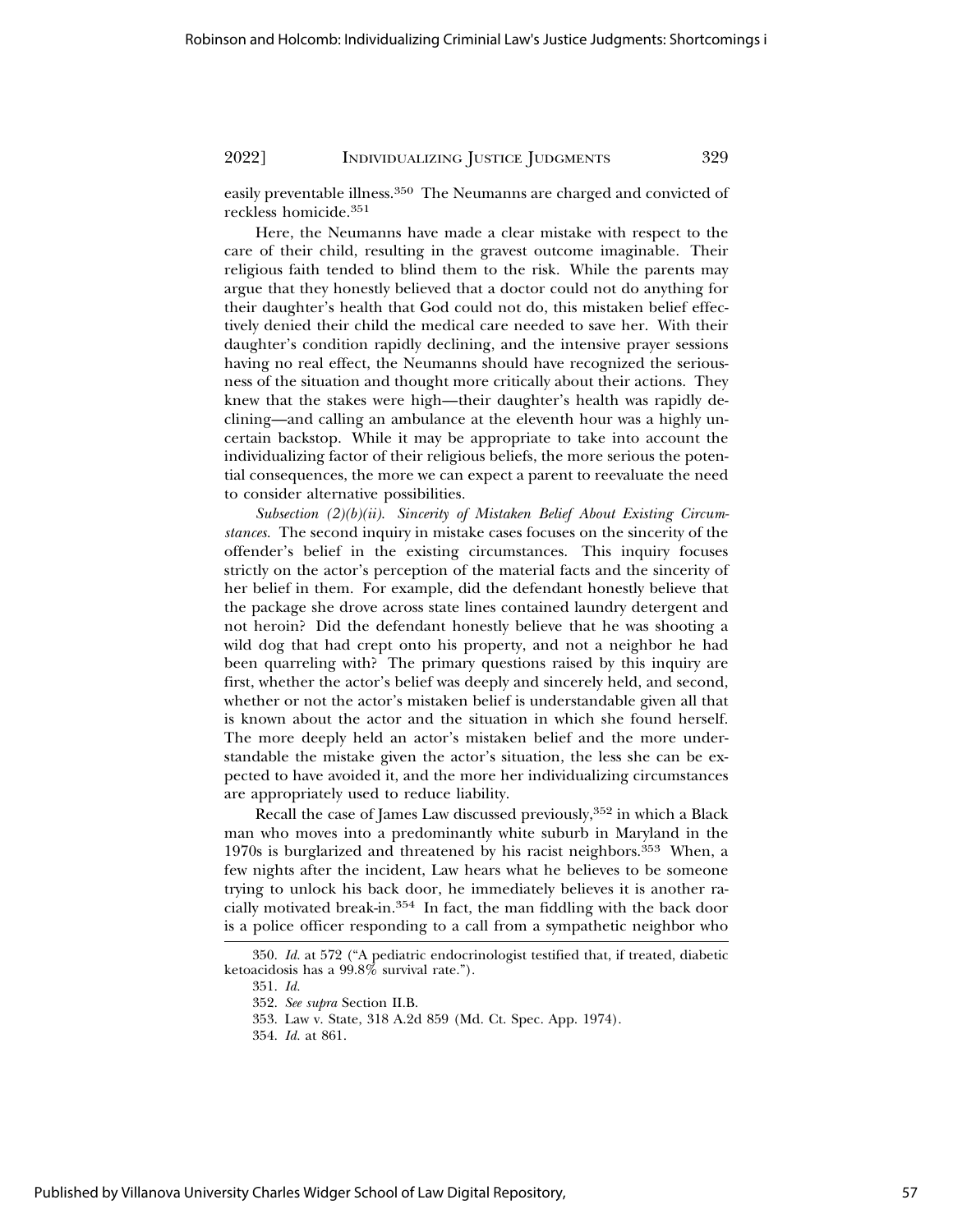easily preventable illness.350 The Neumanns are charged and convicted of reckless homicide.<sup>351</sup>

Here, the Neumanns have made a clear mistake with respect to the care of their child, resulting in the gravest outcome imaginable. Their religious faith tended to blind them to the risk. While the parents may argue that they honestly believed that a doctor could not do anything for their daughter's health that God could not do, this mistaken belief effectively denied their child the medical care needed to save her. With their daughter's condition rapidly declining, and the intensive prayer sessions having no real effect, the Neumanns should have recognized the seriousness of the situation and thought more critically about their actions. They knew that the stakes were high—their daughter's health was rapidly declining—and calling an ambulance at the eleventh hour was a highly uncertain backstop. While it may be appropriate to take into account the individualizing factor of their religious beliefs, the more serious the potential consequences, the more we can expect a parent to reevaluate the need to consider alternative possibilities.

*Subsection (2)(b)(ii). Sincerity of Mistaken Belief About Existing Circumstances.* The second inquiry in mistake cases focuses on the sincerity of the offender's belief in the existing circumstances. This inquiry focuses strictly on the actor's perception of the material facts and the sincerity of her belief in them. For example, did the defendant honestly believe that the package she drove across state lines contained laundry detergent and not heroin? Did the defendant honestly believe that he was shooting a wild dog that had crept onto his property, and not a neighbor he had been quarreling with? The primary questions raised by this inquiry are first, whether the actor's belief was deeply and sincerely held, and second, whether or not the actor's mistaken belief is understandable given all that is known about the actor and the situation in which she found herself. The more deeply held an actor's mistaken belief and the more understandable the mistake given the actor's situation, the less she can be expected to have avoided it, and the more her individualizing circumstances are appropriately used to reduce liability.

Recall the case of James Law discussed previously,352 in which a Black man who moves into a predominantly white suburb in Maryland in the 1970s is burglarized and threatened by his racist neighbors.353 When, a few nights after the incident, Law hears what he believes to be someone trying to unlock his back door, he immediately believes it is another racially motivated break-in.354 In fact, the man fiddling with the back door is a police officer responding to a call from a sympathetic neighbor who

<sup>350.</sup> *Id.* at 572 ("A pediatric endocrinologist testified that, if treated, diabetic ketoacidosis has a 99.8% survival rate.").

<sup>351.</sup> *Id.*

<sup>352.</sup> *See supra* Section II.B.

<sup>353.</sup> Law v. State, 318 A.2d 859 (Md. Ct. Spec. App. 1974).

<sup>354.</sup> *Id.* at 861.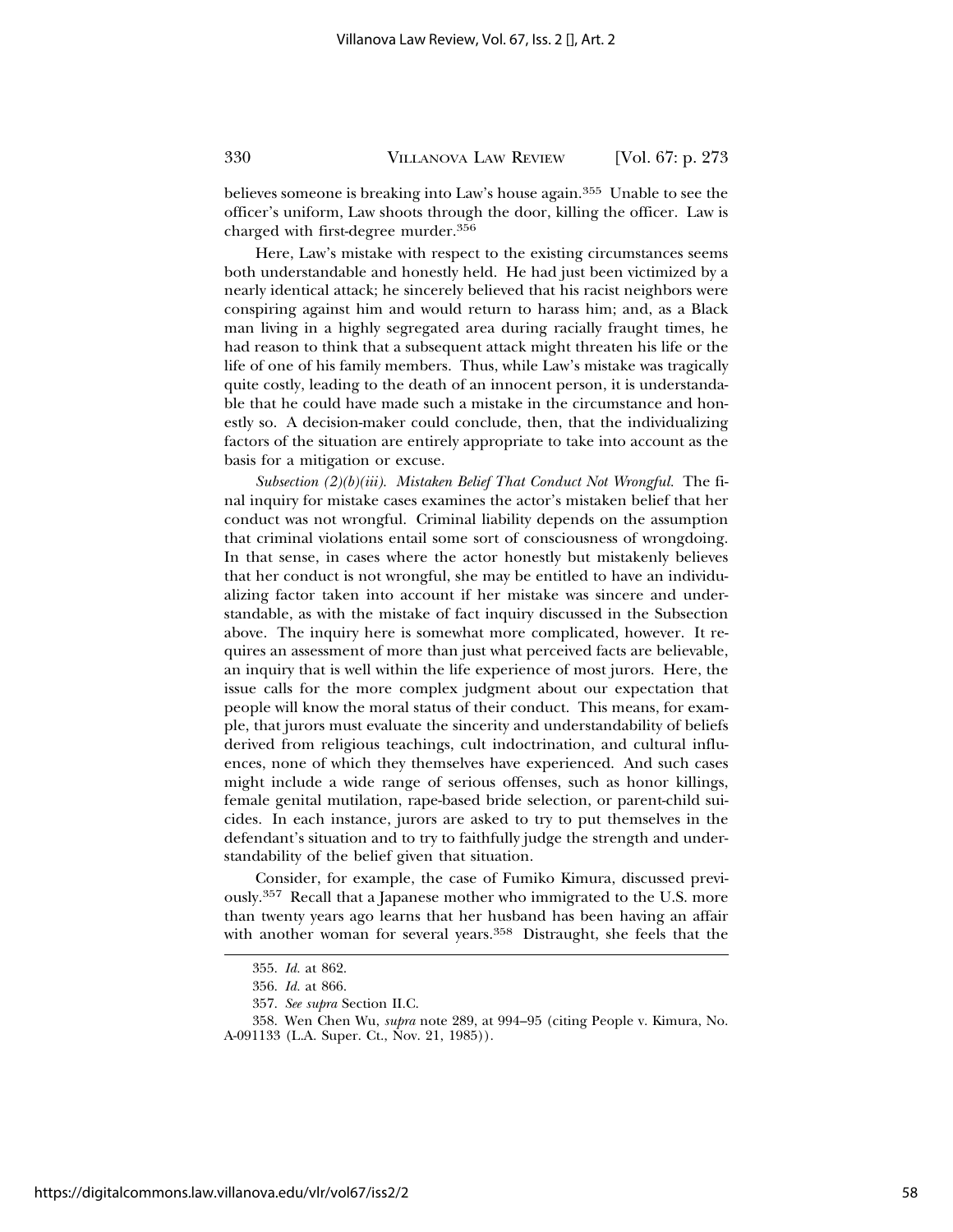believes someone is breaking into Law's house again.355 Unable to see the officer's uniform, Law shoots through the door, killing the officer. Law is charged with first-degree murder.<sup>356</sup>

Here, Law's mistake with respect to the existing circumstances seems both understandable and honestly held. He had just been victimized by a nearly identical attack; he sincerely believed that his racist neighbors were conspiring against him and would return to harass him; and, as a Black man living in a highly segregated area during racially fraught times, he had reason to think that a subsequent attack might threaten his life or the life of one of his family members. Thus, while Law's mistake was tragically quite costly, leading to the death of an innocent person, it is understandable that he could have made such a mistake in the circumstance and honestly so. A decision-maker could conclude, then, that the individualizing factors of the situation are entirely appropriate to take into account as the basis for a mitigation or excuse.

*Subsection (2)(b)(iii). Mistaken Belief That Conduct Not Wrongful.* The final inquiry for mistake cases examines the actor's mistaken belief that her conduct was not wrongful. Criminal liability depends on the assumption that criminal violations entail some sort of consciousness of wrongdoing. In that sense, in cases where the actor honestly but mistakenly believes that her conduct is not wrongful, she may be entitled to have an individualizing factor taken into account if her mistake was sincere and understandable, as with the mistake of fact inquiry discussed in the Subsection above. The inquiry here is somewhat more complicated, however. It requires an assessment of more than just what perceived facts are believable, an inquiry that is well within the life experience of most jurors. Here, the issue calls for the more complex judgment about our expectation that people will know the moral status of their conduct. This means, for example, that jurors must evaluate the sincerity and understandability of beliefs derived from religious teachings, cult indoctrination, and cultural influences, none of which they themselves have experienced. And such cases might include a wide range of serious offenses, such as honor killings, female genital mutilation, rape-based bride selection, or parent-child suicides. In each instance, jurors are asked to try to put themselves in the defendant's situation and to try to faithfully judge the strength and understandability of the belief given that situation.

Consider, for example, the case of Fumiko Kimura, discussed previously.357 Recall that a Japanese mother who immigrated to the U.S. more than twenty years ago learns that her husband has been having an affair with another woman for several years.<sup>358</sup> Distraught, she feels that the

<sup>355.</sup> *Id.* at 862.

<sup>356.</sup> *Id.* at 866.

<sup>357.</sup> *See supra* Section II.C.

<sup>358.</sup> Wen Chen Wu, *supra* note 289, at 994–95 (citing People v. Kimura, No. A-091133 (L.A. Super. Ct., Nov. 21, 1985)).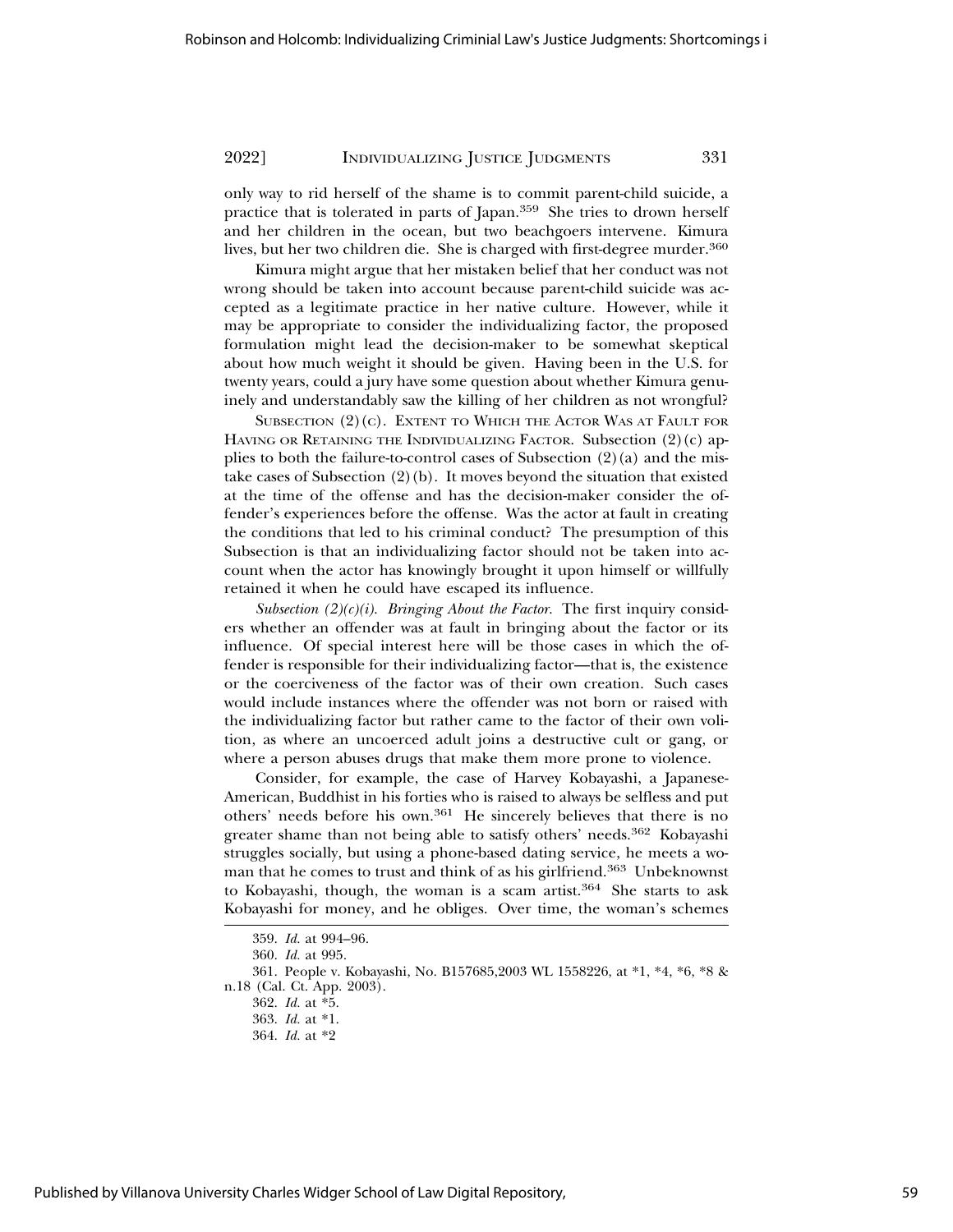only way to rid herself of the shame is to commit parent-child suicide, a practice that is tolerated in parts of Japan.359 She tries to drown herself and her children in the ocean, but two beachgoers intervene. Kimura lives, but her two children die. She is charged with first-degree murder.<sup>360</sup>

Kimura might argue that her mistaken belief that her conduct was not wrong should be taken into account because parent-child suicide was accepted as a legitimate practice in her native culture. However, while it may be appropriate to consider the individualizing factor, the proposed formulation might lead the decision-maker to be somewhat skeptical about how much weight it should be given. Having been in the U.S. for twenty years, could a jury have some question about whether Kimura genuinely and understandably saw the killing of her children as not wrongful?

SUBSECTION  $(2)(c)$ . EXTENT TO WHICH THE ACTOR WAS AT FAULT FOR HAVING OR RETAINING THE INDIVIDUALIZING FACTOR. Subsection (2)(c) applies to both the failure-to-control cases of Subsection  $(2)(a)$  and the mistake cases of Subsection  $(2)(b)$ . It moves beyond the situation that existed at the time of the offense and has the decision-maker consider the offender's experiences before the offense. Was the actor at fault in creating the conditions that led to his criminal conduct? The presumption of this Subsection is that an individualizing factor should not be taken into account when the actor has knowingly brought it upon himself or willfully retained it when he could have escaped its influence.

*Subsection (2)(c)(i). Bringing About the Factor.* The first inquiry considers whether an offender was at fault in bringing about the factor or its influence. Of special interest here will be those cases in which the offender is responsible for their individualizing factor—that is, the existence or the coerciveness of the factor was of their own creation. Such cases would include instances where the offender was not born or raised with the individualizing factor but rather came to the factor of their own volition, as where an uncoerced adult joins a destructive cult or gang, or where a person abuses drugs that make them more prone to violence.

Consider, for example, the case of Harvey Kobayashi, a Japanese-American, Buddhist in his forties who is raised to always be selfless and put others' needs before his own.361 He sincerely believes that there is no greater shame than not being able to satisfy others' needs.362 Kobayashi struggles socially, but using a phone-based dating service, he meets a woman that he comes to trust and think of as his girlfriend.363 Unbeknownst to Kobayashi, though, the woman is a scam artist.<sup>364</sup> She starts to ask Kobayashi for money, and he obliges. Over time, the woman's schemes

<sup>359.</sup> *Id.* at 994–96.

<sup>360.</sup> *Id.* at 995.

<sup>361.</sup> People v. Kobayashi, No. B157685,2003 WL 1558226, at \*1, \*4, \*6, \*8 & n.18 (Cal. Ct. App. 2003).

<sup>362.</sup> *Id.* at \*5.

<sup>363.</sup> *Id.* at \*1.

<sup>364.</sup> *Id.* at \*2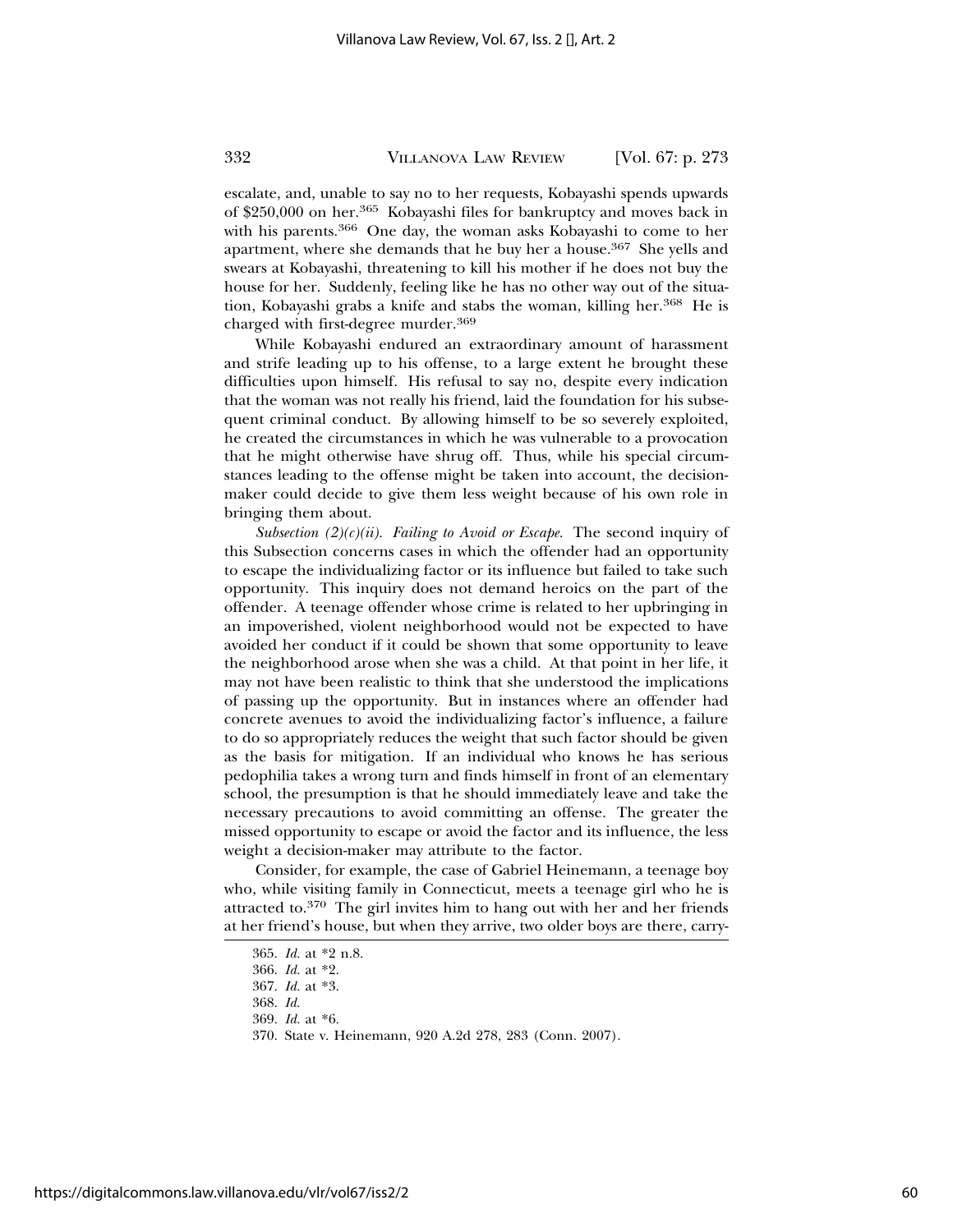escalate, and, unable to say no to her requests, Kobayashi spends upwards of \$250,000 on her.365 Kobayashi files for bankruptcy and moves back in with his parents.<sup>366</sup> One day, the woman asks Kobayashi to come to her apartment, where she demands that he buy her a house.<sup>367</sup> She yells and swears at Kobayashi, threatening to kill his mother if he does not buy the house for her. Suddenly, feeling like he has no other way out of the situation, Kobayashi grabs a knife and stabs the woman, killing her.<sup>368</sup> He is charged with first-degree murder.<sup>369</sup>

While Kobayashi endured an extraordinary amount of harassment and strife leading up to his offense, to a large extent he brought these difficulties upon himself. His refusal to say no, despite every indication that the woman was not really his friend, laid the foundation for his subsequent criminal conduct. By allowing himself to be so severely exploited, he created the circumstances in which he was vulnerable to a provocation that he might otherwise have shrug off. Thus, while his special circumstances leading to the offense might be taken into account, the decisionmaker could decide to give them less weight because of his own role in bringing them about.

*Subsection (2)(c)(ii). Failing to Avoid or Escape.* The second inquiry of this Subsection concerns cases in which the offender had an opportunity to escape the individualizing factor or its influence but failed to take such opportunity. This inquiry does not demand heroics on the part of the offender. A teenage offender whose crime is related to her upbringing in an impoverished, violent neighborhood would not be expected to have avoided her conduct if it could be shown that some opportunity to leave the neighborhood arose when she was a child. At that point in her life, it may not have been realistic to think that she understood the implications of passing up the opportunity. But in instances where an offender had concrete avenues to avoid the individualizing factor's influence, a failure to do so appropriately reduces the weight that such factor should be given as the basis for mitigation. If an individual who knows he has serious pedophilia takes a wrong turn and finds himself in front of an elementary school, the presumption is that he should immediately leave and take the necessary precautions to avoid committing an offense. The greater the missed opportunity to escape or avoid the factor and its influence, the less weight a decision-maker may attribute to the factor.

Consider, for example, the case of Gabriel Heinemann, a teenage boy who, while visiting family in Connecticut, meets a teenage girl who he is attracted to.370 The girl invites him to hang out with her and her friends at her friend's house, but when they arrive, two older boys are there, carry-

<sup>365.</sup> *Id.* at \*2 n.8.

<sup>366.</sup> *Id.* at \*2.

<sup>367.</sup> *Id.* at \*3.

<sup>368.</sup> *Id.*

<sup>369.</sup> *Id.* at \*6.

<sup>370.</sup> State v. Heinemann, 920 A.2d 278, 283 (Conn. 2007).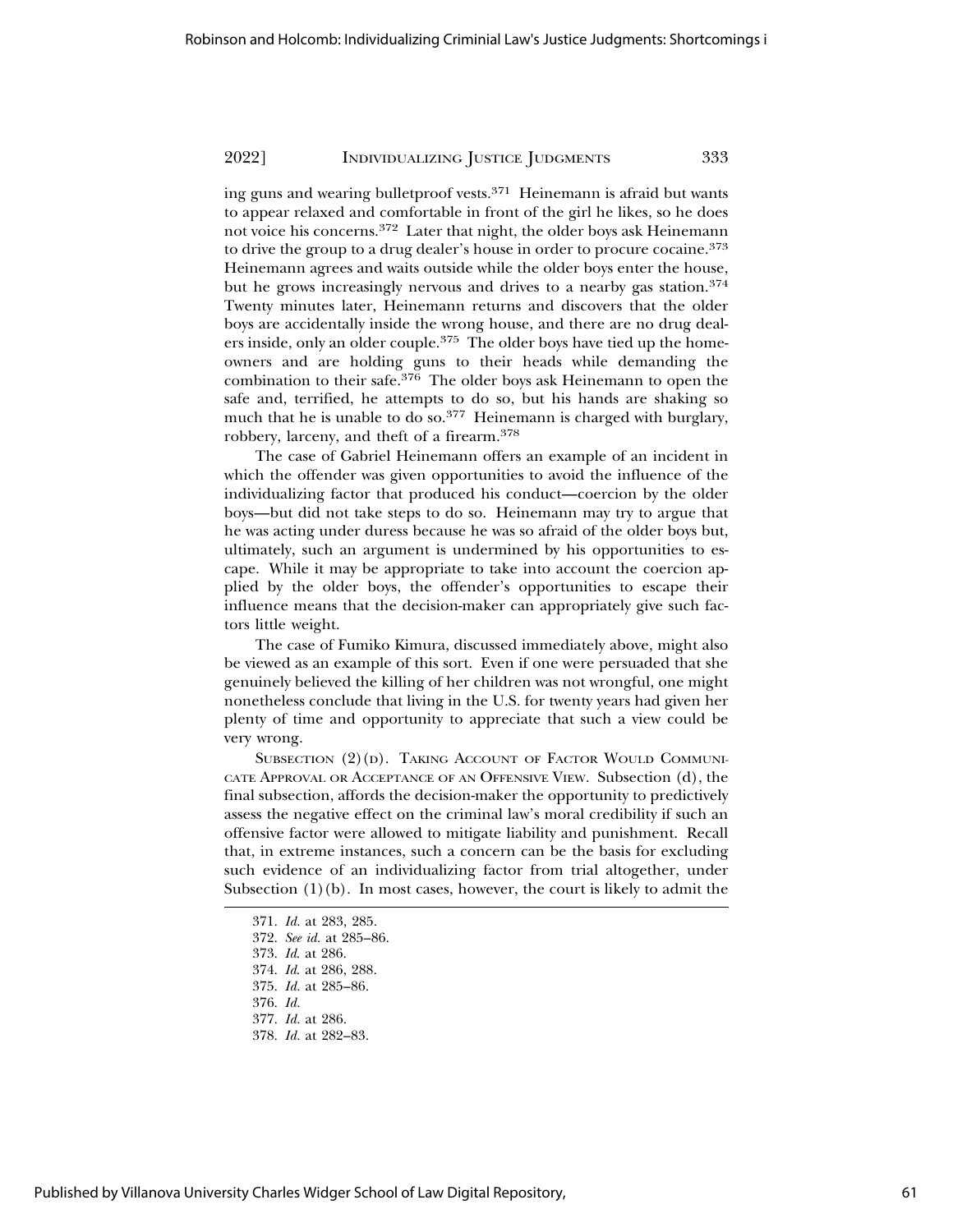ing guns and wearing bulletproof vests.371 Heinemann is afraid but wants to appear relaxed and comfortable in front of the girl he likes, so he does not voice his concerns.372 Later that night, the older boys ask Heinemann to drive the group to a drug dealer's house in order to procure cocaine.<sup>373</sup> Heinemann agrees and waits outside while the older boys enter the house, but he grows increasingly nervous and drives to a nearby gas station.<sup>374</sup> Twenty minutes later, Heinemann returns and discovers that the older boys are accidentally inside the wrong house, and there are no drug dealers inside, only an older couple.375 The older boys have tied up the homeowners and are holding guns to their heads while demanding the combination to their safe.376 The older boys ask Heinemann to open the safe and, terrified, he attempts to do so, but his hands are shaking so much that he is unable to do so.<sup>377</sup> Heinemann is charged with burglary, robbery, larceny, and theft of a firearm.<sup>378</sup>

The case of Gabriel Heinemann offers an example of an incident in which the offender was given opportunities to avoid the influence of the individualizing factor that produced his conduct—coercion by the older boys—but did not take steps to do so. Heinemann may try to argue that he was acting under duress because he was so afraid of the older boys but, ultimately, such an argument is undermined by his opportunities to escape. While it may be appropriate to take into account the coercion applied by the older boys, the offender's opportunities to escape their influence means that the decision-maker can appropriately give such factors little weight.

The case of Fumiko Kimura, discussed immediately above, might also be viewed as an example of this sort. Even if one were persuaded that she genuinely believed the killing of her children was not wrongful, one might nonetheless conclude that living in the U.S. for twenty years had given her plenty of time and opportunity to appreciate that such a view could be very wrong.

SUBSECTION  $(2)(D)$ . TAKING ACCOUNT OF FACTOR WOULD COMMUNI-CATE APPROVAL OR ACCEPTANCE OF AN OFFENSIVE VIEW. Subsection (d), the final subsection, affords the decision-maker the opportunity to predictively assess the negative effect on the criminal law's moral credibility if such an offensive factor were allowed to mitigate liability and punishment. Recall that, in extreme instances, such a concern can be the basis for excluding such evidence of an individualizing factor from trial altogether, under Subsection  $(1)(b)$ . In most cases, however, the court is likely to admit the

371. *Id.* at 283, 285.

- 373. *Id*. at 286.
- 374. *Id*. at 286, 288.
- 375. *Id.* at 285–86.
- 376. *Id.*
- 377. *Id.* at 286.
- 378. *Id.* at 282–83.

<sup>372.</sup> *See id.* at 285–86.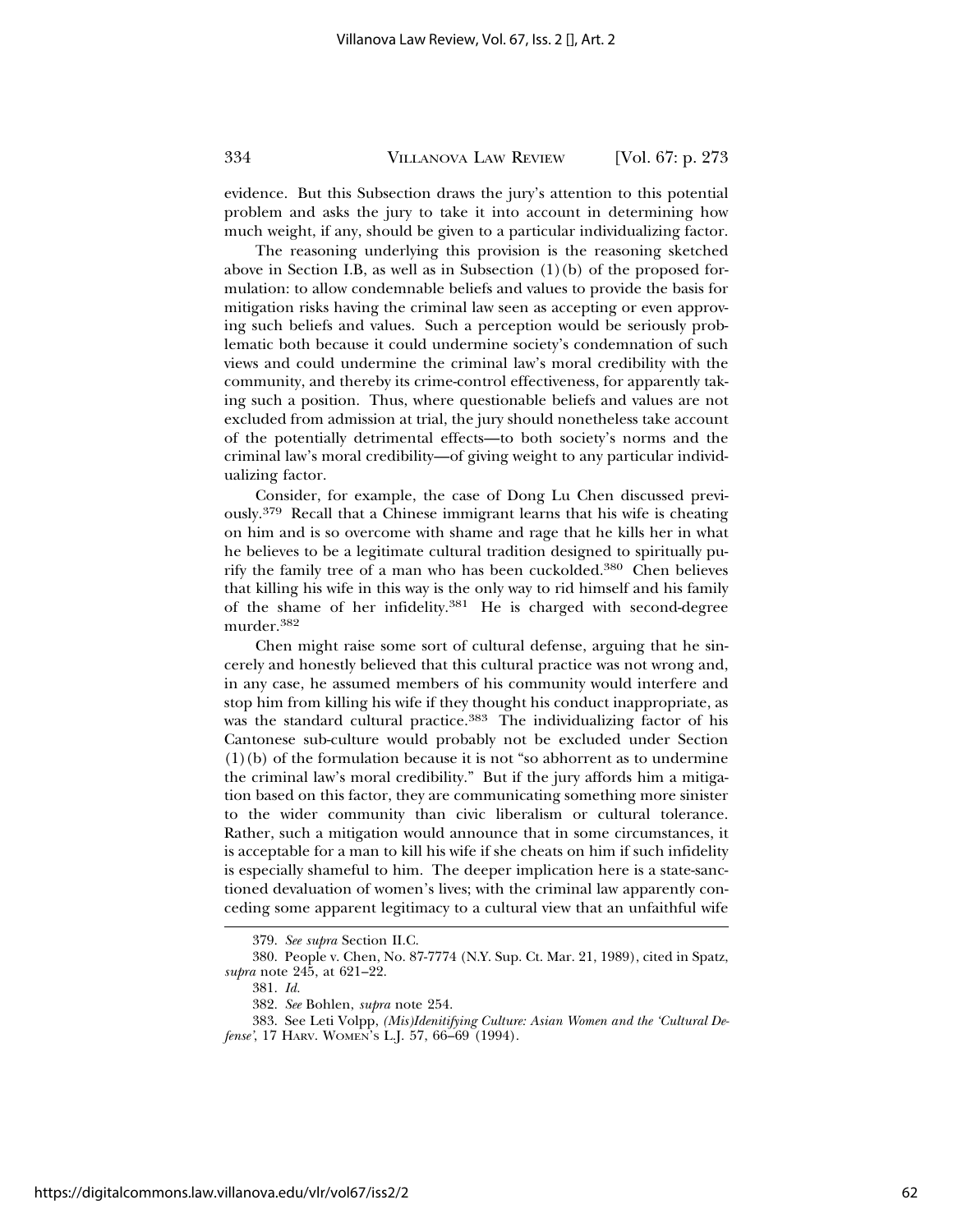evidence. But this Subsection draws the jury's attention to this potential problem and asks the jury to take it into account in determining how much weight, if any, should be given to a particular individualizing factor.

The reasoning underlying this provision is the reasoning sketched above in Section I.B, as well as in Subsection  $(1)(b)$  of the proposed formulation: to allow condemnable beliefs and values to provide the basis for mitigation risks having the criminal law seen as accepting or even approving such beliefs and values. Such a perception would be seriously problematic both because it could undermine society's condemnation of such views and could undermine the criminal law's moral credibility with the community, and thereby its crime-control effectiveness, for apparently taking such a position. Thus, where questionable beliefs and values are not excluded from admission at trial, the jury should nonetheless take account of the potentially detrimental effects—to both society's norms and the criminal law's moral credibility—of giving weight to any particular individualizing factor.

Consider, for example, the case of Dong Lu Chen discussed previously.379 Recall that a Chinese immigrant learns that his wife is cheating on him and is so overcome with shame and rage that he kills her in what he believes to be a legitimate cultural tradition designed to spiritually purify the family tree of a man who has been cuckolded.380 Chen believes that killing his wife in this way is the only way to rid himself and his family of the shame of her infidelity.381 He is charged with second-degree murder.382

Chen might raise some sort of cultural defense, arguing that he sincerely and honestly believed that this cultural practice was not wrong and, in any case, he assumed members of his community would interfere and stop him from killing his wife if they thought his conduct inappropriate, as was the standard cultural practice.<sup>383</sup> The individualizing factor of his Cantonese sub-culture would probably not be excluded under Section (1)(b) of the formulation because it is not "so abhorrent as to undermine the criminal law's moral credibility." But if the jury affords him a mitigation based on this factor, they are communicating something more sinister to the wider community than civic liberalism or cultural tolerance. Rather, such a mitigation would announce that in some circumstances, it is acceptable for a man to kill his wife if she cheats on him if such infidelity is especially shameful to him. The deeper implication here is a state-sanctioned devaluation of women's lives; with the criminal law apparently conceding some apparent legitimacy to a cultural view that an unfaithful wife

<sup>379.</sup> *See supra* Section II.C.

<sup>380.</sup> People v. Chen, No. 87-7774 (N.Y. Sup. Ct. Mar. 21, 1989), cited in Spatz, *supra* note 245, at 621–22.

<sup>381.</sup> *Id.*

<sup>382.</sup> *See* Bohlen, *supra* note 254.

<sup>383.</sup> See Leti Volpp, *(Mis)Idenitifying Culture: Asian Women and the 'Cultural Defense'*, 17 HARV. WOMEN'S L.J. 57, 66–69 (1994).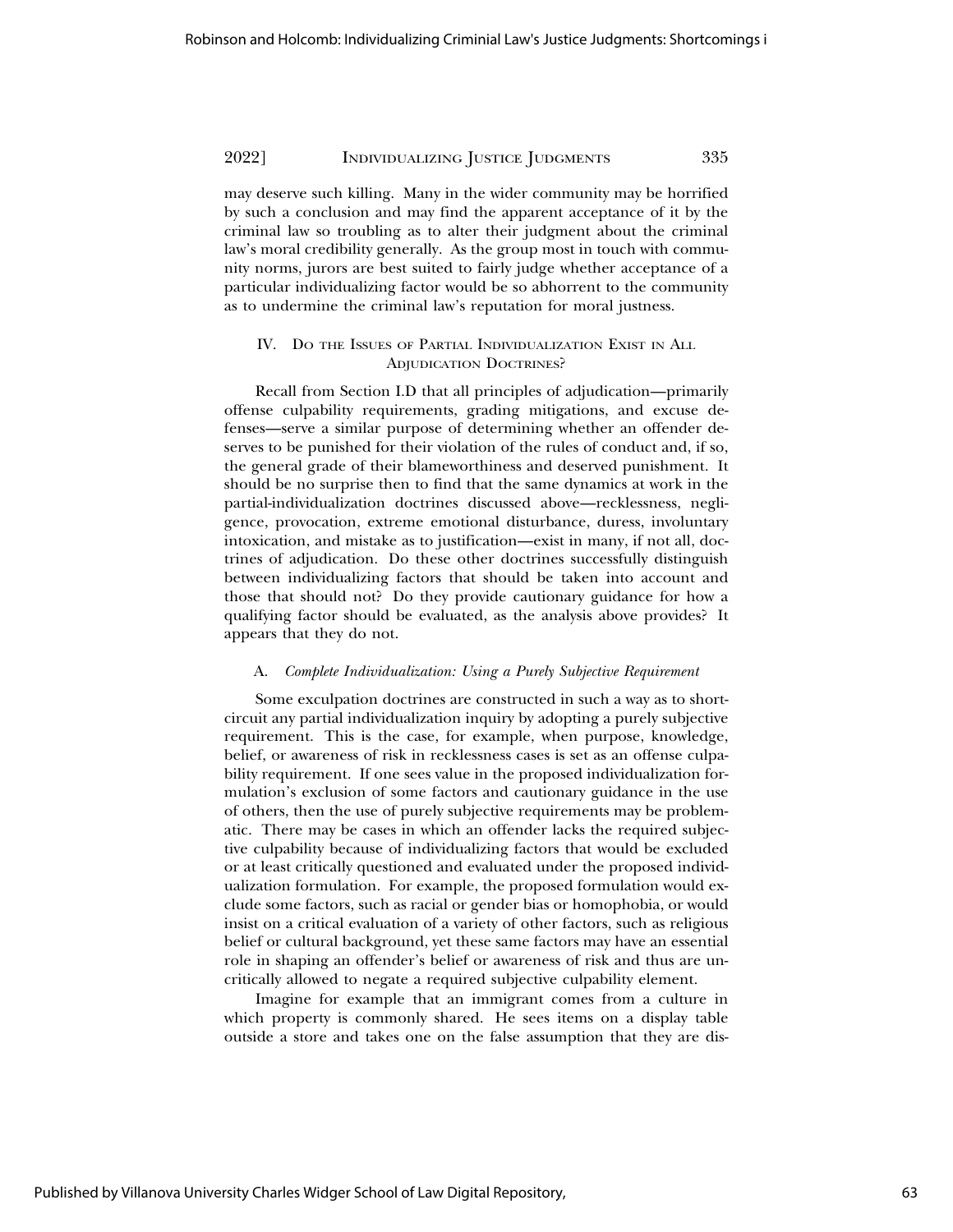may deserve such killing. Many in the wider community may be horrified by such a conclusion and may find the apparent acceptance of it by the criminal law so troubling as to alter their judgment about the criminal law's moral credibility generally. As the group most in touch with community norms, jurors are best suited to fairly judge whether acceptance of a particular individualizing factor would be so abhorrent to the community as to undermine the criminal law's reputation for moral justness.

## IV. DO THE ISSUES OF PARTIAL INDIVIDUALIZATION EXIST IN ALL ADJUDICATION DOCTRINES?

Recall from Section I.D that all principles of adjudication—primarily offense culpability requirements, grading mitigations, and excuse defenses—serve a similar purpose of determining whether an offender deserves to be punished for their violation of the rules of conduct and, if so, the general grade of their blameworthiness and deserved punishment. It should be no surprise then to find that the same dynamics at work in the partial-individualization doctrines discussed above—recklessness, negligence, provocation, extreme emotional disturbance, duress, involuntary intoxication, and mistake as to justification—exist in many, if not all, doctrines of adjudication. Do these other doctrines successfully distinguish between individualizing factors that should be taken into account and those that should not? Do they provide cautionary guidance for how a qualifying factor should be evaluated, as the analysis above provides? It appears that they do not.

#### A. *Complete Individualization: Using a Purely Subjective Requirement*

Some exculpation doctrines are constructed in such a way as to shortcircuit any partial individualization inquiry by adopting a purely subjective requirement. This is the case, for example, when purpose, knowledge, belief, or awareness of risk in recklessness cases is set as an offense culpability requirement. If one sees value in the proposed individualization formulation's exclusion of some factors and cautionary guidance in the use of others, then the use of purely subjective requirements may be problematic. There may be cases in which an offender lacks the required subjective culpability because of individualizing factors that would be excluded or at least critically questioned and evaluated under the proposed individualization formulation. For example, the proposed formulation would exclude some factors, such as racial or gender bias or homophobia, or would insist on a critical evaluation of a variety of other factors, such as religious belief or cultural background, yet these same factors may have an essential role in shaping an offender's belief or awareness of risk and thus are uncritically allowed to negate a required subjective culpability element.

Imagine for example that an immigrant comes from a culture in which property is commonly shared. He sees items on a display table outside a store and takes one on the false assumption that they are dis-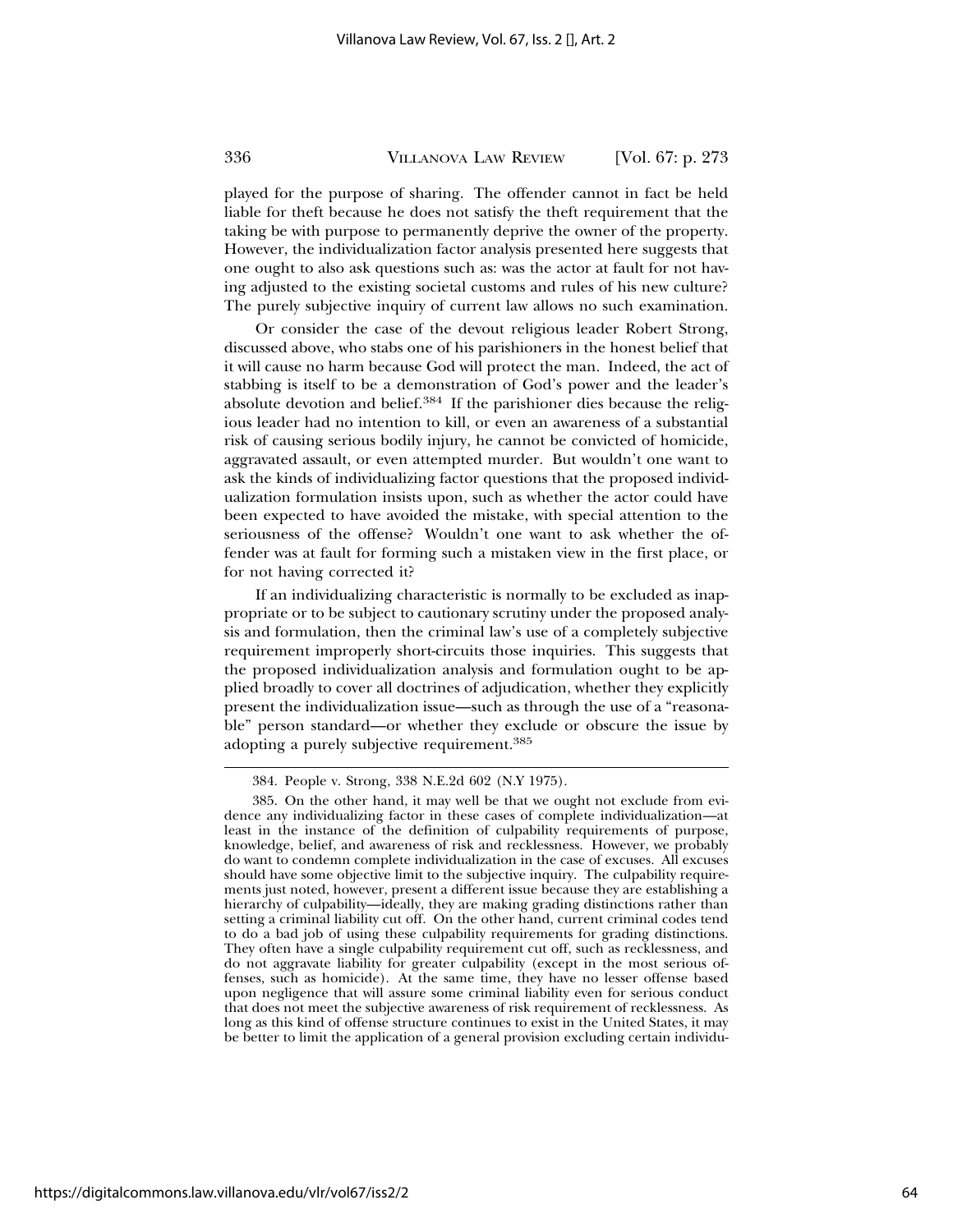played for the purpose of sharing. The offender cannot in fact be held liable for theft because he does not satisfy the theft requirement that the taking be with purpose to permanently deprive the owner of the property. However, the individualization factor analysis presented here suggests that one ought to also ask questions such as: was the actor at fault for not having adjusted to the existing societal customs and rules of his new culture? The purely subjective inquiry of current law allows no such examination.

Or consider the case of the devout religious leader Robert Strong, discussed above, who stabs one of his parishioners in the honest belief that it will cause no harm because God will protect the man. Indeed, the act of stabbing is itself to be a demonstration of God's power and the leader's absolute devotion and belief.384 If the parishioner dies because the religious leader had no intention to kill, or even an awareness of a substantial risk of causing serious bodily injury, he cannot be convicted of homicide, aggravated assault, or even attempted murder. But wouldn't one want to ask the kinds of individualizing factor questions that the proposed individualization formulation insists upon, such as whether the actor could have been expected to have avoided the mistake, with special attention to the seriousness of the offense? Wouldn't one want to ask whether the offender was at fault for forming such a mistaken view in the first place, or for not having corrected it?

If an individualizing characteristic is normally to be excluded as inappropriate or to be subject to cautionary scrutiny under the proposed analysis and formulation, then the criminal law's use of a completely subjective requirement improperly short-circuits those inquiries. This suggests that the proposed individualization analysis and formulation ought to be applied broadly to cover all doctrines of adjudication, whether they explicitly present the individualization issue—such as through the use of a "reasonable" person standard—or whether they exclude or obscure the issue by adopting a purely subjective requirement.<sup>385</sup>

<sup>384.</sup> People v. Strong, 338 N.E.2d 602 (N.Y 1975).

<sup>385.</sup> On the other hand, it may well be that we ought not exclude from evidence any individualizing factor in these cases of complete individualization—at least in the instance of the definition of culpability requirements of purpose, knowledge, belief, and awareness of risk and recklessness. However, we probably do want to condemn complete individualization in the case of excuses. All excuses should have some objective limit to the subjective inquiry. The culpability requirements just noted, however, present a different issue because they are establishing a hierarchy of culpability—ideally, they are making grading distinctions rather than setting a criminal liability cut off. On the other hand, current criminal codes tend to do a bad job of using these culpability requirements for grading distinctions. They often have a single culpability requirement cut off, such as recklessness, and do not aggravate liability for greater culpability (except in the most serious offenses, such as homicide). At the same time, they have no lesser offense based upon negligence that will assure some criminal liability even for serious conduct that does not meet the subjective awareness of risk requirement of recklessness. As long as this kind of offense structure continues to exist in the United States, it may be better to limit the application of a general provision excluding certain individu-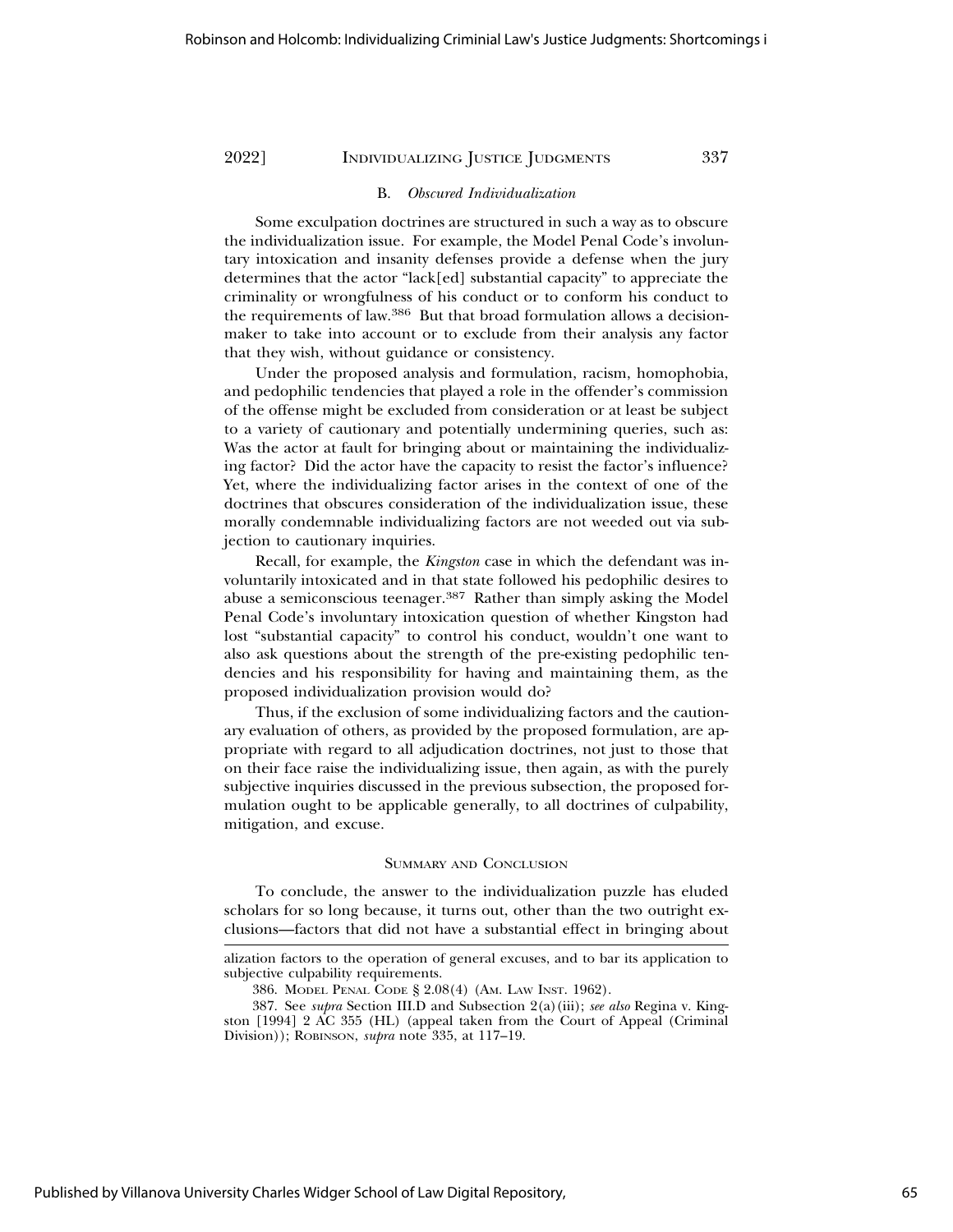# B. *Obscured Individualization*

Some exculpation doctrines are structured in such a way as to obscure the individualization issue. For example, the Model Penal Code's involuntary intoxication and insanity defenses provide a defense when the jury determines that the actor "lack[ed] substantial capacity" to appreciate the criminality or wrongfulness of his conduct or to conform his conduct to the requirements of law.386 But that broad formulation allows a decisionmaker to take into account or to exclude from their analysis any factor that they wish, without guidance or consistency.

Under the proposed analysis and formulation, racism, homophobia, and pedophilic tendencies that played a role in the offender's commission of the offense might be excluded from consideration or at least be subject to a variety of cautionary and potentially undermining queries, such as: Was the actor at fault for bringing about or maintaining the individualizing factor? Did the actor have the capacity to resist the factor's influence? Yet, where the individualizing factor arises in the context of one of the doctrines that obscures consideration of the individualization issue, these morally condemnable individualizing factors are not weeded out via subjection to cautionary inquiries.

Recall, for example, the *Kingston* case in which the defendant was involuntarily intoxicated and in that state followed his pedophilic desires to abuse a semiconscious teenager.387 Rather than simply asking the Model Penal Code's involuntary intoxication question of whether Kingston had lost "substantial capacity" to control his conduct, wouldn't one want to also ask questions about the strength of the pre-existing pedophilic tendencies and his responsibility for having and maintaining them, as the proposed individualization provision would do?

Thus, if the exclusion of some individualizing factors and the cautionary evaluation of others, as provided by the proposed formulation, are appropriate with regard to all adjudication doctrines, not just to those that on their face raise the individualizing issue, then again, as with the purely subjective inquiries discussed in the previous subsection, the proposed formulation ought to be applicable generally, to all doctrines of culpability, mitigation, and excuse.

#### SUMMARY AND CONCLUSION

To conclude, the answer to the individualization puzzle has eluded scholars for so long because, it turns out, other than the two outright exclusions—factors that did not have a substantial effect in bringing about

alization factors to the operation of general excuses, and to bar its application to subjective culpability requirements.

<sup>386.</sup> MODEL PENAL CODE § 2.08(4) (AM. LAW INST. 1962).

<sup>387.</sup> See *supra* Section III.D and Subsection 2(a)(iii); *see also* Regina v. Kingston [1994] 2 AC 355 (HL) (appeal taken from the Court of Appeal (Criminal Division)); ROBINSON, *supra* note 335, at 117–19.